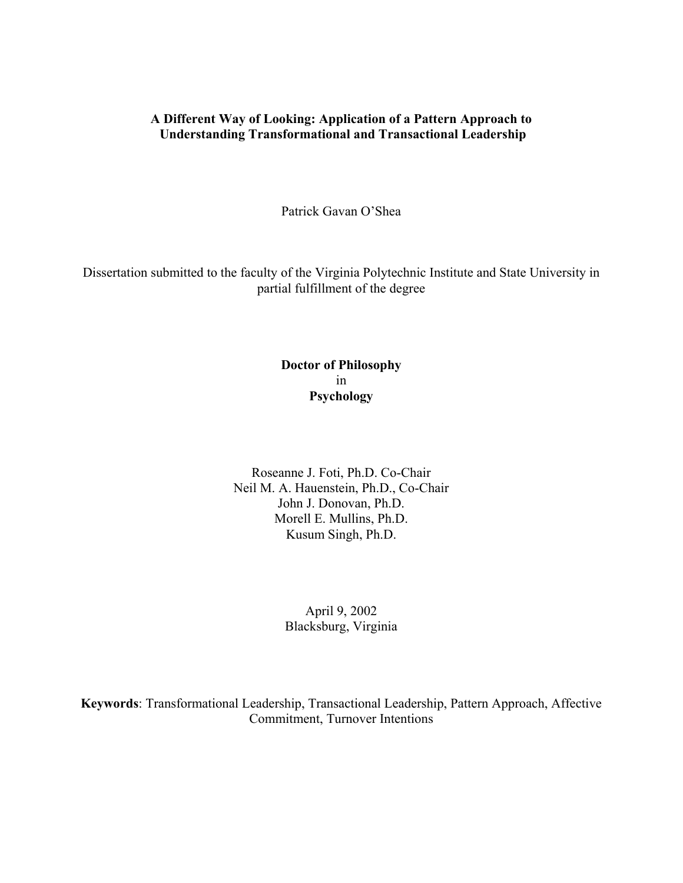### **A Different Way of Looking: Application of a Pattern Approach to Understanding Transformational and Transactional Leadership**

Patrick Gavan O'Shea

Dissertation submitted to the faculty of the Virginia Polytechnic Institute and State University in partial fulfillment of the degree

# **Doctor of Philosophy**  in **Psychology**

Roseanne J. Foti, Ph.D. Co-Chair Neil M. A. Hauenstein, Ph.D., Co-Chair John J. Donovan, Ph.D. Morell E. Mullins, Ph.D. Kusum Singh, Ph.D.

### April 9, 2002 Blacksburg, Virginia

**Keywords**: Transformational Leadership, Transactional Leadership, Pattern Approach, Affective Commitment, Turnover Intentions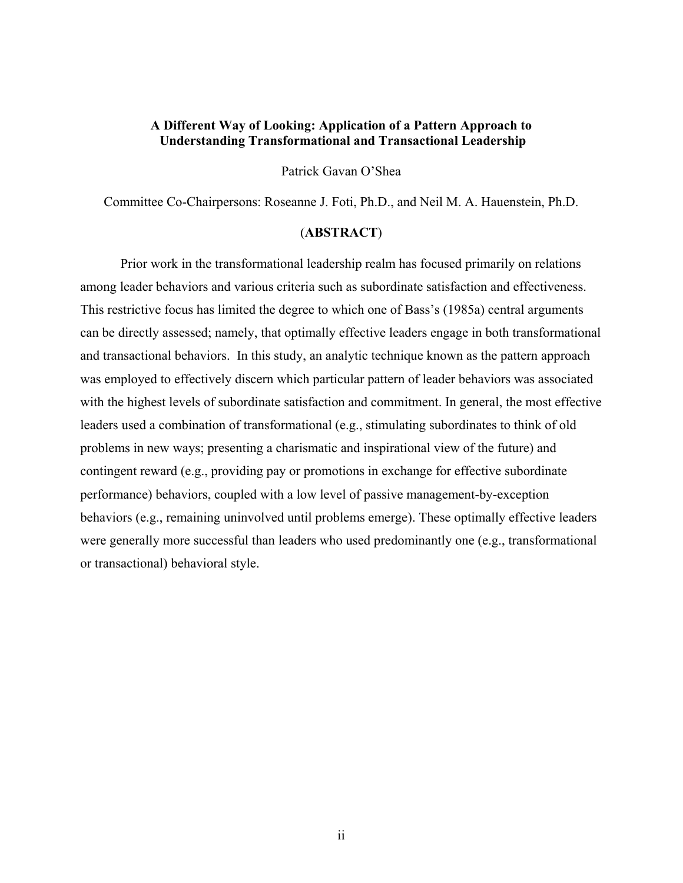### **A Different Way of Looking: Application of a Pattern Approach to Understanding Transformational and Transactional Leadership**

Patrick Gavan O'Shea

Committee Co-Chairpersons: Roseanne J. Foti, Ph.D., and Neil M. A. Hauenstein, Ph.D.

### (**ABSTRACT**)

Prior work in the transformational leadership realm has focused primarily on relations among leader behaviors and various criteria such as subordinate satisfaction and effectiveness. This restrictive focus has limited the degree to which one of Bass's (1985a) central arguments can be directly assessed; namely, that optimally effective leaders engage in both transformational and transactional behaviors. In this study, an analytic technique known as the pattern approach was employed to effectively discern which particular pattern of leader behaviors was associated with the highest levels of subordinate satisfaction and commitment. In general, the most effective leaders used a combination of transformational (e.g., stimulating subordinates to think of old problems in new ways; presenting a charismatic and inspirational view of the future) and contingent reward (e.g., providing pay or promotions in exchange for effective subordinate performance) behaviors, coupled with a low level of passive management-by-exception behaviors (e.g., remaining uninvolved until problems emerge). These optimally effective leaders were generally more successful than leaders who used predominantly one (e.g., transformational or transactional) behavioral style.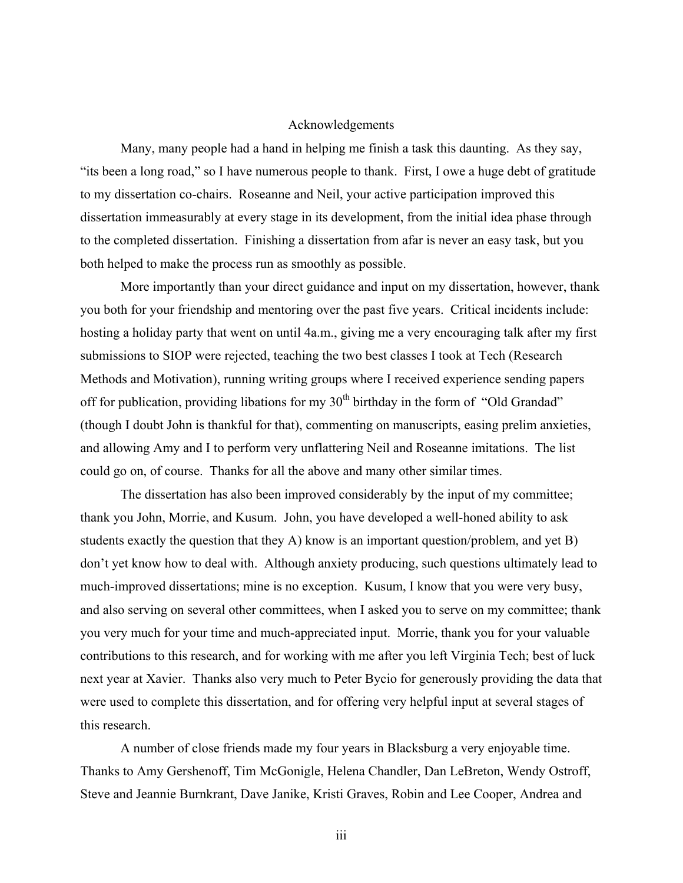### Acknowledgements

 Many, many people had a hand in helping me finish a task this daunting. As they say, "its been a long road," so I have numerous people to thank. First, I owe a huge debt of gratitude to my dissertation co-chairs. Roseanne and Neil, your active participation improved this dissertation immeasurably at every stage in its development, from the initial idea phase through to the completed dissertation. Finishing a dissertation from afar is never an easy task, but you both helped to make the process run as smoothly as possible.

More importantly than your direct guidance and input on my dissertation, however, thank you both for your friendship and mentoring over the past five years. Critical incidents include: hosting a holiday party that went on until 4a.m., giving me a very encouraging talk after my first submissions to SIOP were rejected, teaching the two best classes I took at Tech (Research Methods and Motivation), running writing groups where I received experience sending papers off for publication, providing libations for my  $30<sup>th</sup>$  birthday in the form of "Old Grandad" (though I doubt John is thankful for that), commenting on manuscripts, easing prelim anxieties, and allowing Amy and I to perform very unflattering Neil and Roseanne imitations. The list could go on, of course. Thanks for all the above and many other similar times.

The dissertation has also been improved considerably by the input of my committee; thank you John, Morrie, and Kusum. John, you have developed a well-honed ability to ask students exactly the question that they A) know is an important question/problem, and yet B) don't yet know how to deal with. Although anxiety producing, such questions ultimately lead to much-improved dissertations; mine is no exception. Kusum, I know that you were very busy, and also serving on several other committees, when I asked you to serve on my committee; thank you very much for your time and much-appreciated input. Morrie, thank you for your valuable contributions to this research, and for working with me after you left Virginia Tech; best of luck next year at Xavier. Thanks also very much to Peter Bycio for generously providing the data that were used to complete this dissertation, and for offering very helpful input at several stages of this research.

A number of close friends made my four years in Blacksburg a very enjoyable time. Thanks to Amy Gershenoff, Tim McGonigle, Helena Chandler, Dan LeBreton, Wendy Ostroff, Steve and Jeannie Burnkrant, Dave Janike, Kristi Graves, Robin and Lee Cooper, Andrea and

iii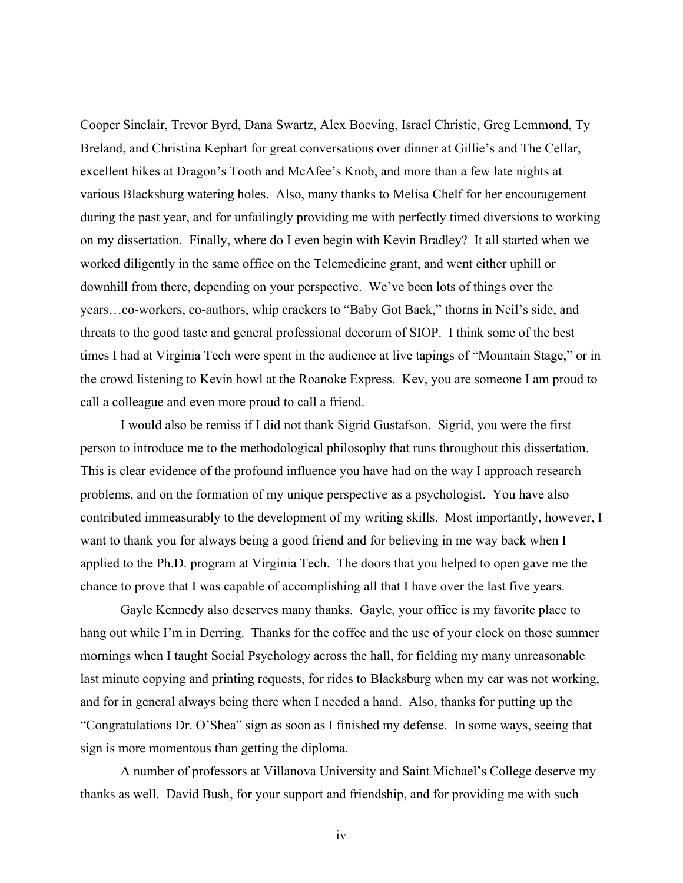Cooper Sinclair, Trevor Byrd, Dana Swartz, Alex Boeving, Israel Christie, Greg Lemmond, Ty Breland, and Christina Kephart for great conversations over dinner at Gillie's and The Cellar, excellent hikes at Dragon's Tooth and McAfee's Knob, and more than a few late nights at various Blacksburg watering holes. Also, many thanks to Melisa Chelf for her encouragement during the past year, and for unfailingly providing me with perfectly timed diversions to working on my dissertation. Finally, where do I even begin with Kevin Bradley? It all started when we worked diligently in the same office on the Telemedicine grant, and went either uphill or downhill from there, depending on your perspective. We've been lots of things over the years…co-workers, co-authors, whip crackers to "Baby Got Back," thorns in Neil's side, and threats to the good taste and general professional decorum of SIOP. I think some of the best times I had at Virginia Tech were spent in the audience at live tapings of "Mountain Stage," or in the crowd listening to Kevin howl at the Roanoke Express. Kev, you are someone I am proud to call a colleague and even more proud to call a friend.

I would also be remiss if I did not thank Sigrid Gustafson. Sigrid, you were the first person to introduce me to the methodological philosophy that runs throughout this dissertation. This is clear evidence of the profound influence you have had on the way I approach research problems, and on the formation of my unique perspective as a psychologist. You have also contributed immeasurably to the development of my writing skills. Most importantly, however, I want to thank you for always being a good friend and for believing in me way back when I applied to the Ph.D. program at Virginia Tech. The doors that you helped to open gave me the chance to prove that I was capable of accomplishing all that I have over the last five years.

Gayle Kennedy also deserves many thanks. Gayle, your office is my favorite place to hang out while I'm in Derring. Thanks for the coffee and the use of your clock on those summer mornings when I taught Social Psychology across the hall, for fielding my many unreasonable last minute copying and printing requests, for rides to Blacksburg when my car was not working, and for in general always being there when I needed a hand. Also, thanks for putting up the "Congratulations Dr. O'Shea" sign as soon as I finished my defense. In some ways, seeing that sign is more momentous than getting the diploma.

A number of professors at Villanova University and Saint Michael's College deserve my thanks as well. David Bush, for your support and friendship, and for providing me with such

iv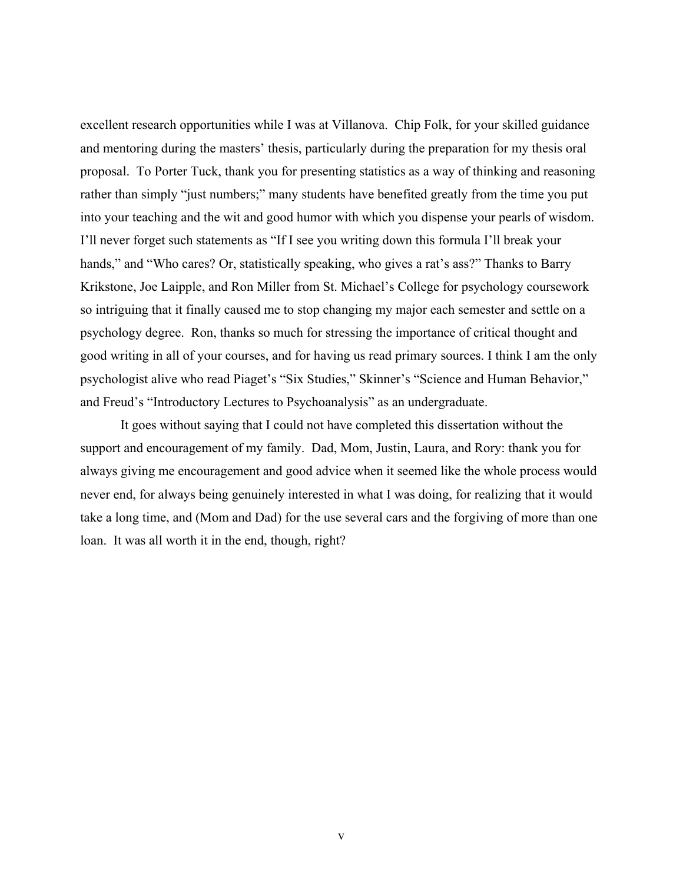excellent research opportunities while I was at Villanova. Chip Folk, for your skilled guidance and mentoring during the masters' thesis, particularly during the preparation for my thesis oral proposal. To Porter Tuck, thank you for presenting statistics as a way of thinking and reasoning rather than simply "just numbers;" many students have benefited greatly from the time you put into your teaching and the wit and good humor with which you dispense your pearls of wisdom. I'll never forget such statements as "If I see you writing down this formula I'll break your hands," and "Who cares? Or, statistically speaking, who gives a rat's ass?" Thanks to Barry Krikstone, Joe Laipple, and Ron Miller from St. Michael's College for psychology coursework so intriguing that it finally caused me to stop changing my major each semester and settle on a psychology degree. Ron, thanks so much for stressing the importance of critical thought and good writing in all of your courses, and for having us read primary sources. I think I am the only psychologist alive who read Piaget's "Six Studies," Skinner's "Science and Human Behavior," and Freud's "Introductory Lectures to Psychoanalysis" as an undergraduate.

It goes without saying that I could not have completed this dissertation without the support and encouragement of my family. Dad, Mom, Justin, Laura, and Rory: thank you for always giving me encouragement and good advice when it seemed like the whole process would never end, for always being genuinely interested in what I was doing, for realizing that it would take a long time, and (Mom and Dad) for the use several cars and the forgiving of more than one loan. It was all worth it in the end, though, right?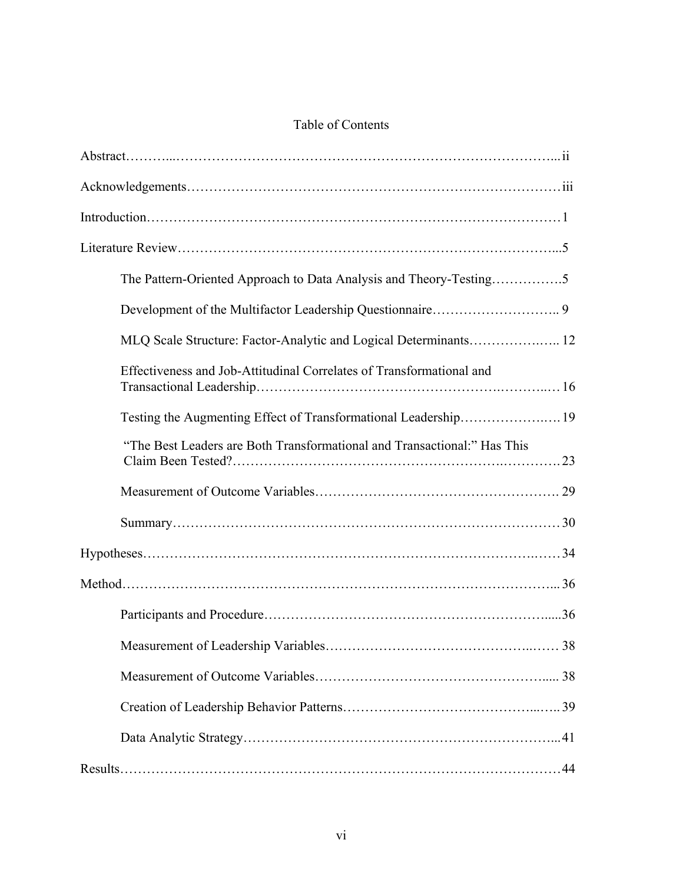# Table of Contents

| The Pattern-Oriented Approach to Data Analysis and Theory-Testing5       |
|--------------------------------------------------------------------------|
|                                                                          |
| MLQ Scale Structure: Factor-Analytic and Logical Determinants 12         |
| Effectiveness and Job-Attitudinal Correlates of Transformational and     |
| Testing the Augmenting Effect of Transformational Leadership 19          |
| "The Best Leaders are Both Transformational and Transactional:" Has This |
|                                                                          |
|                                                                          |
|                                                                          |
|                                                                          |
|                                                                          |
|                                                                          |
|                                                                          |
|                                                                          |
|                                                                          |
|                                                                          |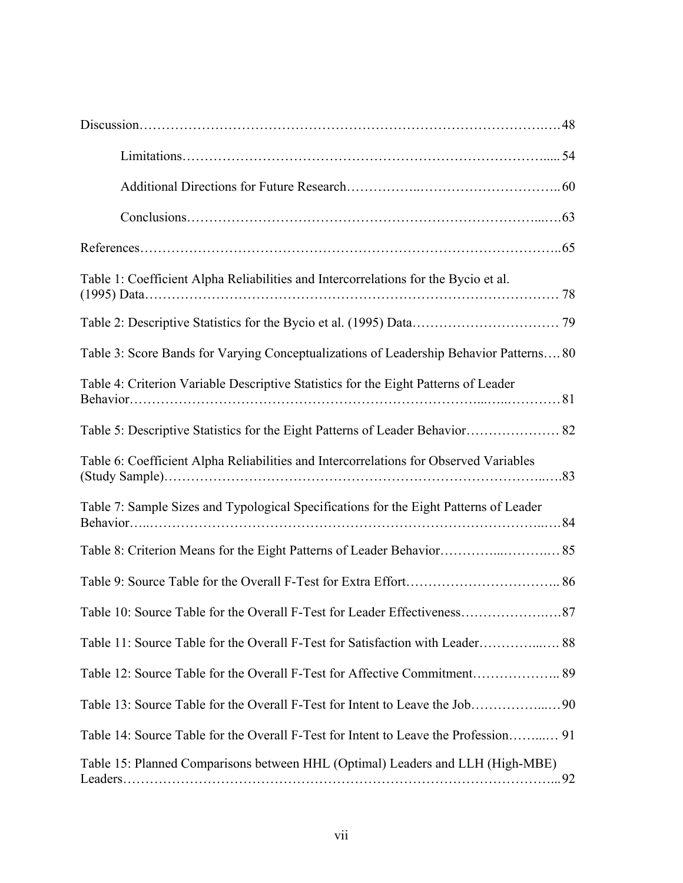| Table 1: Coefficient Alpha Reliabilities and Intercorrelations for the Bycio et al.    |
|----------------------------------------------------------------------------------------|
|                                                                                        |
| Table 3: Score Bands for Varying Conceptualizations of Leadership Behavior Patterns 80 |
| Table 4: Criterion Variable Descriptive Statistics for the Eight Patterns of Leader    |
|                                                                                        |
| Table 6: Coefficient Alpha Reliabilities and Intercorrelations for Observed Variables  |
| Table 7: Sample Sizes and Typological Specifications for the Eight Patterns of Leader  |
|                                                                                        |
|                                                                                        |
| Table 10: Source Table for the Overall F-Test for Leader Effectiveness.<br>87          |
| Table 11: Source Table for the Overall F-Test for Satisfaction with Leader 88          |
|                                                                                        |
|                                                                                        |
|                                                                                        |
| Table 15: Planned Comparisons between HHL (Optimal) Leaders and LLH (High-MBE)         |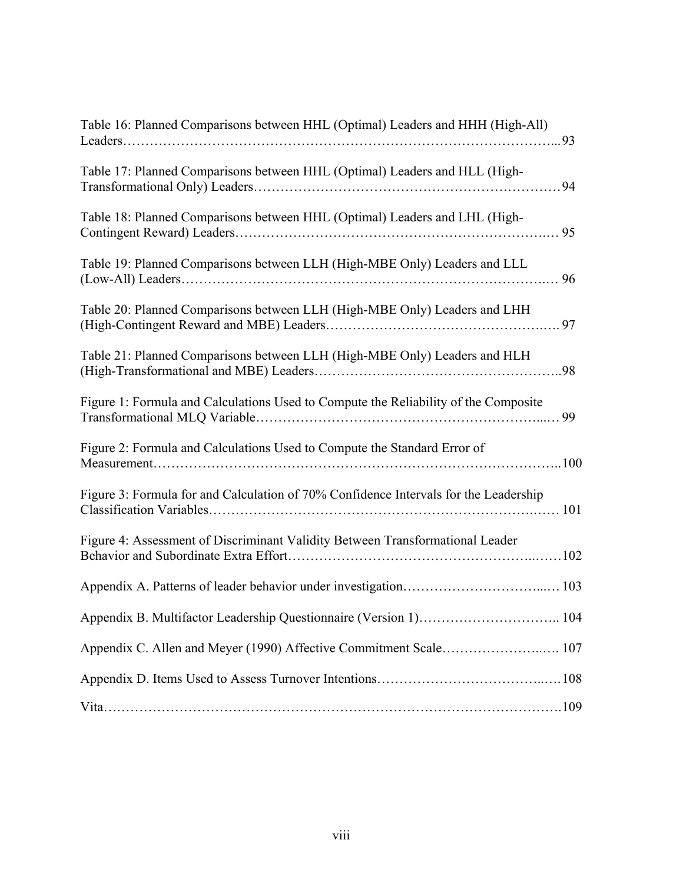| Table 16: Planned Comparisons between HHL (Optimal) Leaders and HHH (High-All)       |  |
|--------------------------------------------------------------------------------------|--|
| Table 17: Planned Comparisons between HHL (Optimal) Leaders and HLL (High-           |  |
| Table 18: Planned Comparisons between HHL (Optimal) Leaders and LHL (High-           |  |
| Table 19: Planned Comparisons between LLH (High-MBE Only) Leaders and LLL            |  |
| Table 20: Planned Comparisons between LLH (High-MBE Only) Leaders and LHH            |  |
| Table 21: Planned Comparisons between LLH (High-MBE Only) Leaders and HLH            |  |
| Figure 1: Formula and Calculations Used to Compute the Reliability of the Composite  |  |
| Figure 2: Formula and Calculations Used to Compute the Standard Error of             |  |
| Figure 3: Formula for and Calculation of 70% Confidence Intervals for the Leadership |  |
| Figure 4: Assessment of Discriminant Validity Between Transformational Leader        |  |
|                                                                                      |  |
| Appendix B. Multifactor Leadership Questionnaire (Version 1) 104                     |  |
|                                                                                      |  |
|                                                                                      |  |
|                                                                                      |  |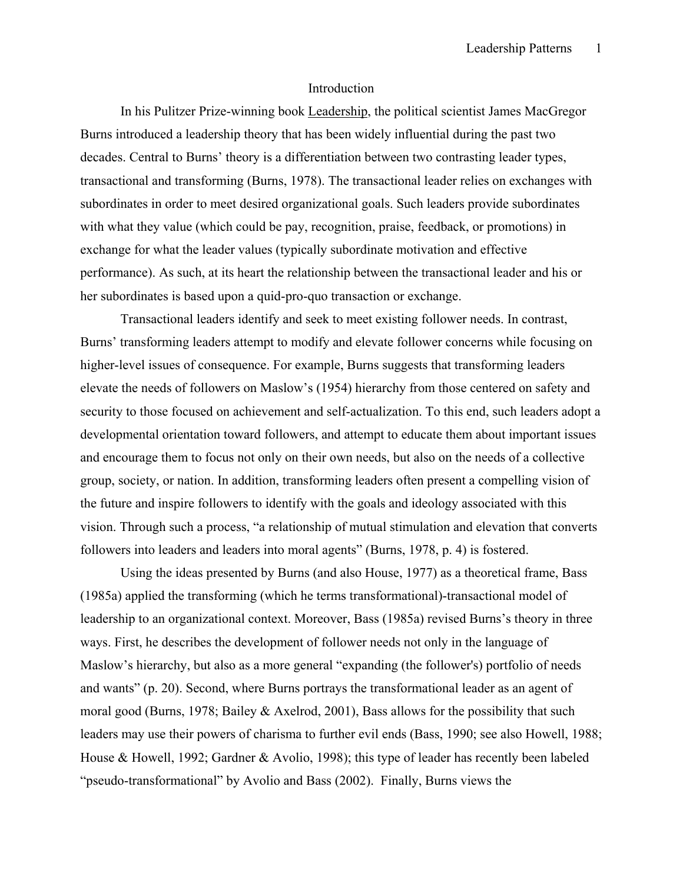#### Introduction

 In his Pulitzer Prize-winning book Leadership, the political scientist James MacGregor Burns introduced a leadership theory that has been widely influential during the past two decades. Central to Burns' theory is a differentiation between two contrasting leader types, transactional and transforming (Burns, 1978). The transactional leader relies on exchanges with subordinates in order to meet desired organizational goals. Such leaders provide subordinates with what they value (which could be pay, recognition, praise, feedback, or promotions) in exchange for what the leader values (typically subordinate motivation and effective performance). As such, at its heart the relationship between the transactional leader and his or her subordinates is based upon a quid-pro-quo transaction or exchange.

 Transactional leaders identify and seek to meet existing follower needs. In contrast, Burns' transforming leaders attempt to modify and elevate follower concerns while focusing on higher-level issues of consequence. For example, Burns suggests that transforming leaders elevate the needs of followers on Maslow's (1954) hierarchy from those centered on safety and security to those focused on achievement and self-actualization. To this end, such leaders adopt a developmental orientation toward followers, and attempt to educate them about important issues and encourage them to focus not only on their own needs, but also on the needs of a collective group, society, or nation. In addition, transforming leaders often present a compelling vision of the future and inspire followers to identify with the goals and ideology associated with this vision. Through such a process, "a relationship of mutual stimulation and elevation that converts followers into leaders and leaders into moral agents" (Burns, 1978, p. 4) is fostered.

Using the ideas presented by Burns (and also House, 1977) as a theoretical frame, Bass (1985a) applied the transforming (which he terms transformational)-transactional model of leadership to an organizational context. Moreover, Bass (1985a) revised Burns's theory in three ways. First, he describes the development of follower needs not only in the language of Maslow's hierarchy, but also as a more general "expanding (the follower's) portfolio of needs and wants" (p. 20). Second, where Burns portrays the transformational leader as an agent of moral good (Burns, 1978; Bailey & Axelrod, 2001), Bass allows for the possibility that such leaders may use their powers of charisma to further evil ends (Bass, 1990; see also Howell, 1988; House & Howell, 1992; Gardner & Avolio, 1998); this type of leader has recently been labeled "pseudo-transformational" by Avolio and Bass (2002). Finally, Burns views the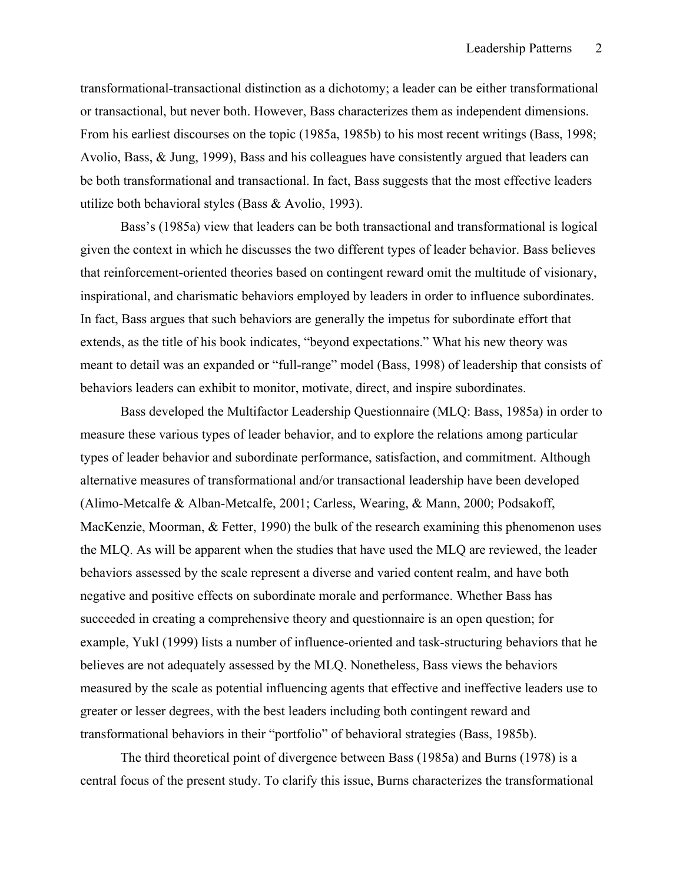transformational-transactional distinction as a dichotomy; a leader can be either transformational or transactional, but never both. However, Bass characterizes them as independent dimensions. From his earliest discourses on the topic (1985a, 1985b) to his most recent writings (Bass, 1998; Avolio, Bass, & Jung, 1999), Bass and his colleagues have consistently argued that leaders can be both transformational and transactional. In fact, Bass suggests that the most effective leaders utilize both behavioral styles (Bass & Avolio, 1993).

 Bass's (1985a) view that leaders can be both transactional and transformational is logical given the context in which he discusses the two different types of leader behavior. Bass believes that reinforcement-oriented theories based on contingent reward omit the multitude of visionary, inspirational, and charismatic behaviors employed by leaders in order to influence subordinates. In fact, Bass argues that such behaviors are generally the impetus for subordinate effort that extends, as the title of his book indicates, "beyond expectations." What his new theory was meant to detail was an expanded or "full-range" model (Bass, 1998) of leadership that consists of behaviors leaders can exhibit to monitor, motivate, direct, and inspire subordinates.

Bass developed the Multifactor Leadership Questionnaire (MLQ: Bass, 1985a) in order to measure these various types of leader behavior, and to explore the relations among particular types of leader behavior and subordinate performance, satisfaction, and commitment. Although alternative measures of transformational and/or transactional leadership have been developed (Alimo-Metcalfe & Alban-Metcalfe, 2001; Carless, Wearing, & Mann, 2000; Podsakoff, MacKenzie, Moorman, & Fetter, 1990) the bulk of the research examining this phenomenon uses the MLQ. As will be apparent when the studies that have used the MLQ are reviewed, the leader behaviors assessed by the scale represent a diverse and varied content realm, and have both negative and positive effects on subordinate morale and performance. Whether Bass has succeeded in creating a comprehensive theory and questionnaire is an open question; for example, Yukl (1999) lists a number of influence-oriented and task-structuring behaviors that he believes are not adequately assessed by the MLQ. Nonetheless, Bass views the behaviors measured by the scale as potential influencing agents that effective and ineffective leaders use to greater or lesser degrees, with the best leaders including both contingent reward and transformational behaviors in their "portfolio" of behavioral strategies (Bass, 1985b).

 The third theoretical point of divergence between Bass (1985a) and Burns (1978) is a central focus of the present study. To clarify this issue, Burns characterizes the transformational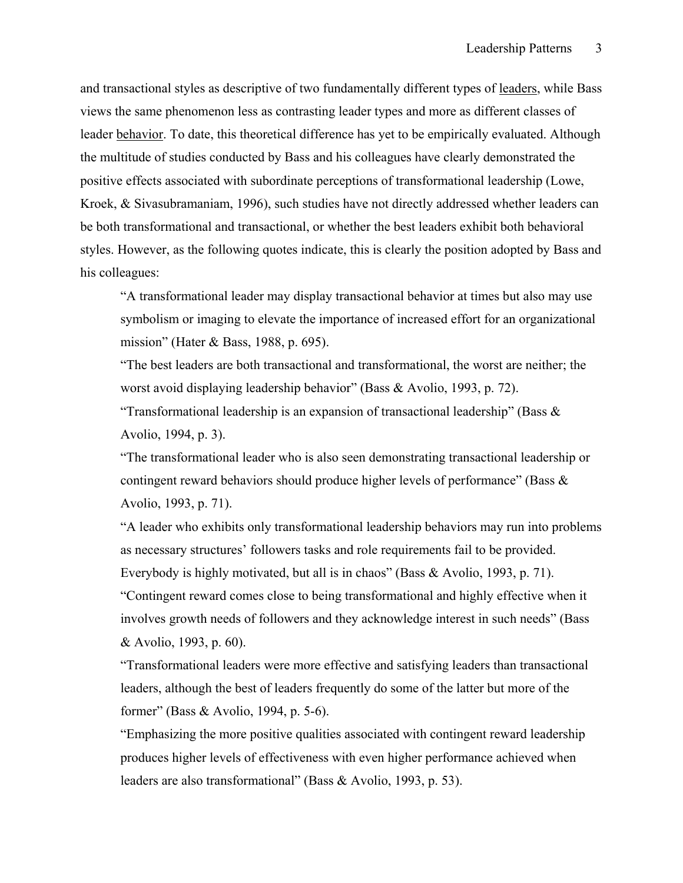and transactional styles as descriptive of two fundamentally different types of leaders, while Bass views the same phenomenon less as contrasting leader types and more as different classes of leader behavior. To date, this theoretical difference has yet to be empirically evaluated. Although the multitude of studies conducted by Bass and his colleagues have clearly demonstrated the positive effects associated with subordinate perceptions of transformational leadership (Lowe, Kroek, & Sivasubramaniam, 1996), such studies have not directly addressed whether leaders can be both transformational and transactional, or whether the best leaders exhibit both behavioral styles. However, as the following quotes indicate, this is clearly the position adopted by Bass and his colleagues:

"A transformational leader may display transactional behavior at times but also may use symbolism or imaging to elevate the importance of increased effort for an organizational mission" (Hater & Bass, 1988, p. 695).

"The best leaders are both transactional and transformational, the worst are neither; the worst avoid displaying leadership behavior" (Bass & Avolio, 1993, p. 72).

"Transformational leadership is an expansion of transactional leadership" (Bass  $\&$ Avolio, 1994, p. 3).

"The transformational leader who is also seen demonstrating transactional leadership or contingent reward behaviors should produce higher levels of performance" (Bass & Avolio, 1993, p. 71).

"A leader who exhibits only transformational leadership behaviors may run into problems as necessary structures' followers tasks and role requirements fail to be provided. Everybody is highly motivated, but all is in chaos" (Bass & Avolio, 1993, p. 71). "Contingent reward comes close to being transformational and highly effective when it involves growth needs of followers and they acknowledge interest in such needs" (Bass & Avolio, 1993, p. 60).

"Transformational leaders were more effective and satisfying leaders than transactional leaders, although the best of leaders frequently do some of the latter but more of the former" (Bass & Avolio, 1994, p. 5-6).

"Emphasizing the more positive qualities associated with contingent reward leadership produces higher levels of effectiveness with even higher performance achieved when leaders are also transformational" (Bass & Avolio, 1993, p. 53).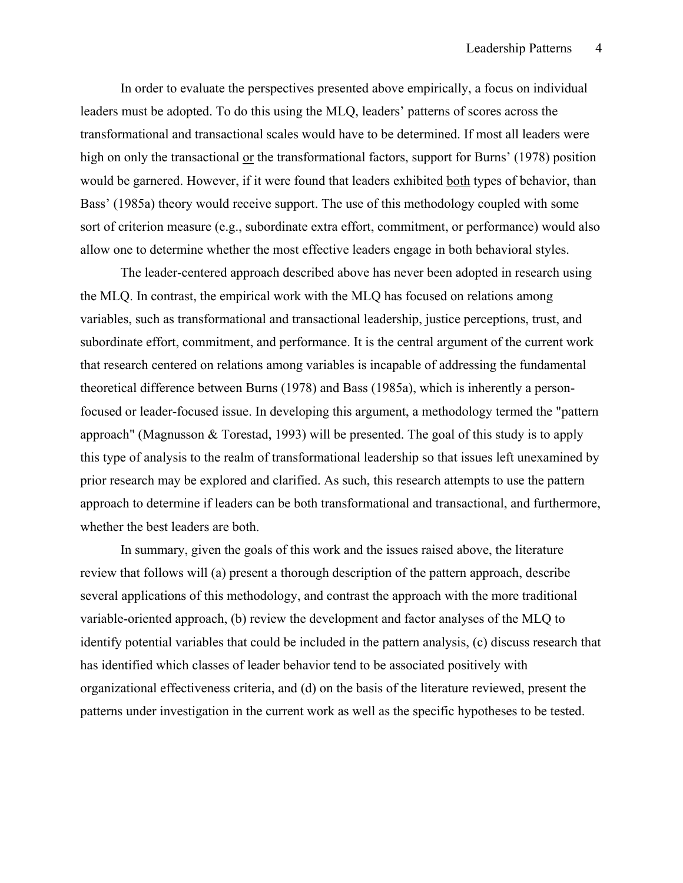In order to evaluate the perspectives presented above empirically, a focus on individual leaders must be adopted. To do this using the MLQ, leaders' patterns of scores across the transformational and transactional scales would have to be determined. If most all leaders were high on only the transactional or the transformational factors, support for Burns' (1978) position would be garnered. However, if it were found that leaders exhibited both types of behavior, than Bass' (1985a) theory would receive support. The use of this methodology coupled with some sort of criterion measure (e.g., subordinate extra effort, commitment, or performance) would also allow one to determine whether the most effective leaders engage in both behavioral styles.

 The leader-centered approach described above has never been adopted in research using the MLQ. In contrast, the empirical work with the MLQ has focused on relations among variables, such as transformational and transactional leadership, justice perceptions, trust, and subordinate effort, commitment, and performance. It is the central argument of the current work that research centered on relations among variables is incapable of addressing the fundamental theoretical difference between Burns (1978) and Bass (1985a), which is inherently a personfocused or leader-focused issue. In developing this argument, a methodology termed the "pattern approach" (Magnusson & Torestad, 1993) will be presented. The goal of this study is to apply this type of analysis to the realm of transformational leadership so that issues left unexamined by prior research may be explored and clarified. As such, this research attempts to use the pattern approach to determine if leaders can be both transformational and transactional, and furthermore, whether the best leaders are both.

 In summary, given the goals of this work and the issues raised above, the literature review that follows will (a) present a thorough description of the pattern approach, describe several applications of this methodology, and contrast the approach with the more traditional variable-oriented approach, (b) review the development and factor analyses of the MLQ to identify potential variables that could be included in the pattern analysis, (c) discuss research that has identified which classes of leader behavior tend to be associated positively with organizational effectiveness criteria, and (d) on the basis of the literature reviewed, present the patterns under investigation in the current work as well as the specific hypotheses to be tested.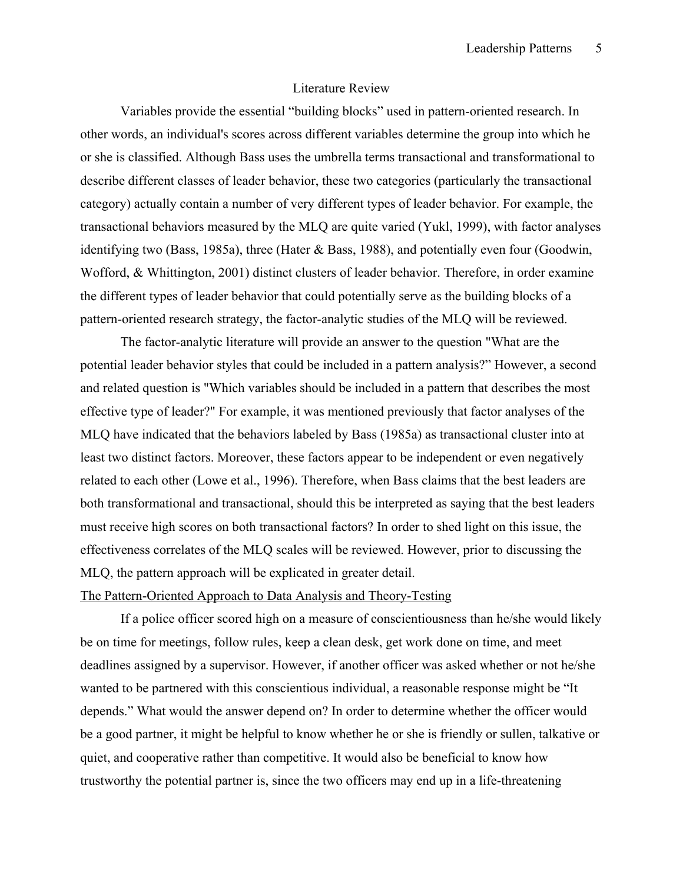### Literature Review

Variables provide the essential "building blocks" used in pattern-oriented research. In other words, an individual's scores across different variables determine the group into which he or she is classified. Although Bass uses the umbrella terms transactional and transformational to describe different classes of leader behavior, these two categories (particularly the transactional category) actually contain a number of very different types of leader behavior. For example, the transactional behaviors measured by the MLQ are quite varied (Yukl, 1999), with factor analyses identifying two (Bass, 1985a), three (Hater & Bass, 1988), and potentially even four (Goodwin, Wofford, & Whittington, 2001) distinct clusters of leader behavior. Therefore, in order examine the different types of leader behavior that could potentially serve as the building blocks of a pattern-oriented research strategy, the factor-analytic studies of the MLQ will be reviewed.

The factor-analytic literature will provide an answer to the question "What are the potential leader behavior styles that could be included in a pattern analysis?" However, a second and related question is "Which variables should be included in a pattern that describes the most effective type of leader?" For example, it was mentioned previously that factor analyses of the MLQ have indicated that the behaviors labeled by Bass (1985a) as transactional cluster into at least two distinct factors. Moreover, these factors appear to be independent or even negatively related to each other (Lowe et al., 1996). Therefore, when Bass claims that the best leaders are both transformational and transactional, should this be interpreted as saying that the best leaders must receive high scores on both transactional factors? In order to shed light on this issue, the effectiveness correlates of the MLQ scales will be reviewed. However, prior to discussing the MLQ, the pattern approach will be explicated in greater detail.

## The Pattern-Oriented Approach to Data Analysis and Theory-Testing

 If a police officer scored high on a measure of conscientiousness than he/she would likely be on time for meetings, follow rules, keep a clean desk, get work done on time, and meet deadlines assigned by a supervisor. However, if another officer was asked whether or not he/she wanted to be partnered with this conscientious individual, a reasonable response might be "It depends." What would the answer depend on? In order to determine whether the officer would be a good partner, it might be helpful to know whether he or she is friendly or sullen, talkative or quiet, and cooperative rather than competitive. It would also be beneficial to know how trustworthy the potential partner is, since the two officers may end up in a life-threatening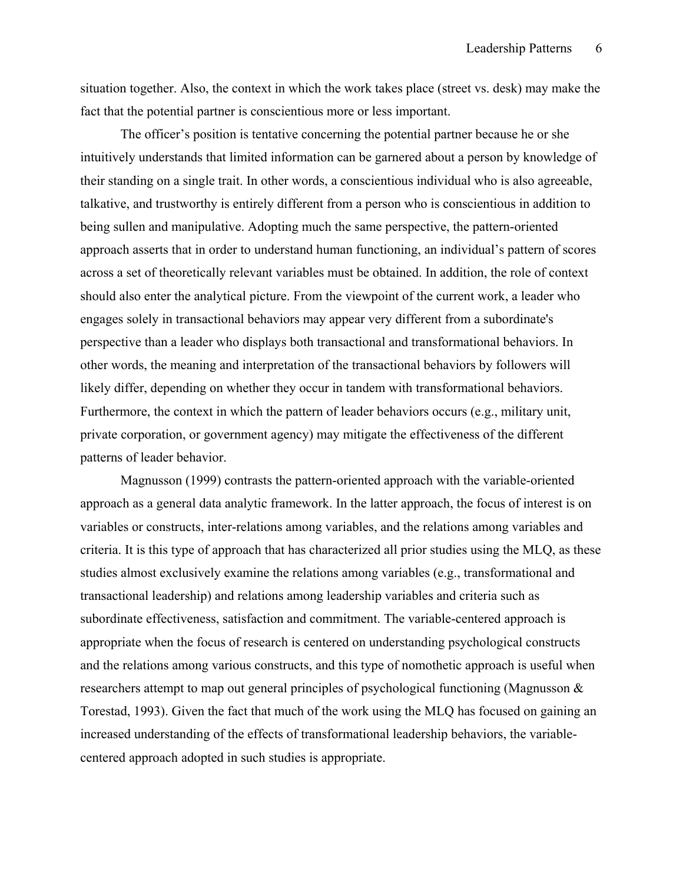situation together. Also, the context in which the work takes place (street vs. desk) may make the fact that the potential partner is conscientious more or less important.

 The officer's position is tentative concerning the potential partner because he or she intuitively understands that limited information can be garnered about a person by knowledge of their standing on a single trait. In other words, a conscientious individual who is also agreeable, talkative, and trustworthy is entirely different from a person who is conscientious in addition to being sullen and manipulative. Adopting much the same perspective, the pattern-oriented approach asserts that in order to understand human functioning, an individual's pattern of scores across a set of theoretically relevant variables must be obtained. In addition, the role of context should also enter the analytical picture. From the viewpoint of the current work, a leader who engages solely in transactional behaviors may appear very different from a subordinate's perspective than a leader who displays both transactional and transformational behaviors. In other words, the meaning and interpretation of the transactional behaviors by followers will likely differ, depending on whether they occur in tandem with transformational behaviors. Furthermore, the context in which the pattern of leader behaviors occurs (e.g., military unit, private corporation, or government agency) may mitigate the effectiveness of the different patterns of leader behavior.

Magnusson (1999) contrasts the pattern-oriented approach with the variable-oriented approach as a general data analytic framework. In the latter approach, the focus of interest is on variables or constructs, inter-relations among variables, and the relations among variables and criteria. It is this type of approach that has characterized all prior studies using the MLQ, as these studies almost exclusively examine the relations among variables (e.g., transformational and transactional leadership) and relations among leadership variables and criteria such as subordinate effectiveness, satisfaction and commitment. The variable-centered approach is appropriate when the focus of research is centered on understanding psychological constructs and the relations among various constructs, and this type of nomothetic approach is useful when researchers attempt to map out general principles of psychological functioning (Magnusson & Torestad, 1993). Given the fact that much of the work using the MLQ has focused on gaining an increased understanding of the effects of transformational leadership behaviors, the variablecentered approach adopted in such studies is appropriate.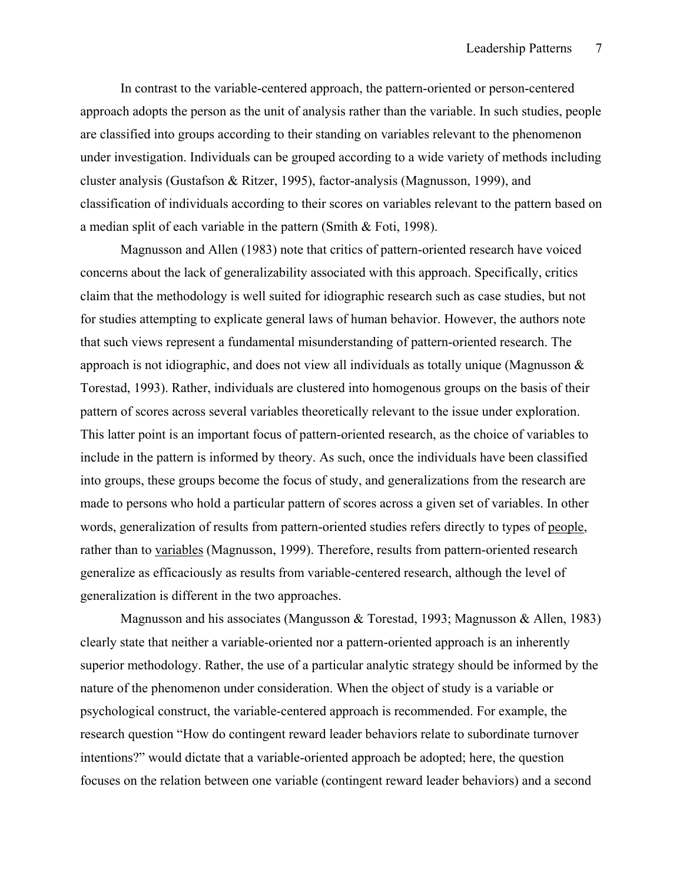In contrast to the variable-centered approach, the pattern-oriented or person-centered approach adopts the person as the unit of analysis rather than the variable. In such studies, people are classified into groups according to their standing on variables relevant to the phenomenon under investigation. Individuals can be grouped according to a wide variety of methods including cluster analysis (Gustafson & Ritzer, 1995), factor-analysis (Magnusson, 1999), and classification of individuals according to their scores on variables relevant to the pattern based on a median split of each variable in the pattern (Smith & Foti, 1998).

Magnusson and Allen (1983) note that critics of pattern-oriented research have voiced concerns about the lack of generalizability associated with this approach. Specifically, critics claim that the methodology is well suited for idiographic research such as case studies, but not for studies attempting to explicate general laws of human behavior. However, the authors note that such views represent a fundamental misunderstanding of pattern-oriented research. The approach is not idiographic, and does not view all individuals as totally unique (Magnusson  $\&$ Torestad, 1993). Rather, individuals are clustered into homogenous groups on the basis of their pattern of scores across several variables theoretically relevant to the issue under exploration. This latter point is an important focus of pattern-oriented research, as the choice of variables to include in the pattern is informed by theory. As such, once the individuals have been classified into groups, these groups become the focus of study, and generalizations from the research are made to persons who hold a particular pattern of scores across a given set of variables. In other words, generalization of results from pattern-oriented studies refers directly to types of people, rather than to variables (Magnusson, 1999). Therefore, results from pattern-oriented research generalize as efficaciously as results from variable-centered research, although the level of generalization is different in the two approaches.

 Magnusson and his associates (Mangusson & Torestad, 1993; Magnusson & Allen, 1983) clearly state that neither a variable-oriented nor a pattern-oriented approach is an inherently superior methodology. Rather, the use of a particular analytic strategy should be informed by the nature of the phenomenon under consideration. When the object of study is a variable or psychological construct, the variable-centered approach is recommended. For example, the research question "How do contingent reward leader behaviors relate to subordinate turnover intentions?" would dictate that a variable-oriented approach be adopted; here, the question focuses on the relation between one variable (contingent reward leader behaviors) and a second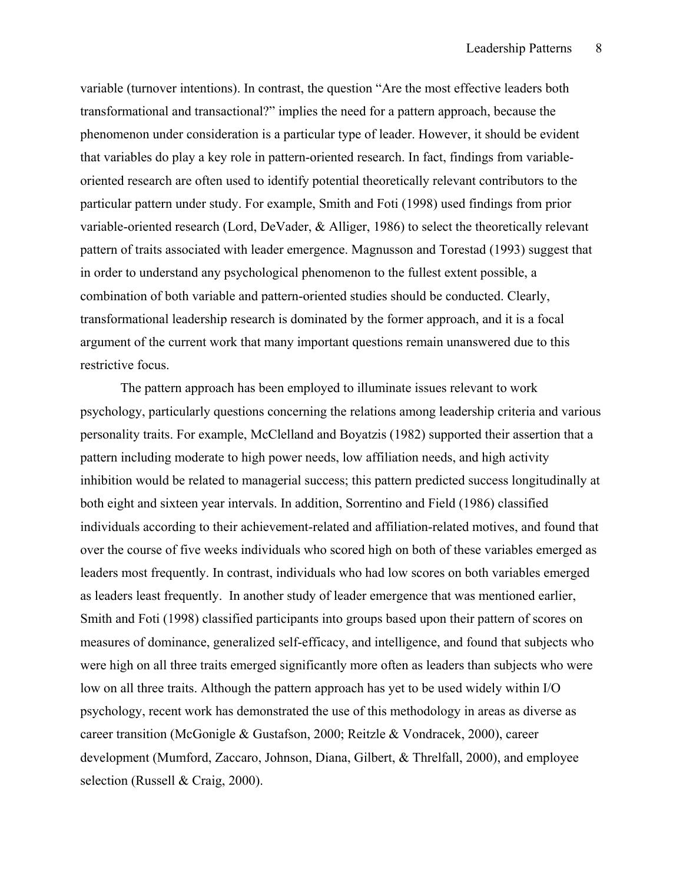variable (turnover intentions). In contrast, the question "Are the most effective leaders both transformational and transactional?" implies the need for a pattern approach, because the phenomenon under consideration is a particular type of leader. However, it should be evident that variables do play a key role in pattern-oriented research. In fact, findings from variableoriented research are often used to identify potential theoretically relevant contributors to the particular pattern under study. For example, Smith and Foti (1998) used findings from prior variable-oriented research (Lord, DeVader, & Alliger, 1986) to select the theoretically relevant pattern of traits associated with leader emergence. Magnusson and Torestad (1993) suggest that in order to understand any psychological phenomenon to the fullest extent possible, a combination of both variable and pattern-oriented studies should be conducted. Clearly, transformational leadership research is dominated by the former approach, and it is a focal argument of the current work that many important questions remain unanswered due to this restrictive focus.

The pattern approach has been employed to illuminate issues relevant to work psychology, particularly questions concerning the relations among leadership criteria and various personality traits. For example, McClelland and Boyatzis (1982) supported their assertion that a pattern including moderate to high power needs, low affiliation needs, and high activity inhibition would be related to managerial success; this pattern predicted success longitudinally at both eight and sixteen year intervals. In addition, Sorrentino and Field (1986) classified individuals according to their achievement-related and affiliation-related motives, and found that over the course of five weeks individuals who scored high on both of these variables emerged as leaders most frequently. In contrast, individuals who had low scores on both variables emerged as leaders least frequently. In another study of leader emergence that was mentioned earlier, Smith and Foti (1998) classified participants into groups based upon their pattern of scores on measures of dominance, generalized self-efficacy, and intelligence, and found that subjects who were high on all three traits emerged significantly more often as leaders than subjects who were low on all three traits. Although the pattern approach has yet to be used widely within I/O psychology, recent work has demonstrated the use of this methodology in areas as diverse as career transition (McGonigle & Gustafson, 2000; Reitzle & Vondracek, 2000), career development (Mumford, Zaccaro, Johnson, Diana, Gilbert, & Threlfall, 2000), and employee selection (Russell & Craig, 2000).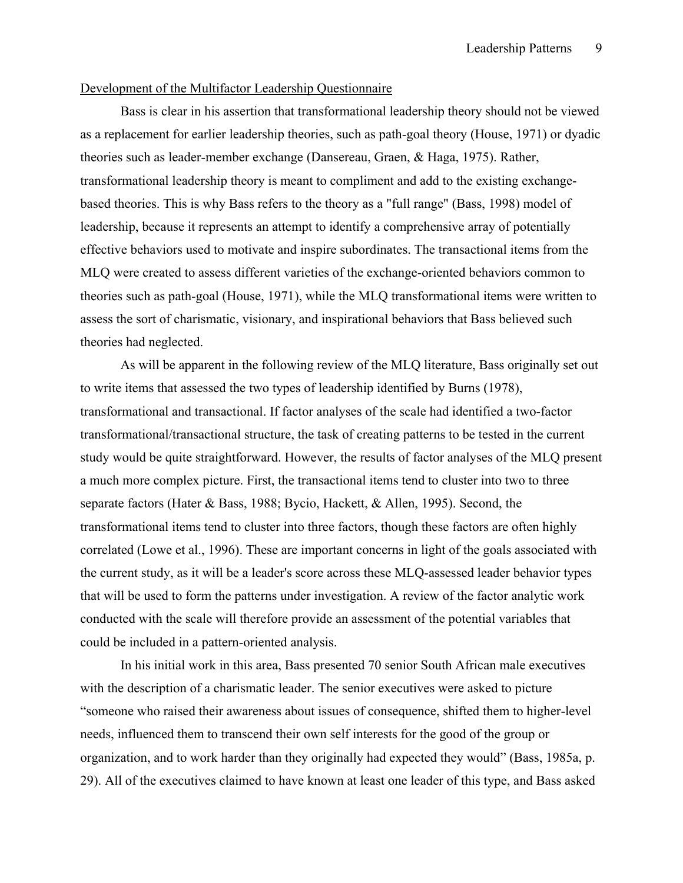### Development of the Multifactor Leadership Questionnaire

 Bass is clear in his assertion that transformational leadership theory should not be viewed as a replacement for earlier leadership theories, such as path-goal theory (House, 1971) or dyadic theories such as leader-member exchange (Dansereau, Graen, & Haga, 1975). Rather, transformational leadership theory is meant to compliment and add to the existing exchangebased theories. This is why Bass refers to the theory as a "full range" (Bass, 1998) model of leadership, because it represents an attempt to identify a comprehensive array of potentially effective behaviors used to motivate and inspire subordinates. The transactional items from the MLQ were created to assess different varieties of the exchange-oriented behaviors common to theories such as path-goal (House, 1971), while the MLQ transformational items were written to assess the sort of charismatic, visionary, and inspirational behaviors that Bass believed such theories had neglected.

 As will be apparent in the following review of the MLQ literature, Bass originally set out to write items that assessed the two types of leadership identified by Burns (1978), transformational and transactional. If factor analyses of the scale had identified a two-factor transformational/transactional structure, the task of creating patterns to be tested in the current study would be quite straightforward. However, the results of factor analyses of the MLQ present a much more complex picture. First, the transactional items tend to cluster into two to three separate factors (Hater & Bass, 1988; Bycio, Hackett, & Allen, 1995). Second, the transformational items tend to cluster into three factors, though these factors are often highly correlated (Lowe et al., 1996). These are important concerns in light of the goals associated with the current study, as it will be a leader's score across these MLQ-assessed leader behavior types that will be used to form the patterns under investigation. A review of the factor analytic work conducted with the scale will therefore provide an assessment of the potential variables that could be included in a pattern-oriented analysis.

 In his initial work in this area, Bass presented 70 senior South African male executives with the description of a charismatic leader. The senior executives were asked to picture "someone who raised their awareness about issues of consequence, shifted them to higher-level needs, influenced them to transcend their own self interests for the good of the group or organization, and to work harder than they originally had expected they would" (Bass, 1985a, p. 29). All of the executives claimed to have known at least one leader of this type, and Bass asked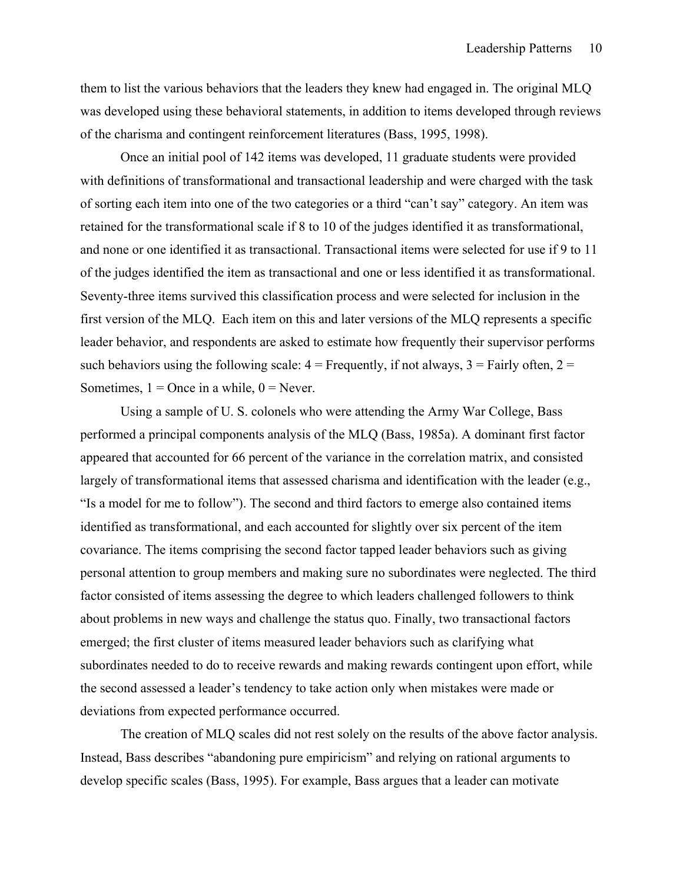them to list the various behaviors that the leaders they knew had engaged in. The original MLQ was developed using these behavioral statements, in addition to items developed through reviews of the charisma and contingent reinforcement literatures (Bass, 1995, 1998).

 Once an initial pool of 142 items was developed, 11 graduate students were provided with definitions of transformational and transactional leadership and were charged with the task of sorting each item into one of the two categories or a third "can't say" category. An item was retained for the transformational scale if 8 to 10 of the judges identified it as transformational, and none or one identified it as transactional. Transactional items were selected for use if 9 to 11 of the judges identified the item as transactional and one or less identified it as transformational. Seventy-three items survived this classification process and were selected for inclusion in the first version of the MLQ. Each item on this and later versions of the MLQ represents a specific leader behavior, and respondents are asked to estimate how frequently their supervisor performs such behaviors using the following scale:  $4 =$  Frequently, if not always,  $3 =$  Fairly often,  $2 =$ Sometimes,  $1 =$ Once in a while,  $0 =$ Never.

 Using a sample of U. S. colonels who were attending the Army War College, Bass performed a principal components analysis of the MLQ (Bass, 1985a). A dominant first factor appeared that accounted for 66 percent of the variance in the correlation matrix, and consisted largely of transformational items that assessed charisma and identification with the leader (e.g., "Is a model for me to follow"). The second and third factors to emerge also contained items identified as transformational, and each accounted for slightly over six percent of the item covariance. The items comprising the second factor tapped leader behaviors such as giving personal attention to group members and making sure no subordinates were neglected. The third factor consisted of items assessing the degree to which leaders challenged followers to think about problems in new ways and challenge the status quo. Finally, two transactional factors emerged; the first cluster of items measured leader behaviors such as clarifying what subordinates needed to do to receive rewards and making rewards contingent upon effort, while the second assessed a leader's tendency to take action only when mistakes were made or deviations from expected performance occurred.

 The creation of MLQ scales did not rest solely on the results of the above factor analysis. Instead, Bass describes "abandoning pure empiricism" and relying on rational arguments to develop specific scales (Bass, 1995). For example, Bass argues that a leader can motivate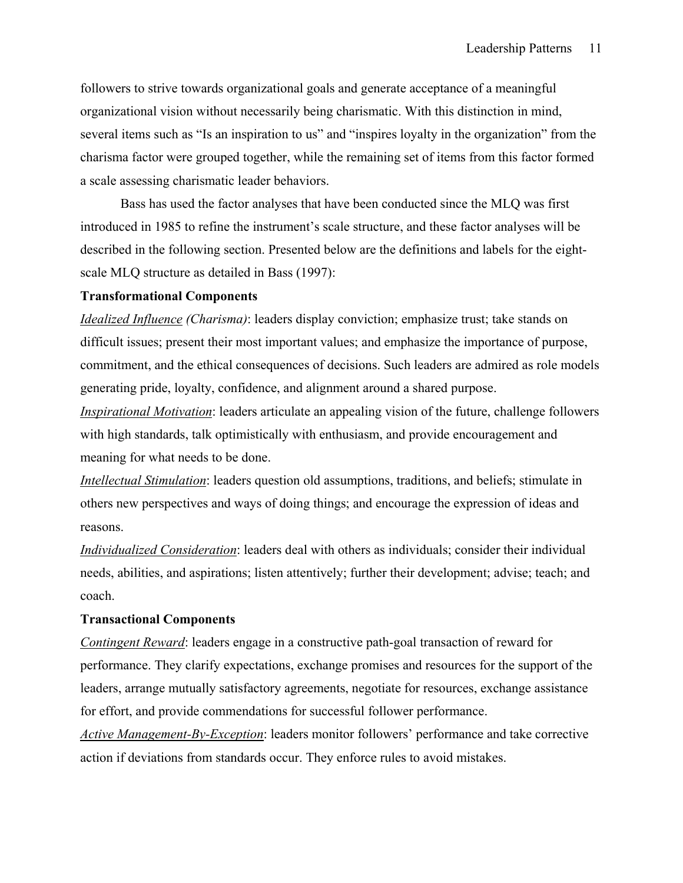followers to strive towards organizational goals and generate acceptance of a meaningful organizational vision without necessarily being charismatic. With this distinction in mind, several items such as "Is an inspiration to us" and "inspires loyalty in the organization" from the charisma factor were grouped together, while the remaining set of items from this factor formed a scale assessing charismatic leader behaviors.

Bass has used the factor analyses that have been conducted since the MLQ was first introduced in 1985 to refine the instrument's scale structure, and these factor analyses will be described in the following section. Presented below are the definitions and labels for the eightscale MLQ structure as detailed in Bass (1997):

### **Transformational Components**

*Idealized Influence (Charisma)*: leaders display conviction; emphasize trust; take stands on difficult issues; present their most important values; and emphasize the importance of purpose, commitment, and the ethical consequences of decisions. Such leaders are admired as role models generating pride, loyalty, confidence, and alignment around a shared purpose.

*Inspirational Motivation*: leaders articulate an appealing vision of the future, challenge followers with high standards, talk optimistically with enthusiasm, and provide encouragement and meaning for what needs to be done.

*Intellectual Stimulation*: leaders question old assumptions, traditions, and beliefs; stimulate in others new perspectives and ways of doing things; and encourage the expression of ideas and reasons.

*Individualized Consideration*: leaders deal with others as individuals; consider their individual needs, abilities, and aspirations; listen attentively; further their development; advise; teach; and coach.

### **Transactional Components**

*Contingent Reward*: leaders engage in a constructive path-goal transaction of reward for performance. They clarify expectations, exchange promises and resources for the support of the leaders, arrange mutually satisfactory agreements, negotiate for resources, exchange assistance for effort, and provide commendations for successful follower performance.

*Active Management-By-Exception*: leaders monitor followers' performance and take corrective action if deviations from standards occur. They enforce rules to avoid mistakes.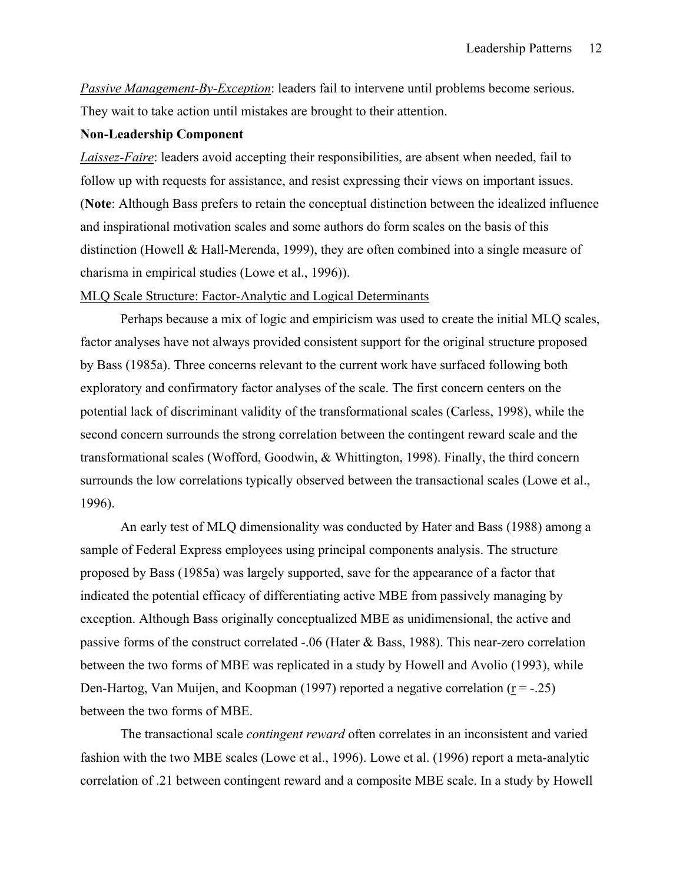*Passive Management-By-Exception*: leaders fail to intervene until problems become serious. They wait to take action until mistakes are brought to their attention.

### **Non-Leadership Component**

*Laissez-Faire*: leaders avoid accepting their responsibilities, are absent when needed, fail to follow up with requests for assistance, and resist expressing their views on important issues. (**Note**: Although Bass prefers to retain the conceptual distinction between the idealized influence and inspirational motivation scales and some authors do form scales on the basis of this distinction (Howell & Hall-Merenda, 1999), they are often combined into a single measure of charisma in empirical studies (Lowe et al., 1996)).

#### MLQ Scale Structure: Factor-Analytic and Logical Determinants

 Perhaps because a mix of logic and empiricism was used to create the initial MLQ scales, factor analyses have not always provided consistent support for the original structure proposed by Bass (1985a). Three concerns relevant to the current work have surfaced following both exploratory and confirmatory factor analyses of the scale. The first concern centers on the potential lack of discriminant validity of the transformational scales (Carless, 1998), while the second concern surrounds the strong correlation between the contingent reward scale and the transformational scales (Wofford, Goodwin, & Whittington, 1998). Finally, the third concern surrounds the low correlations typically observed between the transactional scales (Lowe et al., 1996).

 An early test of MLQ dimensionality was conducted by Hater and Bass (1988) among a sample of Federal Express employees using principal components analysis. The structure proposed by Bass (1985a) was largely supported, save for the appearance of a factor that indicated the potential efficacy of differentiating active MBE from passively managing by exception. Although Bass originally conceptualized MBE as unidimensional, the active and passive forms of the construct correlated -.06 (Hater & Bass, 1988). This near-zero correlation between the two forms of MBE was replicated in a study by Howell and Avolio (1993), while Den-Hartog, Van Muijen, and Koopman (1997) reported a negative correlation  $(r = -0.25)$ between the two forms of MBE.

 The transactional scale *contingent reward* often correlates in an inconsistent and varied fashion with the two MBE scales (Lowe et al., 1996). Lowe et al. (1996) report a meta-analytic correlation of .21 between contingent reward and a composite MBE scale. In a study by Howell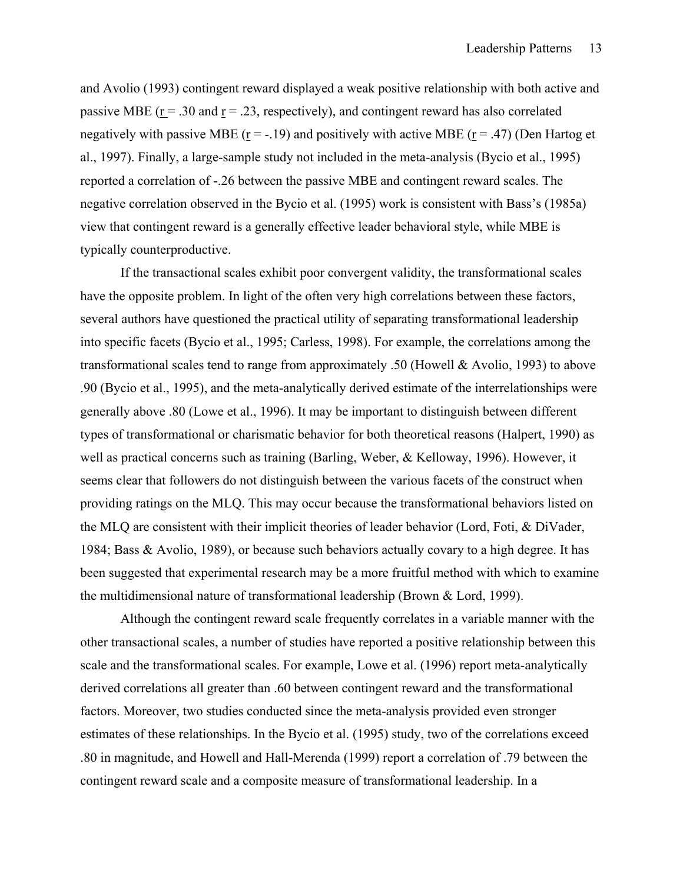and Avolio (1993) contingent reward displayed a weak positive relationship with both active and passive MBE ( $r = .30$  and  $r = .23$ , respectively), and contingent reward has also correlated negatively with passive MBE ( $\underline{r}$  = -.19) and positively with active MBE ( $\underline{r}$  = .47) (Den Hartog et al., 1997). Finally, a large-sample study not included in the meta-analysis (Bycio et al., 1995) reported a correlation of -.26 between the passive MBE and contingent reward scales. The negative correlation observed in the Bycio et al. (1995) work is consistent with Bass's (1985a) view that contingent reward is a generally effective leader behavioral style, while MBE is typically counterproductive.

 If the transactional scales exhibit poor convergent validity, the transformational scales have the opposite problem. In light of the often very high correlations between these factors, several authors have questioned the practical utility of separating transformational leadership into specific facets (Bycio et al., 1995; Carless, 1998). For example, the correlations among the transformational scales tend to range from approximately .50 (Howell & Avolio, 1993) to above .90 (Bycio et al., 1995), and the meta-analytically derived estimate of the interrelationships were generally above .80 (Lowe et al., 1996). It may be important to distinguish between different types of transformational or charismatic behavior for both theoretical reasons (Halpert, 1990) as well as practical concerns such as training (Barling, Weber, & Kelloway, 1996). However, it seems clear that followers do not distinguish between the various facets of the construct when providing ratings on the MLQ. This may occur because the transformational behaviors listed on the MLQ are consistent with their implicit theories of leader behavior (Lord, Foti, & DiVader, 1984; Bass & Avolio, 1989), or because such behaviors actually covary to a high degree. It has been suggested that experimental research may be a more fruitful method with which to examine the multidimensional nature of transformational leadership (Brown & Lord, 1999).

 Although the contingent reward scale frequently correlates in a variable manner with the other transactional scales, a number of studies have reported a positive relationship between this scale and the transformational scales. For example, Lowe et al. (1996) report meta-analytically derived correlations all greater than .60 between contingent reward and the transformational factors. Moreover, two studies conducted since the meta-analysis provided even stronger estimates of these relationships. In the Bycio et al. (1995) study, two of the correlations exceed .80 in magnitude, and Howell and Hall-Merenda (1999) report a correlation of .79 between the contingent reward scale and a composite measure of transformational leadership. In a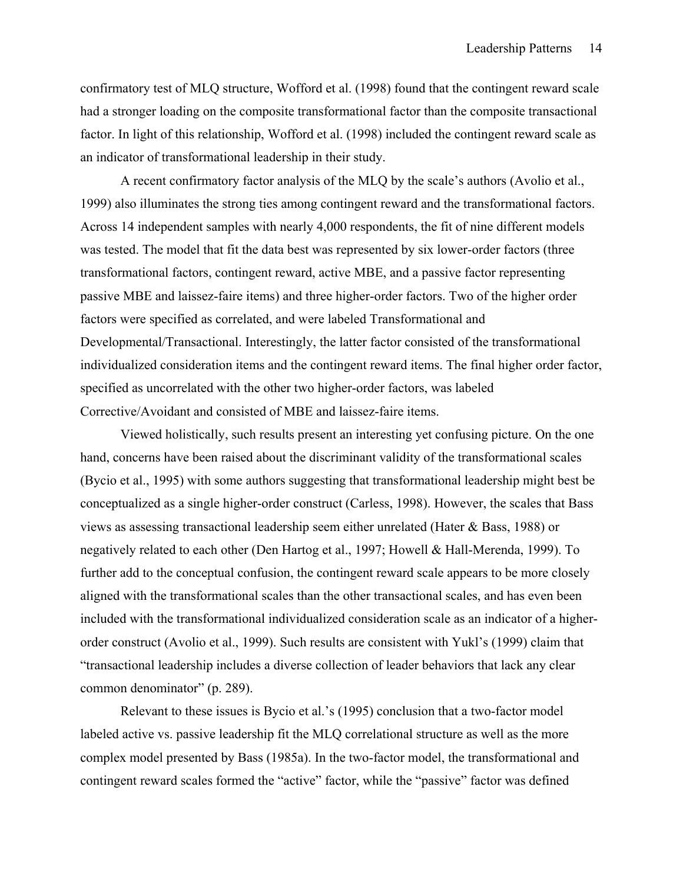confirmatory test of MLQ structure, Wofford et al. (1998) found that the contingent reward scale had a stronger loading on the composite transformational factor than the composite transactional factor. In light of this relationship, Wofford et al. (1998) included the contingent reward scale as an indicator of transformational leadership in their study.

 A recent confirmatory factor analysis of the MLQ by the scale's authors (Avolio et al., 1999) also illuminates the strong ties among contingent reward and the transformational factors. Across 14 independent samples with nearly 4,000 respondents, the fit of nine different models was tested. The model that fit the data best was represented by six lower-order factors (three transformational factors, contingent reward, active MBE, and a passive factor representing passive MBE and laissez-faire items) and three higher-order factors. Two of the higher order factors were specified as correlated, and were labeled Transformational and Developmental/Transactional. Interestingly, the latter factor consisted of the transformational individualized consideration items and the contingent reward items. The final higher order factor, specified as uncorrelated with the other two higher-order factors, was labeled Corrective/Avoidant and consisted of MBE and laissez-faire items.

Viewed holistically, such results present an interesting yet confusing picture. On the one hand, concerns have been raised about the discriminant validity of the transformational scales (Bycio et al., 1995) with some authors suggesting that transformational leadership might best be conceptualized as a single higher-order construct (Carless, 1998). However, the scales that Bass views as assessing transactional leadership seem either unrelated (Hater & Bass, 1988) or negatively related to each other (Den Hartog et al., 1997; Howell & Hall-Merenda, 1999). To further add to the conceptual confusion, the contingent reward scale appears to be more closely aligned with the transformational scales than the other transactional scales, and has even been included with the transformational individualized consideration scale as an indicator of a higherorder construct (Avolio et al., 1999). Such results are consistent with Yukl's (1999) claim that "transactional leadership includes a diverse collection of leader behaviors that lack any clear common denominator" (p. 289).

Relevant to these issues is Bycio et al.'s (1995) conclusion that a two-factor model labeled active vs. passive leadership fit the MLQ correlational structure as well as the more complex model presented by Bass (1985a). In the two-factor model, the transformational and contingent reward scales formed the "active" factor, while the "passive" factor was defined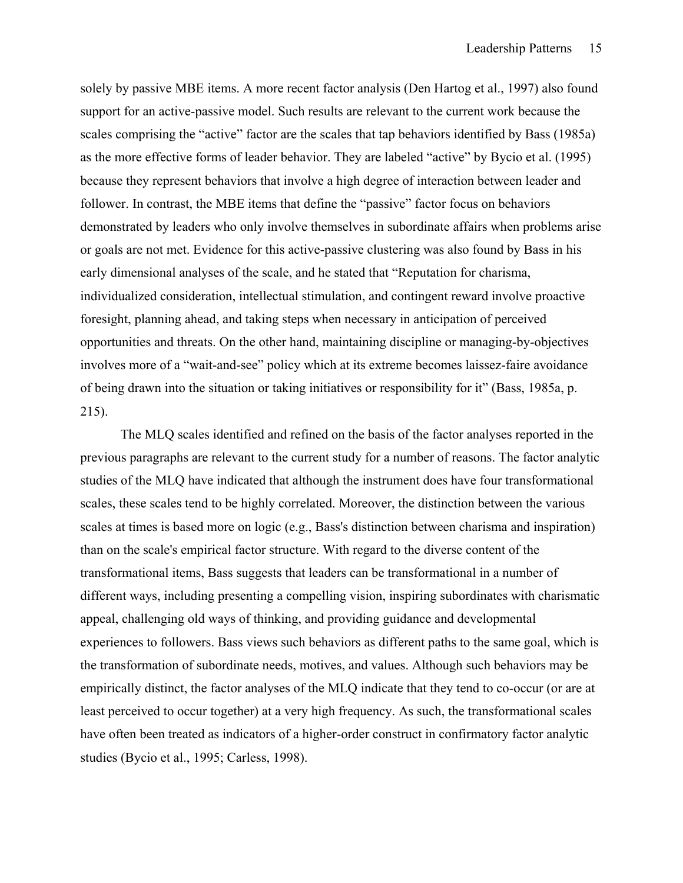solely by passive MBE items. A more recent factor analysis (Den Hartog et al., 1997) also found support for an active-passive model. Such results are relevant to the current work because the scales comprising the "active" factor are the scales that tap behaviors identified by Bass (1985a) as the more effective forms of leader behavior. They are labeled "active" by Bycio et al. (1995) because they represent behaviors that involve a high degree of interaction between leader and follower. In contrast, the MBE items that define the "passive" factor focus on behaviors demonstrated by leaders who only involve themselves in subordinate affairs when problems arise or goals are not met. Evidence for this active-passive clustering was also found by Bass in his early dimensional analyses of the scale, and he stated that "Reputation for charisma, individualized consideration, intellectual stimulation, and contingent reward involve proactive foresight, planning ahead, and taking steps when necessary in anticipation of perceived opportunities and threats. On the other hand, maintaining discipline or managing-by-objectives involves more of a "wait-and-see" policy which at its extreme becomes laissez-faire avoidance of being drawn into the situation or taking initiatives or responsibility for it" (Bass, 1985a, p. 215).

The MLQ scales identified and refined on the basis of the factor analyses reported in the previous paragraphs are relevant to the current study for a number of reasons. The factor analytic studies of the MLQ have indicated that although the instrument does have four transformational scales, these scales tend to be highly correlated. Moreover, the distinction between the various scales at times is based more on logic (e.g., Bass's distinction between charisma and inspiration) than on the scale's empirical factor structure. With regard to the diverse content of the transformational items, Bass suggests that leaders can be transformational in a number of different ways, including presenting a compelling vision, inspiring subordinates with charismatic appeal, challenging old ways of thinking, and providing guidance and developmental experiences to followers. Bass views such behaviors as different paths to the same goal, which is the transformation of subordinate needs, motives, and values. Although such behaviors may be empirically distinct, the factor analyses of the MLQ indicate that they tend to co-occur (or are at least perceived to occur together) at a very high frequency. As such, the transformational scales have often been treated as indicators of a higher-order construct in confirmatory factor analytic studies (Bycio et al., 1995; Carless, 1998).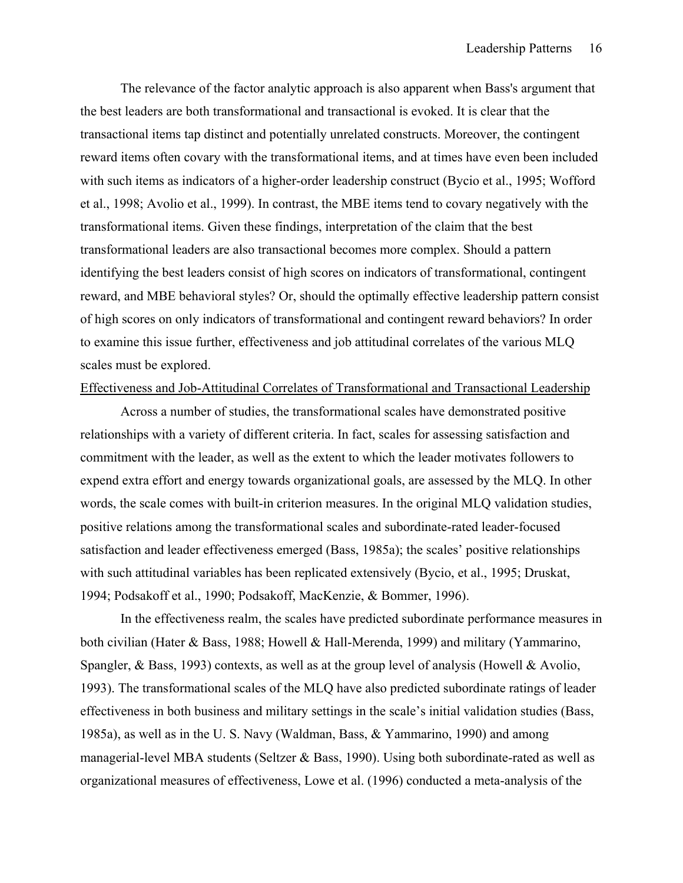The relevance of the factor analytic approach is also apparent when Bass's argument that the best leaders are both transformational and transactional is evoked. It is clear that the transactional items tap distinct and potentially unrelated constructs. Moreover, the contingent reward items often covary with the transformational items, and at times have even been included with such items as indicators of a higher-order leadership construct (Bycio et al., 1995; Wofford et al., 1998; Avolio et al., 1999). In contrast, the MBE items tend to covary negatively with the transformational items. Given these findings, interpretation of the claim that the best transformational leaders are also transactional becomes more complex. Should a pattern identifying the best leaders consist of high scores on indicators of transformational, contingent reward, and MBE behavioral styles? Or, should the optimally effective leadership pattern consist of high scores on only indicators of transformational and contingent reward behaviors? In order to examine this issue further, effectiveness and job attitudinal correlates of the various MLQ scales must be explored.

### Effectiveness and Job-Attitudinal Correlates of Transformational and Transactional Leadership

 Across a number of studies, the transformational scales have demonstrated positive relationships with a variety of different criteria. In fact, scales for assessing satisfaction and commitment with the leader, as well as the extent to which the leader motivates followers to expend extra effort and energy towards organizational goals, are assessed by the MLQ. In other words, the scale comes with built-in criterion measures. In the original MLQ validation studies, positive relations among the transformational scales and subordinate-rated leader-focused satisfaction and leader effectiveness emerged (Bass, 1985a); the scales' positive relationships with such attitudinal variables has been replicated extensively (Bycio, et al., 1995; Druskat, 1994; Podsakoff et al., 1990; Podsakoff, MacKenzie, & Bommer, 1996).

In the effectiveness realm, the scales have predicted subordinate performance measures in both civilian (Hater & Bass, 1988; Howell & Hall-Merenda, 1999) and military (Yammarino, Spangler, & Bass, 1993) contexts, as well as at the group level of analysis (Howell & Avolio, 1993). The transformational scales of the MLQ have also predicted subordinate ratings of leader effectiveness in both business and military settings in the scale's initial validation studies (Bass, 1985a), as well as in the U. S. Navy (Waldman, Bass, & Yammarino, 1990) and among managerial-level MBA students (Seltzer & Bass, 1990). Using both subordinate-rated as well as organizational measures of effectiveness, Lowe et al. (1996) conducted a meta-analysis of the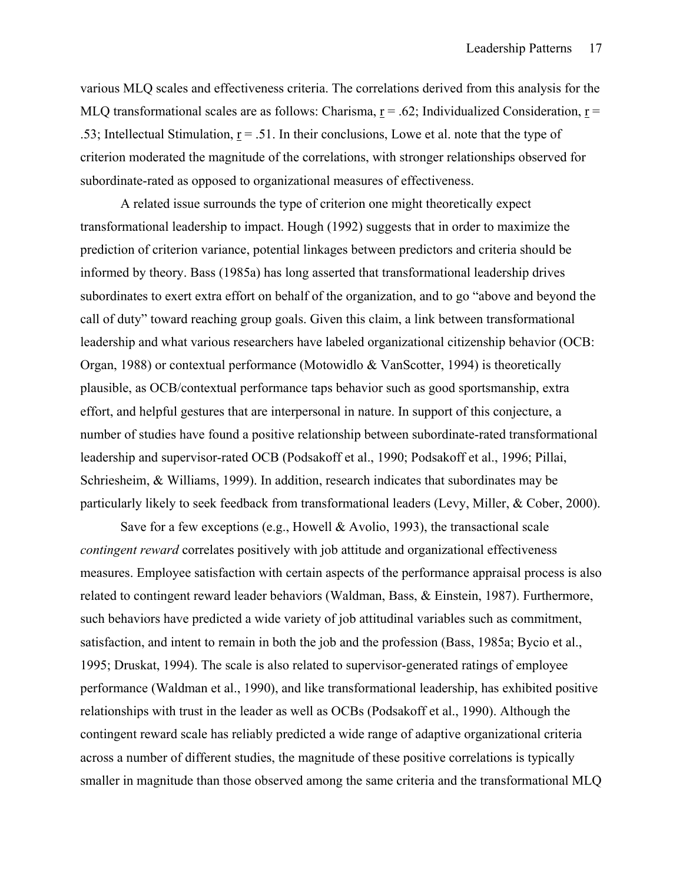various MLQ scales and effectiveness criteria. The correlations derived from this analysis for the MLO transformational scales are as follows: Charisma,  $r = .62$ ; Individualized Consideration,  $r =$ .53; Intellectual Stimulation,  $r = .51$ . In their conclusions, Lowe et al. note that the type of criterion moderated the magnitude of the correlations, with stronger relationships observed for subordinate-rated as opposed to organizational measures of effectiveness.

A related issue surrounds the type of criterion one might theoretically expect transformational leadership to impact. Hough (1992) suggests that in order to maximize the prediction of criterion variance, potential linkages between predictors and criteria should be informed by theory. Bass (1985a) has long asserted that transformational leadership drives subordinates to exert extra effort on behalf of the organization, and to go "above and beyond the call of duty" toward reaching group goals. Given this claim, a link between transformational leadership and what various researchers have labeled organizational citizenship behavior (OCB: Organ, 1988) or contextual performance (Motowidlo & VanScotter, 1994) is theoretically plausible, as OCB/contextual performance taps behavior such as good sportsmanship, extra effort, and helpful gestures that are interpersonal in nature. In support of this conjecture, a number of studies have found a positive relationship between subordinate-rated transformational leadership and supervisor-rated OCB (Podsakoff et al., 1990; Podsakoff et al., 1996; Pillai, Schriesheim, & Williams, 1999). In addition, research indicates that subordinates may be particularly likely to seek feedback from transformational leaders (Levy, Miller, & Cober, 2000).

Save for a few exceptions (e.g., Howell  $&$  Avolio, 1993), the transactional scale *contingent reward* correlates positively with job attitude and organizational effectiveness measures. Employee satisfaction with certain aspects of the performance appraisal process is also related to contingent reward leader behaviors (Waldman, Bass, & Einstein, 1987). Furthermore, such behaviors have predicted a wide variety of job attitudinal variables such as commitment, satisfaction, and intent to remain in both the job and the profession (Bass, 1985a; Bycio et al., 1995; Druskat, 1994). The scale is also related to supervisor-generated ratings of employee performance (Waldman et al., 1990), and like transformational leadership, has exhibited positive relationships with trust in the leader as well as OCBs (Podsakoff et al., 1990). Although the contingent reward scale has reliably predicted a wide range of adaptive organizational criteria across a number of different studies, the magnitude of these positive correlations is typically smaller in magnitude than those observed among the same criteria and the transformational MLQ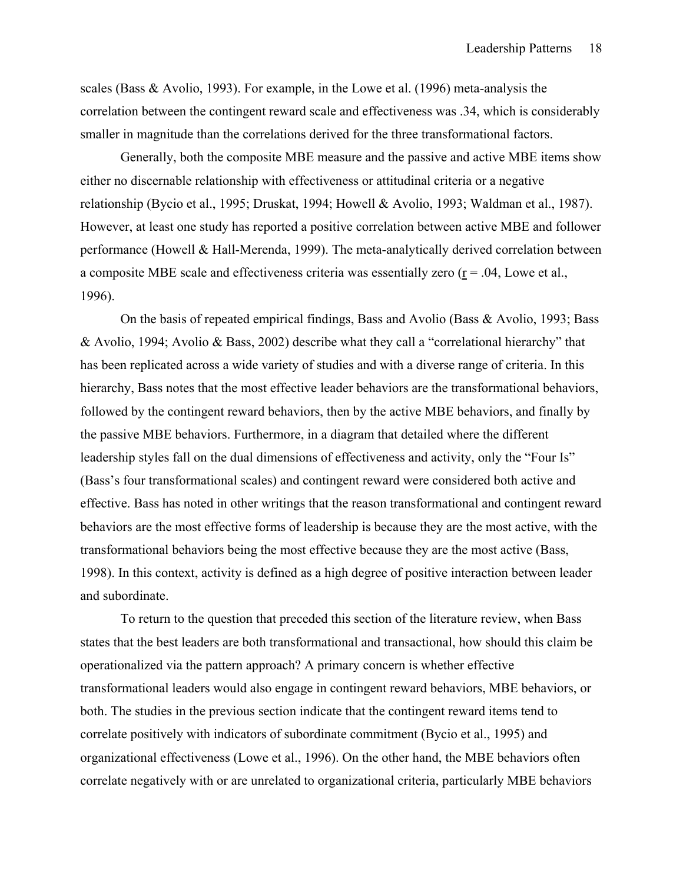scales (Bass & Avolio, 1993). For example, in the Lowe et al. (1996) meta-analysis the correlation between the contingent reward scale and effectiveness was .34, which is considerably smaller in magnitude than the correlations derived for the three transformational factors.

Generally, both the composite MBE measure and the passive and active MBE items show either no discernable relationship with effectiveness or attitudinal criteria or a negative relationship (Bycio et al., 1995; Druskat, 1994; Howell & Avolio, 1993; Waldman et al., 1987). However, at least one study has reported a positive correlation between active MBE and follower performance (Howell & Hall-Merenda, 1999). The meta-analytically derived correlation between a composite MBE scale and effectiveness criteria was essentially zero  $(r = .04$ , Lowe et al., 1996).

 On the basis of repeated empirical findings, Bass and Avolio (Bass & Avolio, 1993; Bass & Avolio, 1994; Avolio & Bass, 2002) describe what they call a "correlational hierarchy" that has been replicated across a wide variety of studies and with a diverse range of criteria. In this hierarchy, Bass notes that the most effective leader behaviors are the transformational behaviors, followed by the contingent reward behaviors, then by the active MBE behaviors, and finally by the passive MBE behaviors. Furthermore, in a diagram that detailed where the different leadership styles fall on the dual dimensions of effectiveness and activity, only the "Four Is" (Bass's four transformational scales) and contingent reward were considered both active and effective. Bass has noted in other writings that the reason transformational and contingent reward behaviors are the most effective forms of leadership is because they are the most active, with the transformational behaviors being the most effective because they are the most active (Bass, 1998). In this context, activity is defined as a high degree of positive interaction between leader and subordinate.

 To return to the question that preceded this section of the literature review, when Bass states that the best leaders are both transformational and transactional, how should this claim be operationalized via the pattern approach? A primary concern is whether effective transformational leaders would also engage in contingent reward behaviors, MBE behaviors, or both. The studies in the previous section indicate that the contingent reward items tend to correlate positively with indicators of subordinate commitment (Bycio et al., 1995) and organizational effectiveness (Lowe et al., 1996). On the other hand, the MBE behaviors often correlate negatively with or are unrelated to organizational criteria, particularly MBE behaviors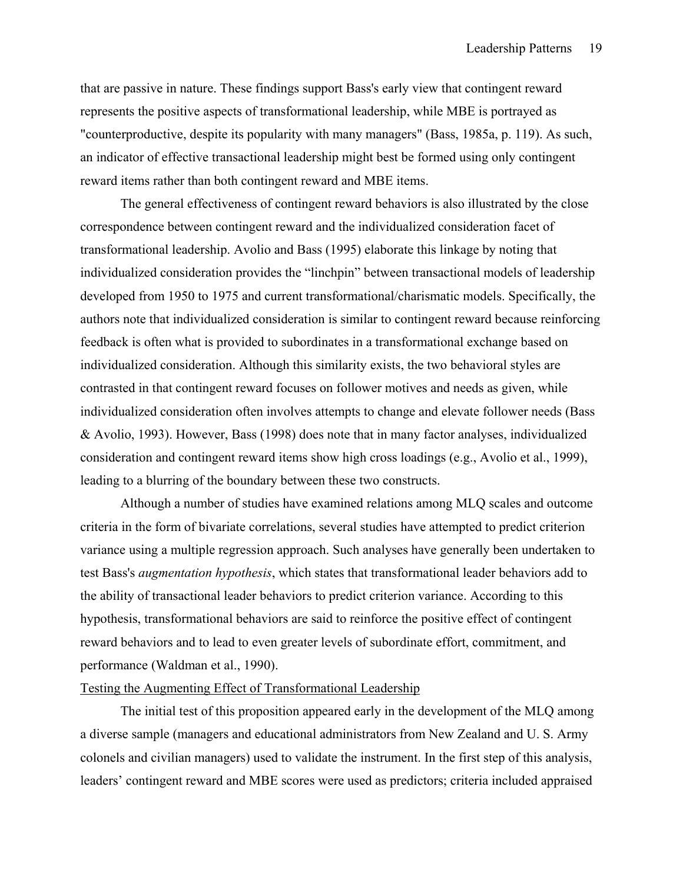that are passive in nature. These findings support Bass's early view that contingent reward represents the positive aspects of transformational leadership, while MBE is portrayed as "counterproductive, despite its popularity with many managers" (Bass, 1985a, p. 119). As such, an indicator of effective transactional leadership might best be formed using only contingent reward items rather than both contingent reward and MBE items.

The general effectiveness of contingent reward behaviors is also illustrated by the close correspondence between contingent reward and the individualized consideration facet of transformational leadership. Avolio and Bass (1995) elaborate this linkage by noting that individualized consideration provides the "linchpin" between transactional models of leadership developed from 1950 to 1975 and current transformational/charismatic models. Specifically, the authors note that individualized consideration is similar to contingent reward because reinforcing feedback is often what is provided to subordinates in a transformational exchange based on individualized consideration. Although this similarity exists, the two behavioral styles are contrasted in that contingent reward focuses on follower motives and needs as given, while individualized consideration often involves attempts to change and elevate follower needs (Bass & Avolio, 1993). However, Bass (1998) does note that in many factor analyses, individualized consideration and contingent reward items show high cross loadings (e.g., Avolio et al., 1999), leading to a blurring of the boundary between these two constructs.

 Although a number of studies have examined relations among MLQ scales and outcome criteria in the form of bivariate correlations, several studies have attempted to predict criterion variance using a multiple regression approach. Such analyses have generally been undertaken to test Bass's *augmentation hypothesis*, which states that transformational leader behaviors add to the ability of transactional leader behaviors to predict criterion variance. According to this hypothesis, transformational behaviors are said to reinforce the positive effect of contingent reward behaviors and to lead to even greater levels of subordinate effort, commitment, and performance (Waldman et al., 1990).

### Testing the Augmenting Effect of Transformational Leadership

 The initial test of this proposition appeared early in the development of the MLQ among a diverse sample (managers and educational administrators from New Zealand and U. S. Army colonels and civilian managers) used to validate the instrument. In the first step of this analysis, leaders' contingent reward and MBE scores were used as predictors; criteria included appraised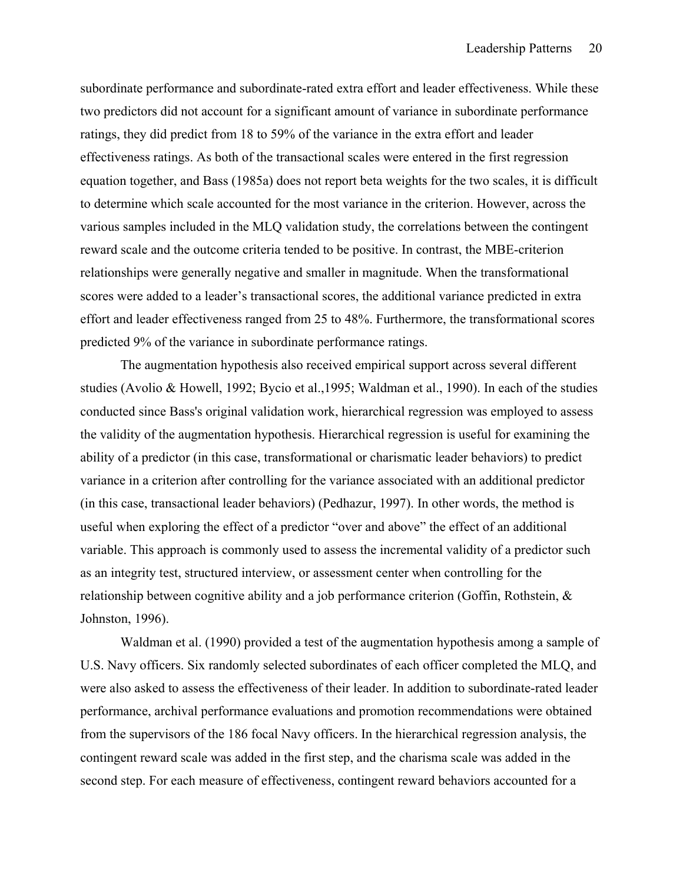subordinate performance and subordinate-rated extra effort and leader effectiveness. While these two predictors did not account for a significant amount of variance in subordinate performance ratings, they did predict from 18 to 59% of the variance in the extra effort and leader effectiveness ratings. As both of the transactional scales were entered in the first regression equation together, and Bass (1985a) does not report beta weights for the two scales, it is difficult to determine which scale accounted for the most variance in the criterion. However, across the various samples included in the MLQ validation study, the correlations between the contingent reward scale and the outcome criteria tended to be positive. In contrast, the MBE-criterion relationships were generally negative and smaller in magnitude. When the transformational scores were added to a leader's transactional scores, the additional variance predicted in extra effort and leader effectiveness ranged from 25 to 48%. Furthermore, the transformational scores predicted 9% of the variance in subordinate performance ratings.

The augmentation hypothesis also received empirical support across several different studies (Avolio & Howell, 1992; Bycio et al.,1995; Waldman et al., 1990). In each of the studies conducted since Bass's original validation work, hierarchical regression was employed to assess the validity of the augmentation hypothesis. Hierarchical regression is useful for examining the ability of a predictor (in this case, transformational or charismatic leader behaviors) to predict variance in a criterion after controlling for the variance associated with an additional predictor (in this case, transactional leader behaviors) (Pedhazur, 1997). In other words, the method is useful when exploring the effect of a predictor "over and above" the effect of an additional variable. This approach is commonly used to assess the incremental validity of a predictor such as an integrity test, structured interview, or assessment center when controlling for the relationship between cognitive ability and a job performance criterion (Goffin, Rothstein, & Johnston, 1996).

 Waldman et al. (1990) provided a test of the augmentation hypothesis among a sample of U.S. Navy officers. Six randomly selected subordinates of each officer completed the MLQ, and were also asked to assess the effectiveness of their leader. In addition to subordinate-rated leader performance, archival performance evaluations and promotion recommendations were obtained from the supervisors of the 186 focal Navy officers. In the hierarchical regression analysis, the contingent reward scale was added in the first step, and the charisma scale was added in the second step. For each measure of effectiveness, contingent reward behaviors accounted for a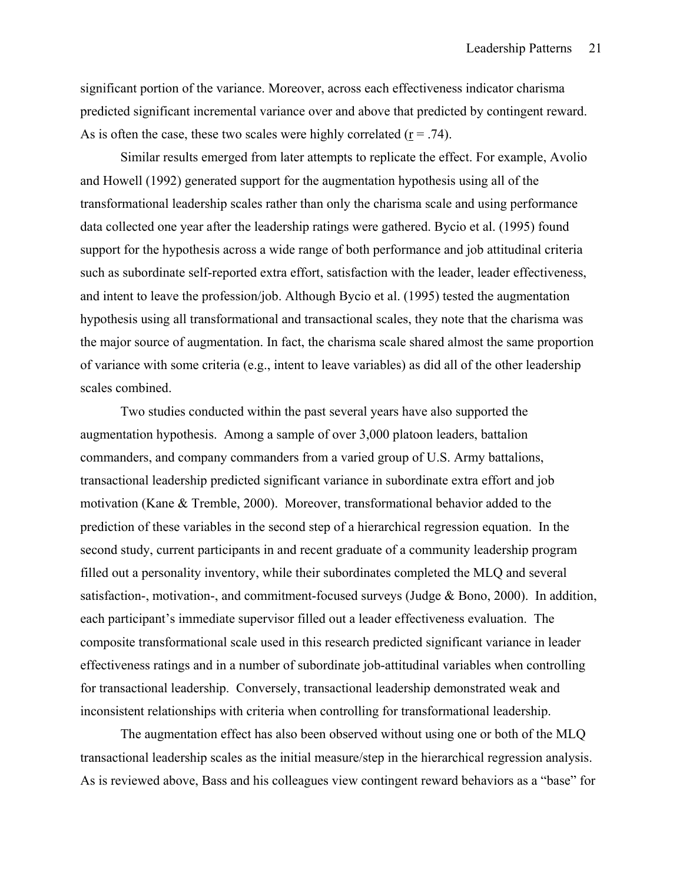significant portion of the variance. Moreover, across each effectiveness indicator charisma predicted significant incremental variance over and above that predicted by contingent reward. As is often the case, these two scales were highly correlated ( $r = .74$ ).

 Similar results emerged from later attempts to replicate the effect. For example, Avolio and Howell (1992) generated support for the augmentation hypothesis using all of the transformational leadership scales rather than only the charisma scale and using performance data collected one year after the leadership ratings were gathered. Bycio et al. (1995) found support for the hypothesis across a wide range of both performance and job attitudinal criteria such as subordinate self-reported extra effort, satisfaction with the leader, leader effectiveness, and intent to leave the profession/job. Although Bycio et al. (1995) tested the augmentation hypothesis using all transformational and transactional scales, they note that the charisma was the major source of augmentation. In fact, the charisma scale shared almost the same proportion of variance with some criteria (e.g., intent to leave variables) as did all of the other leadership scales combined.

 Two studies conducted within the past several years have also supported the augmentation hypothesis. Among a sample of over 3,000 platoon leaders, battalion commanders, and company commanders from a varied group of U.S. Army battalions, transactional leadership predicted significant variance in subordinate extra effort and job motivation (Kane & Tremble, 2000). Moreover, transformational behavior added to the prediction of these variables in the second step of a hierarchical regression equation. In the second study, current participants in and recent graduate of a community leadership program filled out a personality inventory, while their subordinates completed the MLQ and several satisfaction-, motivation-, and commitment-focused surveys (Judge & Bono, 2000). In addition, each participant's immediate supervisor filled out a leader effectiveness evaluation. The composite transformational scale used in this research predicted significant variance in leader effectiveness ratings and in a number of subordinate job-attitudinal variables when controlling for transactional leadership. Conversely, transactional leadership demonstrated weak and inconsistent relationships with criteria when controlling for transformational leadership.

 The augmentation effect has also been observed without using one or both of the MLQ transactional leadership scales as the initial measure/step in the hierarchical regression analysis. As is reviewed above, Bass and his colleagues view contingent reward behaviors as a "base" for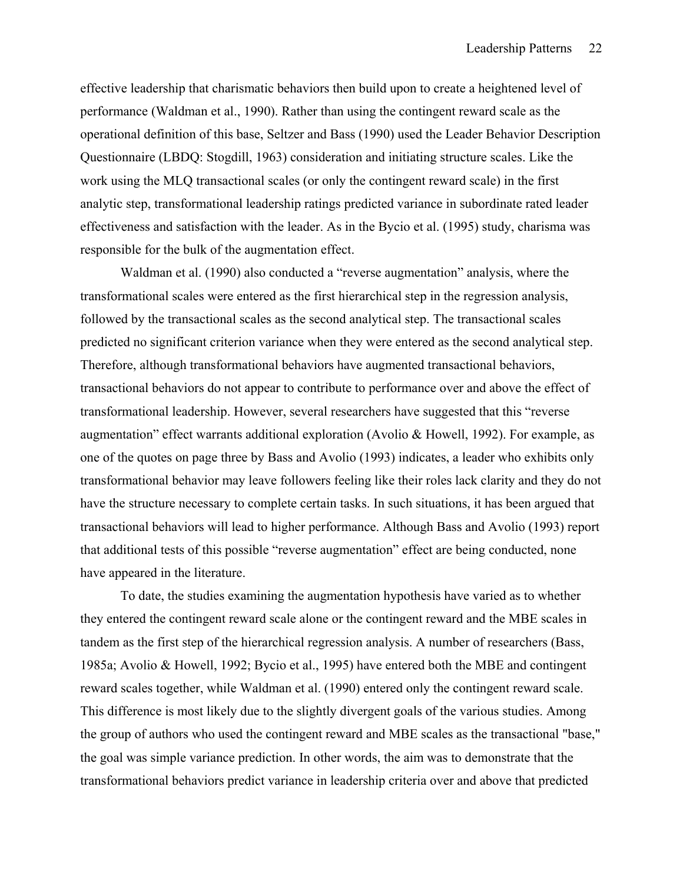effective leadership that charismatic behaviors then build upon to create a heightened level of performance (Waldman et al., 1990). Rather than using the contingent reward scale as the operational definition of this base, Seltzer and Bass (1990) used the Leader Behavior Description Questionnaire (LBDQ: Stogdill, 1963) consideration and initiating structure scales. Like the work using the MLQ transactional scales (or only the contingent reward scale) in the first analytic step, transformational leadership ratings predicted variance in subordinate rated leader effectiveness and satisfaction with the leader. As in the Bycio et al. (1995) study, charisma was responsible for the bulk of the augmentation effect.

 Waldman et al. (1990) also conducted a "reverse augmentation" analysis, where the transformational scales were entered as the first hierarchical step in the regression analysis, followed by the transactional scales as the second analytical step. The transactional scales predicted no significant criterion variance when they were entered as the second analytical step. Therefore, although transformational behaviors have augmented transactional behaviors, transactional behaviors do not appear to contribute to performance over and above the effect of transformational leadership. However, several researchers have suggested that this "reverse augmentation" effect warrants additional exploration (Avolio & Howell, 1992). For example, as one of the quotes on page three by Bass and Avolio (1993) indicates, a leader who exhibits only transformational behavior may leave followers feeling like their roles lack clarity and they do not have the structure necessary to complete certain tasks. In such situations, it has been argued that transactional behaviors will lead to higher performance. Although Bass and Avolio (1993) report that additional tests of this possible "reverse augmentation" effect are being conducted, none have appeared in the literature.

 To date, the studies examining the augmentation hypothesis have varied as to whether they entered the contingent reward scale alone or the contingent reward and the MBE scales in tandem as the first step of the hierarchical regression analysis. A number of researchers (Bass, 1985a; Avolio & Howell, 1992; Bycio et al., 1995) have entered both the MBE and contingent reward scales together, while Waldman et al. (1990) entered only the contingent reward scale. This difference is most likely due to the slightly divergent goals of the various studies. Among the group of authors who used the contingent reward and MBE scales as the transactional "base," the goal was simple variance prediction. In other words, the aim was to demonstrate that the transformational behaviors predict variance in leadership criteria over and above that predicted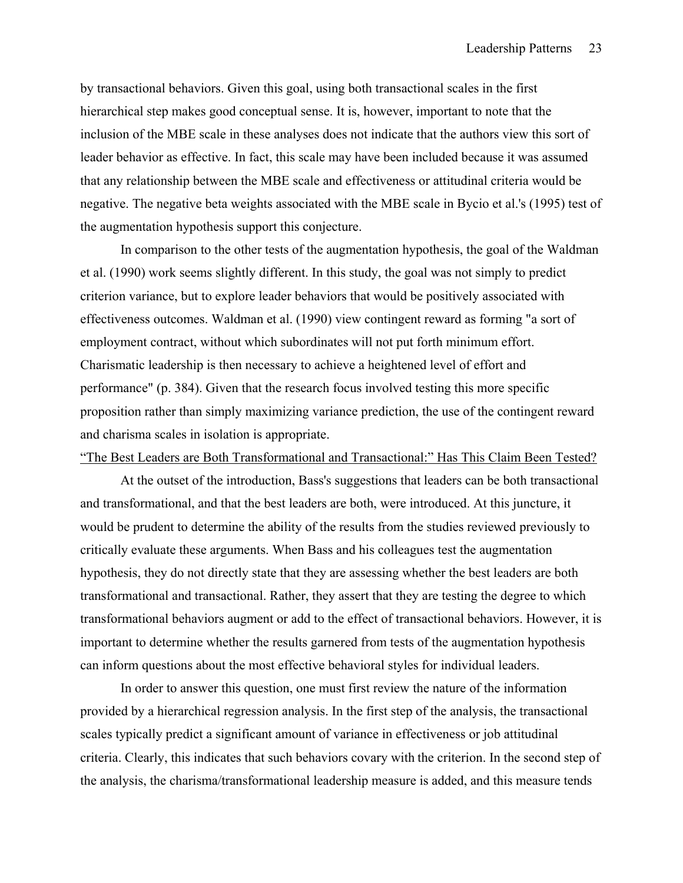by transactional behaviors. Given this goal, using both transactional scales in the first hierarchical step makes good conceptual sense. It is, however, important to note that the inclusion of the MBE scale in these analyses does not indicate that the authors view this sort of leader behavior as effective. In fact, this scale may have been included because it was assumed that any relationship between the MBE scale and effectiveness or attitudinal criteria would be negative. The negative beta weights associated with the MBE scale in Bycio et al.'s (1995) test of the augmentation hypothesis support this conjecture.

 In comparison to the other tests of the augmentation hypothesis, the goal of the Waldman et al. (1990) work seems slightly different. In this study, the goal was not simply to predict criterion variance, but to explore leader behaviors that would be positively associated with effectiveness outcomes. Waldman et al. (1990) view contingent reward as forming "a sort of employment contract, without which subordinates will not put forth minimum effort. Charismatic leadership is then necessary to achieve a heightened level of effort and performance" (p. 384). Given that the research focus involved testing this more specific proposition rather than simply maximizing variance prediction, the use of the contingent reward and charisma scales in isolation is appropriate.

#### "The Best Leaders are Both Transformational and Transactional:" Has This Claim Been Tested?

At the outset of the introduction, Bass's suggestions that leaders can be both transactional and transformational, and that the best leaders are both, were introduced. At this juncture, it would be prudent to determine the ability of the results from the studies reviewed previously to critically evaluate these arguments. When Bass and his colleagues test the augmentation hypothesis, they do not directly state that they are assessing whether the best leaders are both transformational and transactional. Rather, they assert that they are testing the degree to which transformational behaviors augment or add to the effect of transactional behaviors. However, it is important to determine whether the results garnered from tests of the augmentation hypothesis can inform questions about the most effective behavioral styles for individual leaders.

In order to answer this question, one must first review the nature of the information provided by a hierarchical regression analysis. In the first step of the analysis, the transactional scales typically predict a significant amount of variance in effectiveness or job attitudinal criteria. Clearly, this indicates that such behaviors covary with the criterion. In the second step of the analysis, the charisma/transformational leadership measure is added, and this measure tends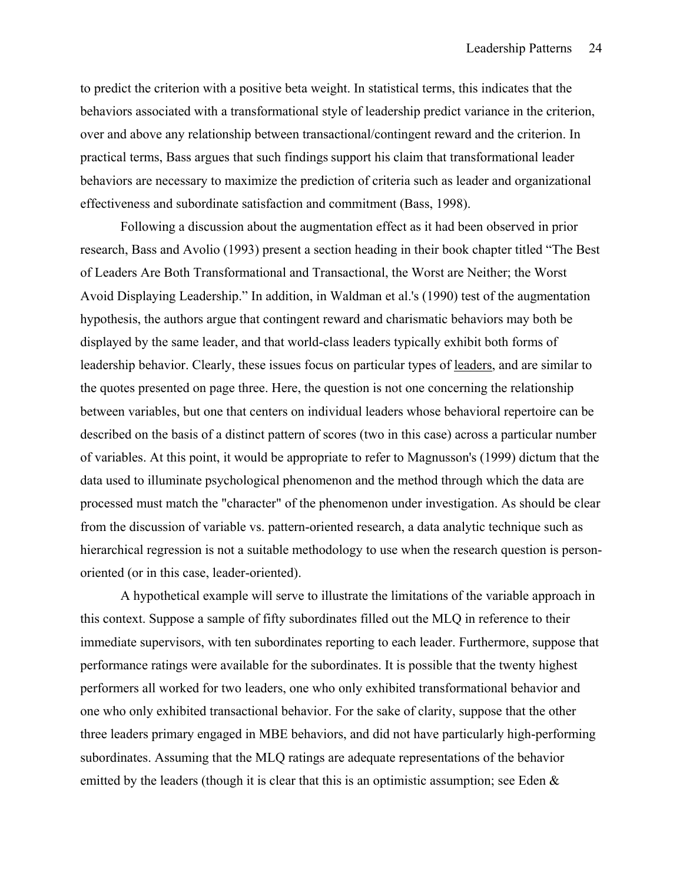to predict the criterion with a positive beta weight. In statistical terms, this indicates that the behaviors associated with a transformational style of leadership predict variance in the criterion, over and above any relationship between transactional/contingent reward and the criterion. In practical terms, Bass argues that such findings support his claim that transformational leader behaviors are necessary to maximize the prediction of criteria such as leader and organizational effectiveness and subordinate satisfaction and commitment (Bass, 1998).

 Following a discussion about the augmentation effect as it had been observed in prior research, Bass and Avolio (1993) present a section heading in their book chapter titled "The Best of Leaders Are Both Transformational and Transactional, the Worst are Neither; the Worst Avoid Displaying Leadership." In addition, in Waldman et al.'s (1990) test of the augmentation hypothesis, the authors argue that contingent reward and charismatic behaviors may both be displayed by the same leader, and that world-class leaders typically exhibit both forms of leadership behavior. Clearly, these issues focus on particular types of leaders, and are similar to the quotes presented on page three. Here, the question is not one concerning the relationship between variables, but one that centers on individual leaders whose behavioral repertoire can be described on the basis of a distinct pattern of scores (two in this case) across a particular number of variables. At this point, it would be appropriate to refer to Magnusson's (1999) dictum that the data used to illuminate psychological phenomenon and the method through which the data are processed must match the "character" of the phenomenon under investigation. As should be clear from the discussion of variable vs. pattern-oriented research, a data analytic technique such as hierarchical regression is not a suitable methodology to use when the research question is personoriented (or in this case, leader-oriented).

A hypothetical example will serve to illustrate the limitations of the variable approach in this context. Suppose a sample of fifty subordinates filled out the MLQ in reference to their immediate supervisors, with ten subordinates reporting to each leader. Furthermore, suppose that performance ratings were available for the subordinates. It is possible that the twenty highest performers all worked for two leaders, one who only exhibited transformational behavior and one who only exhibited transactional behavior. For the sake of clarity, suppose that the other three leaders primary engaged in MBE behaviors, and did not have particularly high-performing subordinates. Assuming that the MLQ ratings are adequate representations of the behavior emitted by the leaders (though it is clear that this is an optimistic assumption; see Eden  $\&$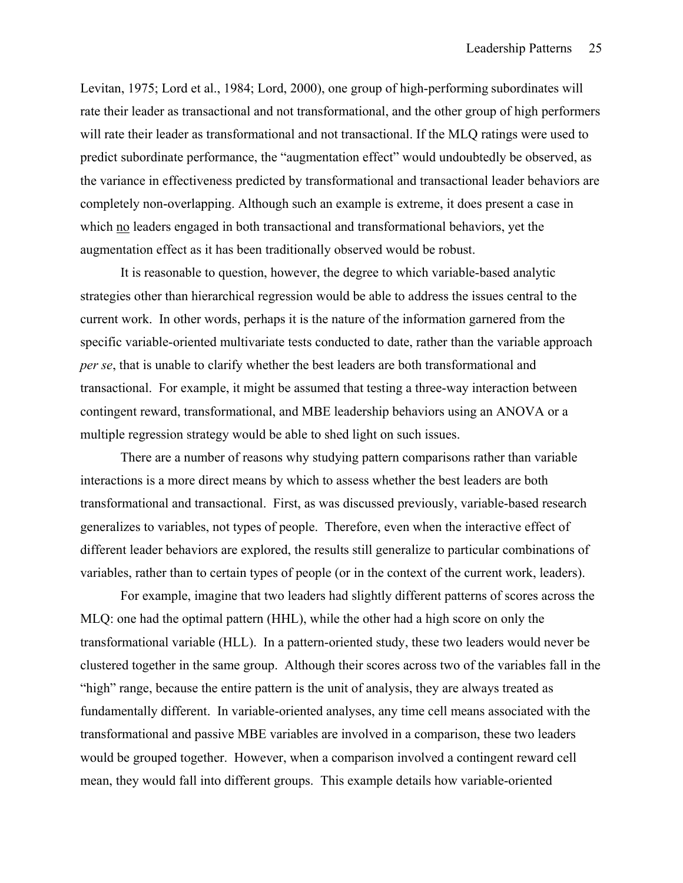Levitan, 1975; Lord et al., 1984; Lord, 2000), one group of high-performing subordinates will rate their leader as transactional and not transformational, and the other group of high performers will rate their leader as transformational and not transactional. If the MLQ ratings were used to predict subordinate performance, the "augmentation effect" would undoubtedly be observed, as the variance in effectiveness predicted by transformational and transactional leader behaviors are completely non-overlapping. Although such an example is extreme, it does present a case in which no leaders engaged in both transactional and transformational behaviors, yet the augmentation effect as it has been traditionally observed would be robust.

It is reasonable to question, however, the degree to which variable-based analytic strategies other than hierarchical regression would be able to address the issues central to the current work. In other words, perhaps it is the nature of the information garnered from the specific variable-oriented multivariate tests conducted to date, rather than the variable approach *per se*, that is unable to clarify whether the best leaders are both transformational and transactional. For example, it might be assumed that testing a three-way interaction between contingent reward, transformational, and MBE leadership behaviors using an ANOVA or a multiple regression strategy would be able to shed light on such issues.

There are a number of reasons why studying pattern comparisons rather than variable interactions is a more direct means by which to assess whether the best leaders are both transformational and transactional. First, as was discussed previously, variable-based research generalizes to variables, not types of people. Therefore, even when the interactive effect of different leader behaviors are explored, the results still generalize to particular combinations of variables, rather than to certain types of people (or in the context of the current work, leaders).

For example, imagine that two leaders had slightly different patterns of scores across the MLQ: one had the optimal pattern (HHL), while the other had a high score on only the transformational variable (HLL). In a pattern-oriented study, these two leaders would never be clustered together in the same group. Although their scores across two of the variables fall in the "high" range, because the entire pattern is the unit of analysis, they are always treated as fundamentally different. In variable-oriented analyses, any time cell means associated with the transformational and passive MBE variables are involved in a comparison, these two leaders would be grouped together. However, when a comparison involved a contingent reward cell mean, they would fall into different groups. This example details how variable-oriented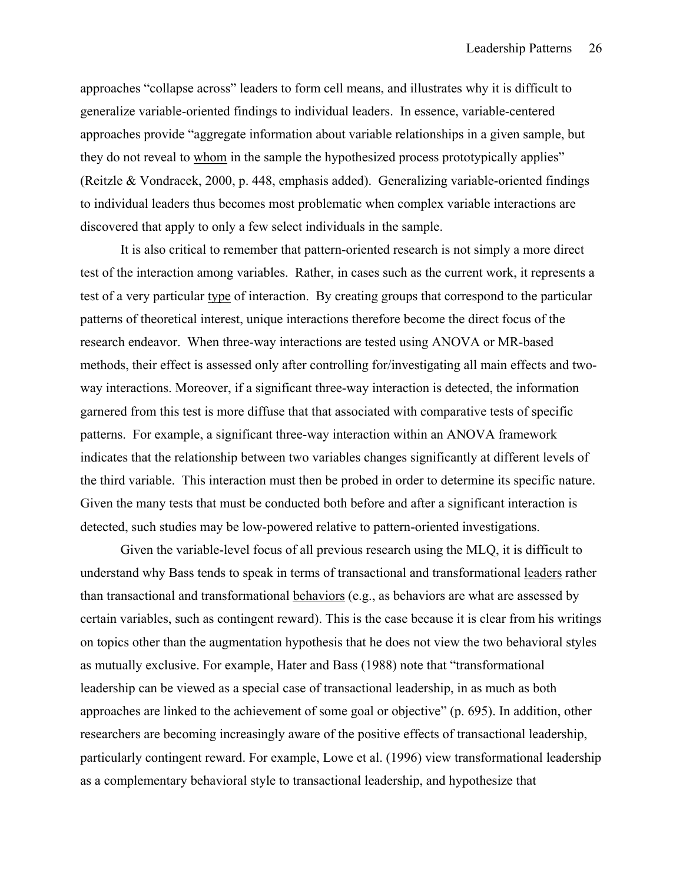approaches "collapse across" leaders to form cell means, and illustrates why it is difficult to generalize variable-oriented findings to individual leaders. In essence, variable-centered approaches provide "aggregate information about variable relationships in a given sample, but they do not reveal to whom in the sample the hypothesized process prototypically applies" (Reitzle & Vondracek, 2000, p. 448, emphasis added). Generalizing variable-oriented findings to individual leaders thus becomes most problematic when complex variable interactions are discovered that apply to only a few select individuals in the sample.

It is also critical to remember that pattern-oriented research is not simply a more direct test of the interaction among variables. Rather, in cases such as the current work, it represents a test of a very particular type of interaction. By creating groups that correspond to the particular patterns of theoretical interest, unique interactions therefore become the direct focus of the research endeavor. When three-way interactions are tested using ANOVA or MR-based methods, their effect is assessed only after controlling for/investigating all main effects and twoway interactions. Moreover, if a significant three-way interaction is detected, the information garnered from this test is more diffuse that that associated with comparative tests of specific patterns. For example, a significant three-way interaction within an ANOVA framework indicates that the relationship between two variables changes significantly at different levels of the third variable. This interaction must then be probed in order to determine its specific nature. Given the many tests that must be conducted both before and after a significant interaction is detected, such studies may be low-powered relative to pattern-oriented investigations.

Given the variable-level focus of all previous research using the MLQ, it is difficult to understand why Bass tends to speak in terms of transactional and transformational leaders rather than transactional and transformational behaviors (e.g., as behaviors are what are assessed by certain variables, such as contingent reward). This is the case because it is clear from his writings on topics other than the augmentation hypothesis that he does not view the two behavioral styles as mutually exclusive. For example, Hater and Bass (1988) note that "transformational leadership can be viewed as a special case of transactional leadership, in as much as both approaches are linked to the achievement of some goal or objective" (p. 695). In addition, other researchers are becoming increasingly aware of the positive effects of transactional leadership, particularly contingent reward. For example, Lowe et al. (1996) view transformational leadership as a complementary behavioral style to transactional leadership, and hypothesize that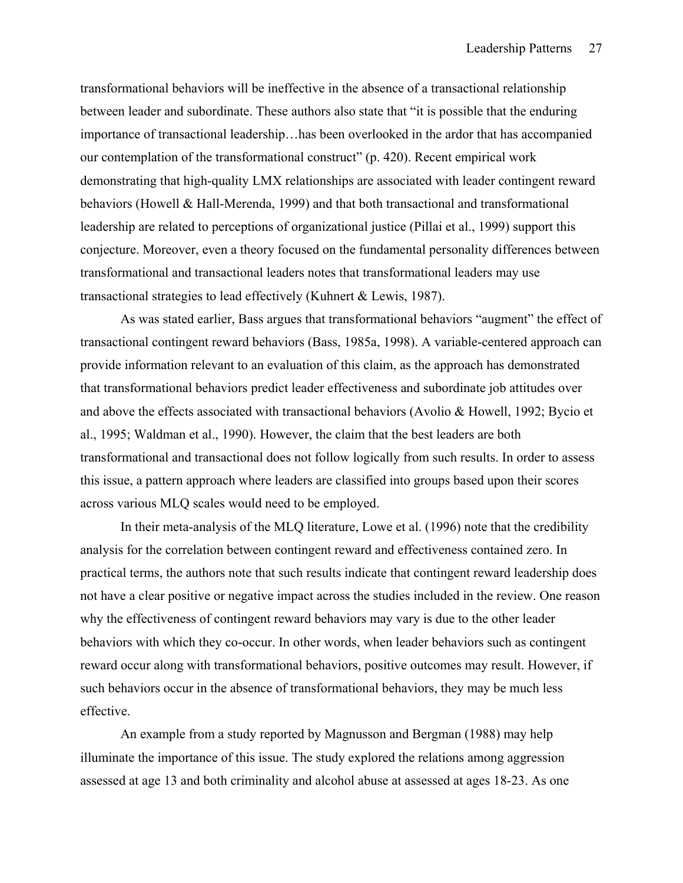transformational behaviors will be ineffective in the absence of a transactional relationship between leader and subordinate. These authors also state that "it is possible that the enduring importance of transactional leadership…has been overlooked in the ardor that has accompanied our contemplation of the transformational construct" (p. 420). Recent empirical work demonstrating that high-quality LMX relationships are associated with leader contingent reward behaviors (Howell & Hall-Merenda, 1999) and that both transactional and transformational leadership are related to perceptions of organizational justice (Pillai et al., 1999) support this conjecture. Moreover, even a theory focused on the fundamental personality differences between transformational and transactional leaders notes that transformational leaders may use transactional strategies to lead effectively (Kuhnert & Lewis, 1987).

 As was stated earlier, Bass argues that transformational behaviors "augment" the effect of transactional contingent reward behaviors (Bass, 1985a, 1998). A variable-centered approach can provide information relevant to an evaluation of this claim, as the approach has demonstrated that transformational behaviors predict leader effectiveness and subordinate job attitudes over and above the effects associated with transactional behaviors (Avolio & Howell, 1992; Bycio et al., 1995; Waldman et al., 1990). However, the claim that the best leaders are both transformational and transactional does not follow logically from such results. In order to assess this issue, a pattern approach where leaders are classified into groups based upon their scores across various MLQ scales would need to be employed.

 In their meta-analysis of the MLQ literature, Lowe et al. (1996) note that the credibility analysis for the correlation between contingent reward and effectiveness contained zero. In practical terms, the authors note that such results indicate that contingent reward leadership does not have a clear positive or negative impact across the studies included in the review. One reason why the effectiveness of contingent reward behaviors may vary is due to the other leader behaviors with which they co-occur. In other words, when leader behaviors such as contingent reward occur along with transformational behaviors, positive outcomes may result. However, if such behaviors occur in the absence of transformational behaviors, they may be much less effective.

 An example from a study reported by Magnusson and Bergman (1988) may help illuminate the importance of this issue. The study explored the relations among aggression assessed at age 13 and both criminality and alcohol abuse at assessed at ages 18-23. As one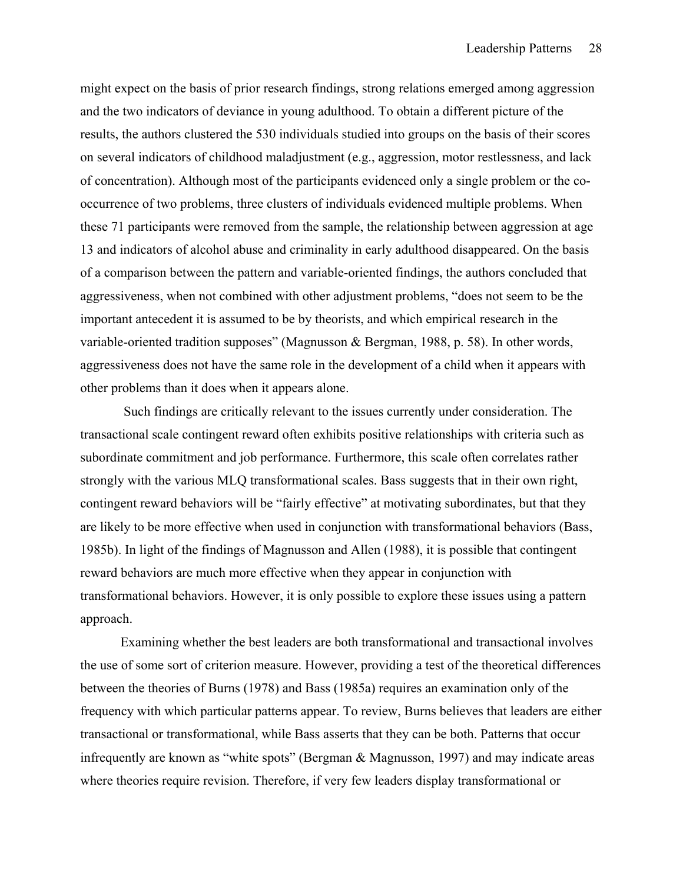might expect on the basis of prior research findings, strong relations emerged among aggression and the two indicators of deviance in young adulthood. To obtain a different picture of the results, the authors clustered the 530 individuals studied into groups on the basis of their scores on several indicators of childhood maladjustment (e.g., aggression, motor restlessness, and lack of concentration). Although most of the participants evidenced only a single problem or the cooccurrence of two problems, three clusters of individuals evidenced multiple problems. When these 71 participants were removed from the sample, the relationship between aggression at age 13 and indicators of alcohol abuse and criminality in early adulthood disappeared. On the basis of a comparison between the pattern and variable-oriented findings, the authors concluded that aggressiveness, when not combined with other adjustment problems, "does not seem to be the important antecedent it is assumed to be by theorists, and which empirical research in the variable-oriented tradition supposes" (Magnusson & Bergman, 1988, p. 58). In other words, aggressiveness does not have the same role in the development of a child when it appears with other problems than it does when it appears alone.

 Such findings are critically relevant to the issues currently under consideration. The transactional scale contingent reward often exhibits positive relationships with criteria such as subordinate commitment and job performance. Furthermore, this scale often correlates rather strongly with the various MLQ transformational scales. Bass suggests that in their own right, contingent reward behaviors will be "fairly effective" at motivating subordinates, but that they are likely to be more effective when used in conjunction with transformational behaviors (Bass, 1985b). In light of the findings of Magnusson and Allen (1988), it is possible that contingent reward behaviors are much more effective when they appear in conjunction with transformational behaviors. However, it is only possible to explore these issues using a pattern approach.

Examining whether the best leaders are both transformational and transactional involves the use of some sort of criterion measure. However, providing a test of the theoretical differences between the theories of Burns (1978) and Bass (1985a) requires an examination only of the frequency with which particular patterns appear. To review, Burns believes that leaders are either transactional or transformational, while Bass asserts that they can be both. Patterns that occur infrequently are known as "white spots" (Bergman & Magnusson, 1997) and may indicate areas where theories require revision. Therefore, if very few leaders display transformational or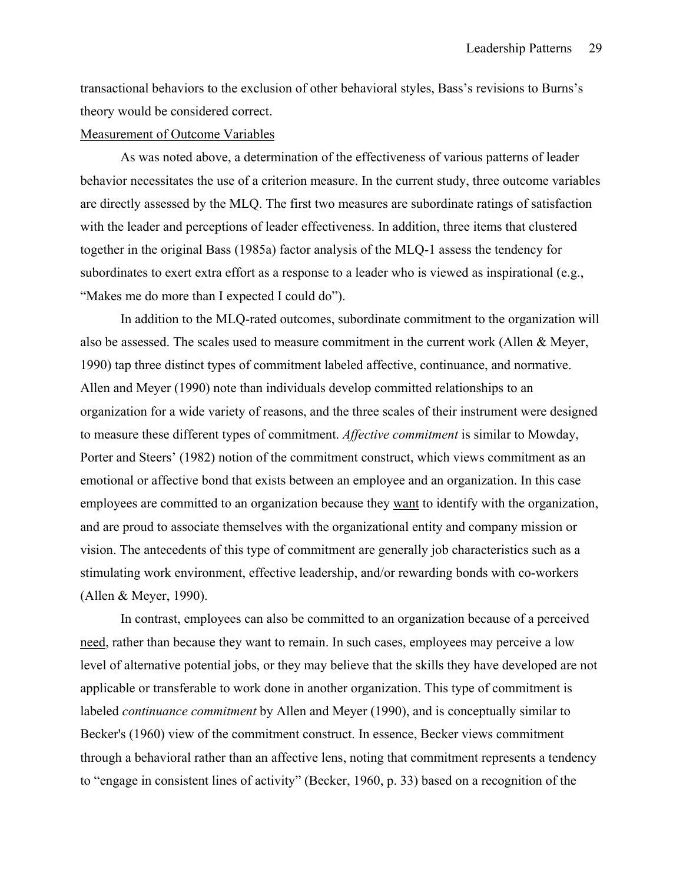transactional behaviors to the exclusion of other behavioral styles, Bass's revisions to Burns's theory would be considered correct.

### Measurement of Outcome Variables

 As was noted above, a determination of the effectiveness of various patterns of leader behavior necessitates the use of a criterion measure. In the current study, three outcome variables are directly assessed by the MLQ. The first two measures are subordinate ratings of satisfaction with the leader and perceptions of leader effectiveness. In addition, three items that clustered together in the original Bass (1985a) factor analysis of the MLQ-1 assess the tendency for subordinates to exert extra effort as a response to a leader who is viewed as inspirational (e.g., "Makes me do more than I expected I could do").

In addition to the MLQ-rated outcomes, subordinate commitment to the organization will also be assessed. The scales used to measure commitment in the current work (Allen & Meyer, 1990) tap three distinct types of commitment labeled affective, continuance, and normative. Allen and Meyer (1990) note than individuals develop committed relationships to an organization for a wide variety of reasons, and the three scales of their instrument were designed to measure these different types of commitment. *Affective commitment* is similar to Mowday, Porter and Steers' (1982) notion of the commitment construct, which views commitment as an emotional or affective bond that exists between an employee and an organization. In this case employees are committed to an organization because they want to identify with the organization, and are proud to associate themselves with the organizational entity and company mission or vision. The antecedents of this type of commitment are generally job characteristics such as a stimulating work environment, effective leadership, and/or rewarding bonds with co-workers (Allen & Meyer, 1990).

 In contrast, employees can also be committed to an organization because of a perceived need, rather than because they want to remain. In such cases, employees may perceive a low level of alternative potential jobs, or they may believe that the skills they have developed are not applicable or transferable to work done in another organization. This type of commitment is labeled *continuance commitment* by Allen and Meyer (1990), and is conceptually similar to Becker's (1960) view of the commitment construct. In essence, Becker views commitment through a behavioral rather than an affective lens, noting that commitment represents a tendency to "engage in consistent lines of activity" (Becker, 1960, p. 33) based on a recognition of the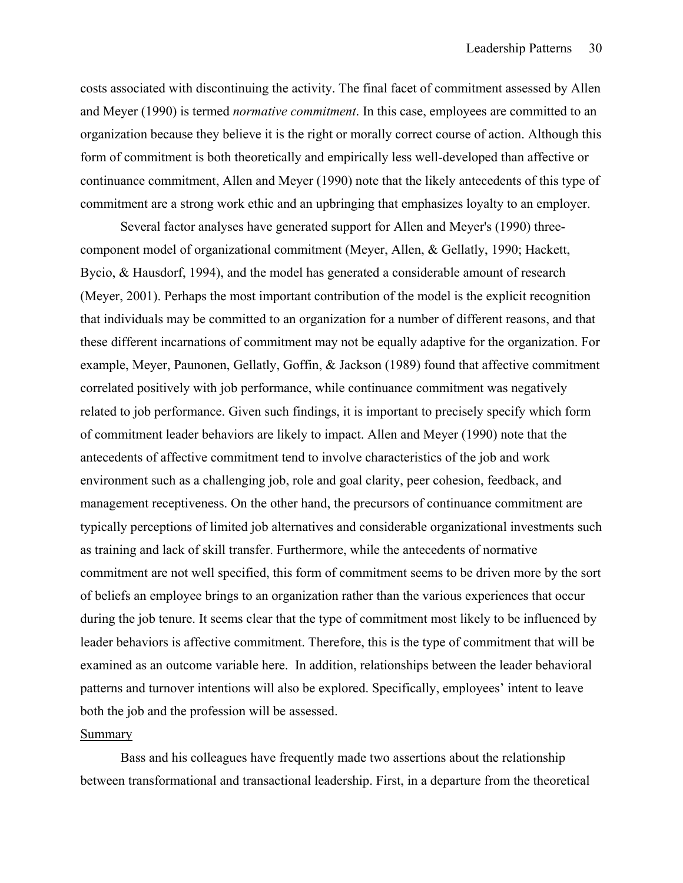costs associated with discontinuing the activity. The final facet of commitment assessed by Allen and Meyer (1990) is termed *normative commitment*. In this case, employees are committed to an organization because they believe it is the right or morally correct course of action. Although this form of commitment is both theoretically and empirically less well-developed than affective or continuance commitment, Allen and Meyer (1990) note that the likely antecedents of this type of commitment are a strong work ethic and an upbringing that emphasizes loyalty to an employer.

 Several factor analyses have generated support for Allen and Meyer's (1990) threecomponent model of organizational commitment (Meyer, Allen, & Gellatly, 1990; Hackett, Bycio, & Hausdorf, 1994), and the model has generated a considerable amount of research (Meyer, 2001). Perhaps the most important contribution of the model is the explicit recognition that individuals may be committed to an organization for a number of different reasons, and that these different incarnations of commitment may not be equally adaptive for the organization. For example, Meyer, Paunonen, Gellatly, Goffin, & Jackson (1989) found that affective commitment correlated positively with job performance, while continuance commitment was negatively related to job performance. Given such findings, it is important to precisely specify which form of commitment leader behaviors are likely to impact. Allen and Meyer (1990) note that the antecedents of affective commitment tend to involve characteristics of the job and work environment such as a challenging job, role and goal clarity, peer cohesion, feedback, and management receptiveness. On the other hand, the precursors of continuance commitment are typically perceptions of limited job alternatives and considerable organizational investments such as training and lack of skill transfer. Furthermore, while the antecedents of normative commitment are not well specified, this form of commitment seems to be driven more by the sort of beliefs an employee brings to an organization rather than the various experiences that occur during the job tenure. It seems clear that the type of commitment most likely to be influenced by leader behaviors is affective commitment. Therefore, this is the type of commitment that will be examined as an outcome variable here. In addition, relationships between the leader behavioral patterns and turnover intentions will also be explored. Specifically, employees' intent to leave both the job and the profession will be assessed.

# Summary

 Bass and his colleagues have frequently made two assertions about the relationship between transformational and transactional leadership. First, in a departure from the theoretical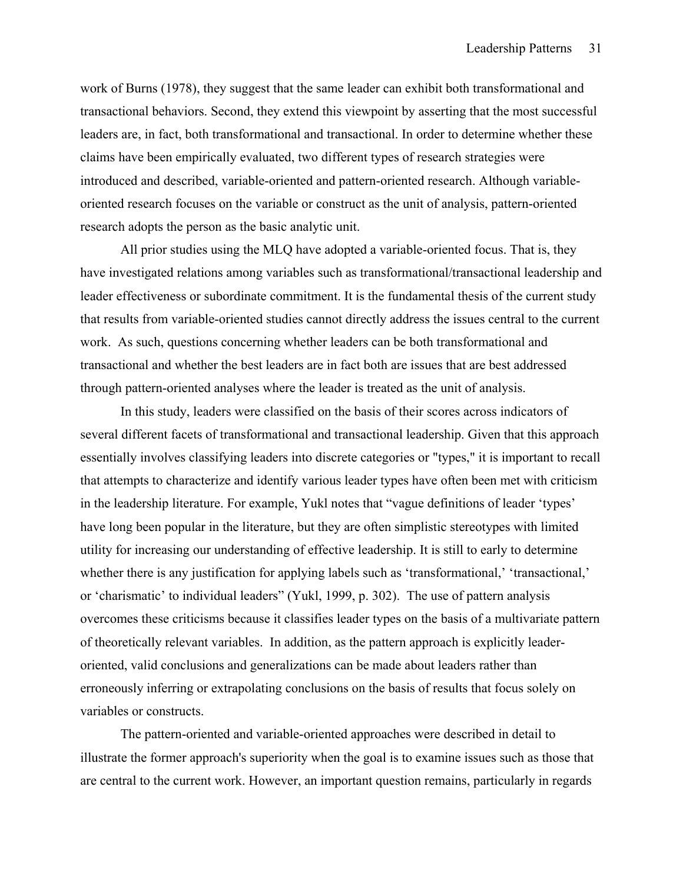work of Burns (1978), they suggest that the same leader can exhibit both transformational and transactional behaviors. Second, they extend this viewpoint by asserting that the most successful leaders are, in fact, both transformational and transactional. In order to determine whether these claims have been empirically evaluated, two different types of research strategies were introduced and described, variable-oriented and pattern-oriented research. Although variableoriented research focuses on the variable or construct as the unit of analysis, pattern-oriented research adopts the person as the basic analytic unit.

 All prior studies using the MLQ have adopted a variable-oriented focus. That is, they have investigated relations among variables such as transformational/transactional leadership and leader effectiveness or subordinate commitment. It is the fundamental thesis of the current study that results from variable-oriented studies cannot directly address the issues central to the current work. As such, questions concerning whether leaders can be both transformational and transactional and whether the best leaders are in fact both are issues that are best addressed through pattern-oriented analyses where the leader is treated as the unit of analysis.

 In this study, leaders were classified on the basis of their scores across indicators of several different facets of transformational and transactional leadership. Given that this approach essentially involves classifying leaders into discrete categories or "types," it is important to recall that attempts to characterize and identify various leader types have often been met with criticism in the leadership literature. For example, Yukl notes that "vague definitions of leader 'types' have long been popular in the literature, but they are often simplistic stereotypes with limited utility for increasing our understanding of effective leadership. It is still to early to determine whether there is any justification for applying labels such as 'transformational,' 'transactional,' or 'charismatic' to individual leaders" (Yukl, 1999, p. 302). The use of pattern analysis overcomes these criticisms because it classifies leader types on the basis of a multivariate pattern of theoretically relevant variables. In addition, as the pattern approach is explicitly leaderoriented, valid conclusions and generalizations can be made about leaders rather than erroneously inferring or extrapolating conclusions on the basis of results that focus solely on variables or constructs.

 The pattern-oriented and variable-oriented approaches were described in detail to illustrate the former approach's superiority when the goal is to examine issues such as those that are central to the current work. However, an important question remains, particularly in regards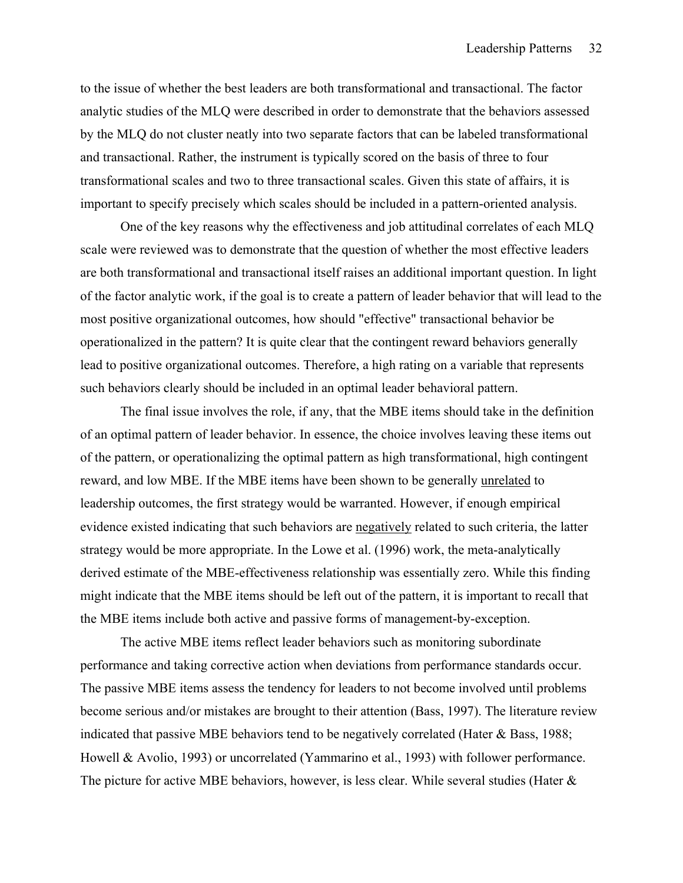to the issue of whether the best leaders are both transformational and transactional. The factor analytic studies of the MLQ were described in order to demonstrate that the behaviors assessed by the MLQ do not cluster neatly into two separate factors that can be labeled transformational and transactional. Rather, the instrument is typically scored on the basis of three to four transformational scales and two to three transactional scales. Given this state of affairs, it is important to specify precisely which scales should be included in a pattern-oriented analysis.

 One of the key reasons why the effectiveness and job attitudinal correlates of each MLQ scale were reviewed was to demonstrate that the question of whether the most effective leaders are both transformational and transactional itself raises an additional important question. In light of the factor analytic work, if the goal is to create a pattern of leader behavior that will lead to the most positive organizational outcomes, how should "effective" transactional behavior be operationalized in the pattern? It is quite clear that the contingent reward behaviors generally lead to positive organizational outcomes. Therefore, a high rating on a variable that represents such behaviors clearly should be included in an optimal leader behavioral pattern.

 The final issue involves the role, if any, that the MBE items should take in the definition of an optimal pattern of leader behavior. In essence, the choice involves leaving these items out of the pattern, or operationalizing the optimal pattern as high transformational, high contingent reward, and low MBE. If the MBE items have been shown to be generally unrelated to leadership outcomes, the first strategy would be warranted. However, if enough empirical evidence existed indicating that such behaviors are negatively related to such criteria, the latter strategy would be more appropriate. In the Lowe et al. (1996) work, the meta-analytically derived estimate of the MBE-effectiveness relationship was essentially zero. While this finding might indicate that the MBE items should be left out of the pattern, it is important to recall that the MBE items include both active and passive forms of management-by-exception.

The active MBE items reflect leader behaviors such as monitoring subordinate performance and taking corrective action when deviations from performance standards occur. The passive MBE items assess the tendency for leaders to not become involved until problems become serious and/or mistakes are brought to their attention (Bass, 1997). The literature review indicated that passive MBE behaviors tend to be negatively correlated (Hater & Bass, 1988; Howell & Avolio, 1993) or uncorrelated (Yammarino et al., 1993) with follower performance. The picture for active MBE behaviors, however, is less clear. While several studies (Hater &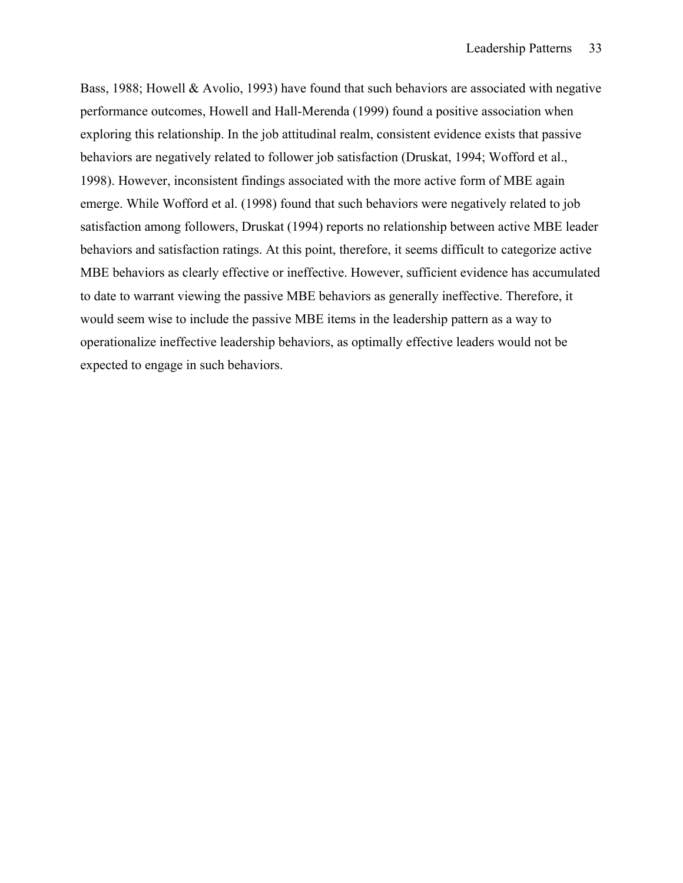Bass, 1988; Howell & Avolio, 1993) have found that such behaviors are associated with negative performance outcomes, Howell and Hall-Merenda (1999) found a positive association when exploring this relationship. In the job attitudinal realm, consistent evidence exists that passive behaviors are negatively related to follower job satisfaction (Druskat, 1994; Wofford et al., 1998). However, inconsistent findings associated with the more active form of MBE again emerge. While Wofford et al. (1998) found that such behaviors were negatively related to job satisfaction among followers, Druskat (1994) reports no relationship between active MBE leader behaviors and satisfaction ratings. At this point, therefore, it seems difficult to categorize active MBE behaviors as clearly effective or ineffective. However, sufficient evidence has accumulated to date to warrant viewing the passive MBE behaviors as generally ineffective. Therefore, it would seem wise to include the passive MBE items in the leadership pattern as a way to operationalize ineffective leadership behaviors, as optimally effective leaders would not be expected to engage in such behaviors.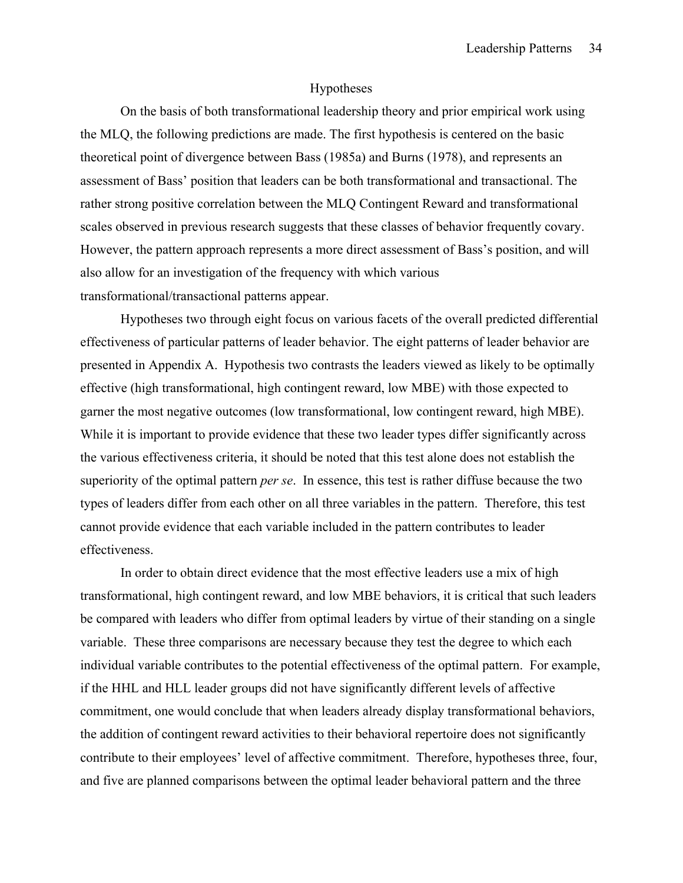## Hypotheses

On the basis of both transformational leadership theory and prior empirical work using the MLQ, the following predictions are made. The first hypothesis is centered on the basic theoretical point of divergence between Bass (1985a) and Burns (1978), and represents an assessment of Bass' position that leaders can be both transformational and transactional. The rather strong positive correlation between the MLQ Contingent Reward and transformational scales observed in previous research suggests that these classes of behavior frequently covary. However, the pattern approach represents a more direct assessment of Bass's position, and will also allow for an investigation of the frequency with which various transformational/transactional patterns appear.

Hypotheses two through eight focus on various facets of the overall predicted differential effectiveness of particular patterns of leader behavior. The eight patterns of leader behavior are presented in Appendix A. Hypothesis two contrasts the leaders viewed as likely to be optimally effective (high transformational, high contingent reward, low MBE) with those expected to garner the most negative outcomes (low transformational, low contingent reward, high MBE). While it is important to provide evidence that these two leader types differ significantly across the various effectiveness criteria, it should be noted that this test alone does not establish the superiority of the optimal pattern *per se*. In essence, this test is rather diffuse because the two types of leaders differ from each other on all three variables in the pattern. Therefore, this test cannot provide evidence that each variable included in the pattern contributes to leader effectiveness.

In order to obtain direct evidence that the most effective leaders use a mix of high transformational, high contingent reward, and low MBE behaviors, it is critical that such leaders be compared with leaders who differ from optimal leaders by virtue of their standing on a single variable. These three comparisons are necessary because they test the degree to which each individual variable contributes to the potential effectiveness of the optimal pattern. For example, if the HHL and HLL leader groups did not have significantly different levels of affective commitment, one would conclude that when leaders already display transformational behaviors, the addition of contingent reward activities to their behavioral repertoire does not significantly contribute to their employees' level of affective commitment. Therefore, hypotheses three, four, and five are planned comparisons between the optimal leader behavioral pattern and the three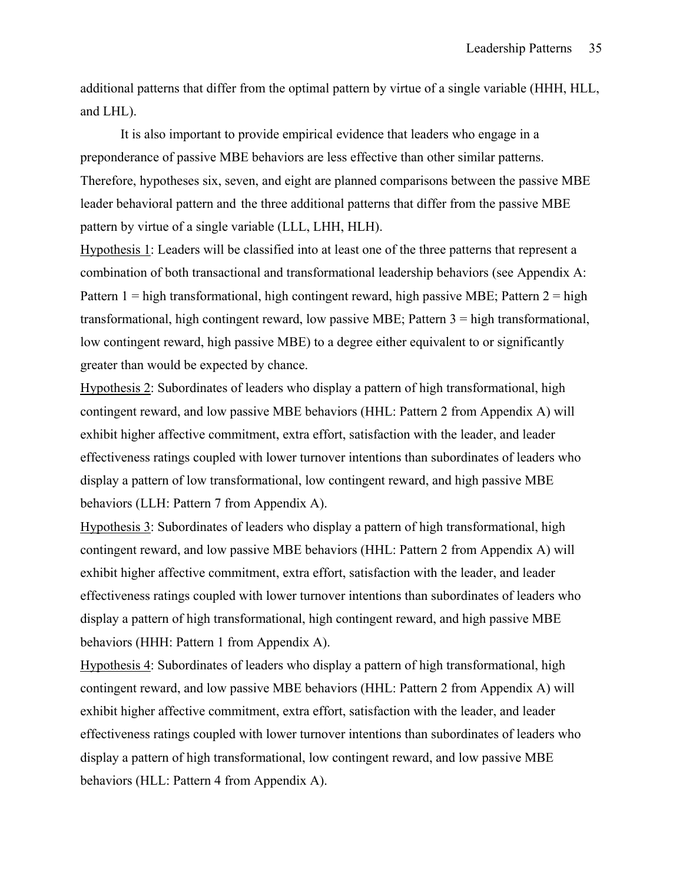additional patterns that differ from the optimal pattern by virtue of a single variable (HHH, HLL, and LHL).

 It is also important to provide empirical evidence that leaders who engage in a preponderance of passive MBE behaviors are less effective than other similar patterns. Therefore, hypotheses six, seven, and eight are planned comparisons between the passive MBE leader behavioral pattern and the three additional patterns that differ from the passive MBE pattern by virtue of a single variable (LLL, LHH, HLH).

Hypothesis 1: Leaders will be classified into at least one of the three patterns that represent a combination of both transactional and transformational leadership behaviors (see Appendix A: Pattern  $1 =$  high transformational, high contingent reward, high passive MBE; Pattern  $2 =$  high transformational, high contingent reward, low passive MBE; Pattern 3 = high transformational, low contingent reward, high passive MBE) to a degree either equivalent to or significantly greater than would be expected by chance.

Hypothesis 2: Subordinates of leaders who display a pattern of high transformational, high contingent reward, and low passive MBE behaviors (HHL: Pattern 2 from Appendix A) will exhibit higher affective commitment, extra effort, satisfaction with the leader, and leader effectiveness ratings coupled with lower turnover intentions than subordinates of leaders who display a pattern of low transformational, low contingent reward, and high passive MBE behaviors (LLH: Pattern 7 from Appendix A).

Hypothesis 3: Subordinates of leaders who display a pattern of high transformational, high contingent reward, and low passive MBE behaviors (HHL: Pattern 2 from Appendix A) will exhibit higher affective commitment, extra effort, satisfaction with the leader, and leader effectiveness ratings coupled with lower turnover intentions than subordinates of leaders who display a pattern of high transformational, high contingent reward, and high passive MBE behaviors (HHH: Pattern 1 from Appendix A).

Hypothesis 4: Subordinates of leaders who display a pattern of high transformational, high contingent reward, and low passive MBE behaviors (HHL: Pattern 2 from Appendix A) will exhibit higher affective commitment, extra effort, satisfaction with the leader, and leader effectiveness ratings coupled with lower turnover intentions than subordinates of leaders who display a pattern of high transformational, low contingent reward, and low passive MBE behaviors (HLL: Pattern 4 from Appendix A).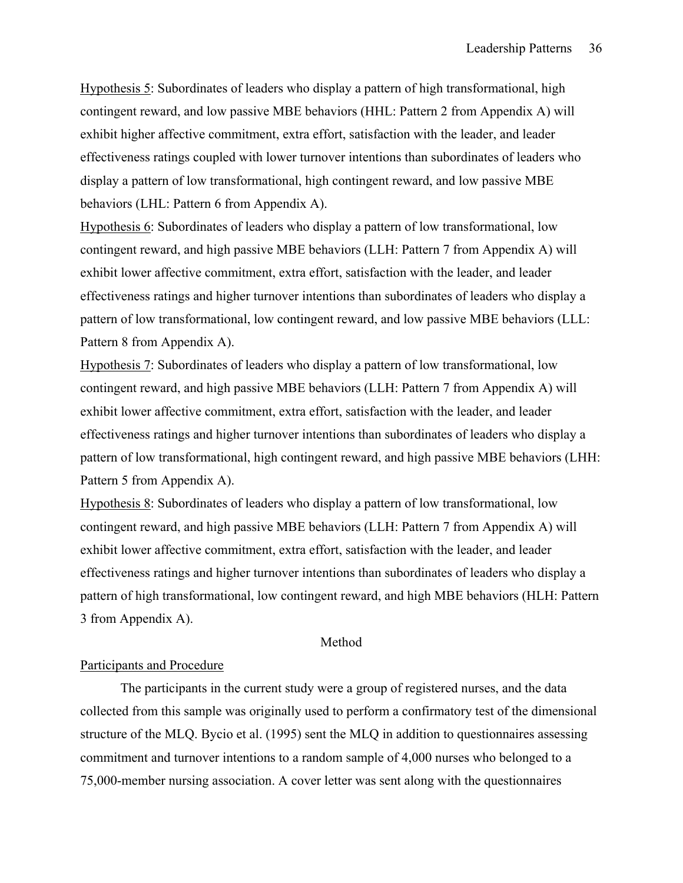Hypothesis 5: Subordinates of leaders who display a pattern of high transformational, high contingent reward, and low passive MBE behaviors (HHL: Pattern 2 from Appendix A) will exhibit higher affective commitment, extra effort, satisfaction with the leader, and leader effectiveness ratings coupled with lower turnover intentions than subordinates of leaders who display a pattern of low transformational, high contingent reward, and low passive MBE behaviors (LHL: Pattern 6 from Appendix A).

Hypothesis 6: Subordinates of leaders who display a pattern of low transformational, low contingent reward, and high passive MBE behaviors (LLH: Pattern 7 from Appendix A) will exhibit lower affective commitment, extra effort, satisfaction with the leader, and leader effectiveness ratings and higher turnover intentions than subordinates of leaders who display a pattern of low transformational, low contingent reward, and low passive MBE behaviors (LLL: Pattern 8 from Appendix A).

Hypothesis 7: Subordinates of leaders who display a pattern of low transformational, low contingent reward, and high passive MBE behaviors (LLH: Pattern 7 from Appendix A) will exhibit lower affective commitment, extra effort, satisfaction with the leader, and leader effectiveness ratings and higher turnover intentions than subordinates of leaders who display a pattern of low transformational, high contingent reward, and high passive MBE behaviors (LHH: Pattern 5 from Appendix A).

Hypothesis 8: Subordinates of leaders who display a pattern of low transformational, low contingent reward, and high passive MBE behaviors (LLH: Pattern 7 from Appendix A) will exhibit lower affective commitment, extra effort, satisfaction with the leader, and leader effectiveness ratings and higher turnover intentions than subordinates of leaders who display a pattern of high transformational, low contingent reward, and high MBE behaviors (HLH: Pattern 3 from Appendix A).

#### Method

## Participants and Procedure

 The participants in the current study were a group of registered nurses, and the data collected from this sample was originally used to perform a confirmatory test of the dimensional structure of the MLQ. Bycio et al. (1995) sent the MLQ in addition to questionnaires assessing commitment and turnover intentions to a random sample of 4,000 nurses who belonged to a 75,000-member nursing association. A cover letter was sent along with the questionnaires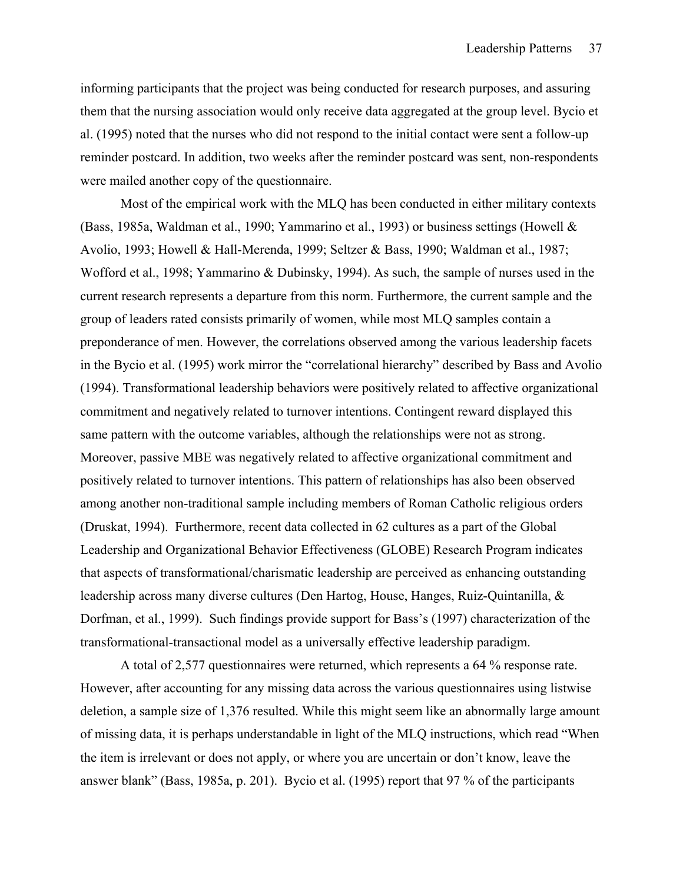informing participants that the project was being conducted for research purposes, and assuring them that the nursing association would only receive data aggregated at the group level. Bycio et al. (1995) noted that the nurses who did not respond to the initial contact were sent a follow-up reminder postcard. In addition, two weeks after the reminder postcard was sent, non-respondents were mailed another copy of the questionnaire.

 Most of the empirical work with the MLQ has been conducted in either military contexts (Bass, 1985a, Waldman et al., 1990; Yammarino et al., 1993) or business settings (Howell & Avolio, 1993; Howell & Hall-Merenda, 1999; Seltzer & Bass, 1990; Waldman et al., 1987; Wofford et al., 1998; Yammarino & Dubinsky, 1994). As such, the sample of nurses used in the current research represents a departure from this norm. Furthermore, the current sample and the group of leaders rated consists primarily of women, while most MLQ samples contain a preponderance of men. However, the correlations observed among the various leadership facets in the Bycio et al. (1995) work mirror the "correlational hierarchy" described by Bass and Avolio (1994). Transformational leadership behaviors were positively related to affective organizational commitment and negatively related to turnover intentions. Contingent reward displayed this same pattern with the outcome variables, although the relationships were not as strong. Moreover, passive MBE was negatively related to affective organizational commitment and positively related to turnover intentions. This pattern of relationships has also been observed among another non-traditional sample including members of Roman Catholic religious orders (Druskat, 1994). Furthermore, recent data collected in 62 cultures as a part of the Global Leadership and Organizational Behavior Effectiveness (GLOBE) Research Program indicates that aspects of transformational/charismatic leadership are perceived as enhancing outstanding leadership across many diverse cultures (Den Hartog, House, Hanges, Ruiz-Quintanilla, & Dorfman, et al., 1999). Such findings provide support for Bass's (1997) characterization of the transformational-transactional model as a universally effective leadership paradigm.

 A total of 2,577 questionnaires were returned, which represents a 64 % response rate. However, after accounting for any missing data across the various questionnaires using listwise deletion, a sample size of 1,376 resulted. While this might seem like an abnormally large amount of missing data, it is perhaps understandable in light of the MLQ instructions, which read "When the item is irrelevant or does not apply, or where you are uncertain or don't know, leave the answer blank" (Bass, 1985a, p. 201). Bycio et al. (1995) report that 97 % of the participants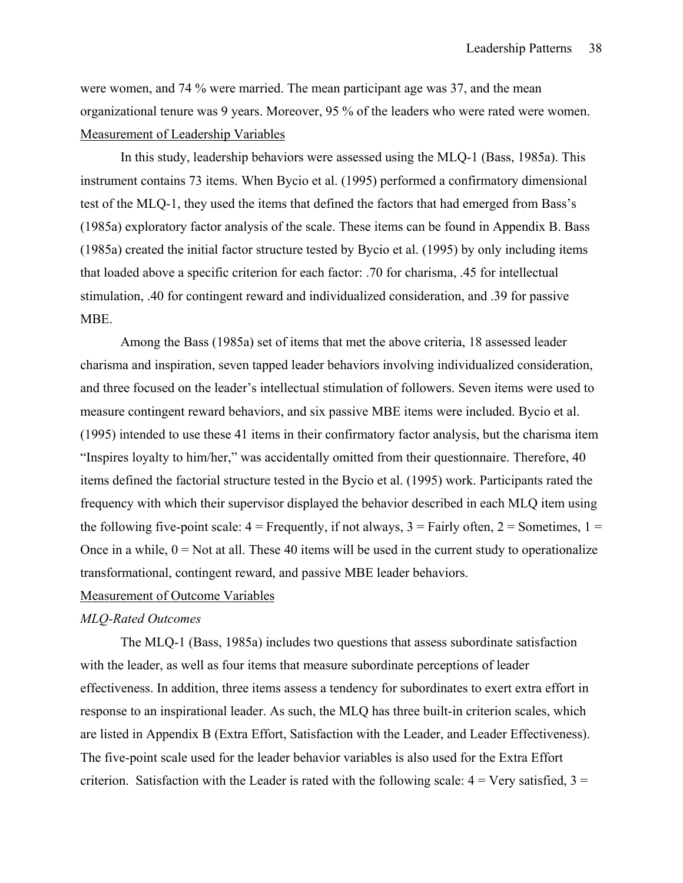were women, and 74 % were married. The mean participant age was 37, and the mean organizational tenure was 9 years. Moreover, 95 % of the leaders who were rated were women. Measurement of Leadership Variables

 In this study, leadership behaviors were assessed using the MLQ-1 (Bass, 1985a). This instrument contains 73 items. When Bycio et al. (1995) performed a confirmatory dimensional test of the MLQ-1, they used the items that defined the factors that had emerged from Bass's (1985a) exploratory factor analysis of the scale. These items can be found in Appendix B. Bass (1985a) created the initial factor structure tested by Bycio et al. (1995) by only including items that loaded above a specific criterion for each factor: .70 for charisma, .45 for intellectual stimulation, .40 for contingent reward and individualized consideration, and .39 for passive MBE.

Among the Bass (1985a) set of items that met the above criteria, 18 assessed leader charisma and inspiration, seven tapped leader behaviors involving individualized consideration, and three focused on the leader's intellectual stimulation of followers. Seven items were used to measure contingent reward behaviors, and six passive MBE items were included. Bycio et al. (1995) intended to use these 41 items in their confirmatory factor analysis, but the charisma item "Inspires loyalty to him/her," was accidentally omitted from their questionnaire. Therefore, 40 items defined the factorial structure tested in the Bycio et al. (1995) work. Participants rated the frequency with which their supervisor displayed the behavior described in each MLQ item using the following five-point scale:  $4 =$  Frequently, if not always,  $3 =$  Fairly often,  $2 =$  Sometimes,  $1 =$ Once in a while,  $0 = Not$  at all. These 40 items will be used in the current study to operationalize transformational, contingent reward, and passive MBE leader behaviors.

# Measurement of Outcome Variables

# *MLQ-Rated Outcomes*

 The MLQ-1 (Bass, 1985a) includes two questions that assess subordinate satisfaction with the leader, as well as four items that measure subordinate perceptions of leader effectiveness. In addition, three items assess a tendency for subordinates to exert extra effort in response to an inspirational leader. As such, the MLQ has three built-in criterion scales, which are listed in Appendix B (Extra Effort, Satisfaction with the Leader, and Leader Effectiveness). The five-point scale used for the leader behavior variables is also used for the Extra Effort criterion. Satisfaction with the Leader is rated with the following scale:  $4 =$  Very satisfied,  $3 =$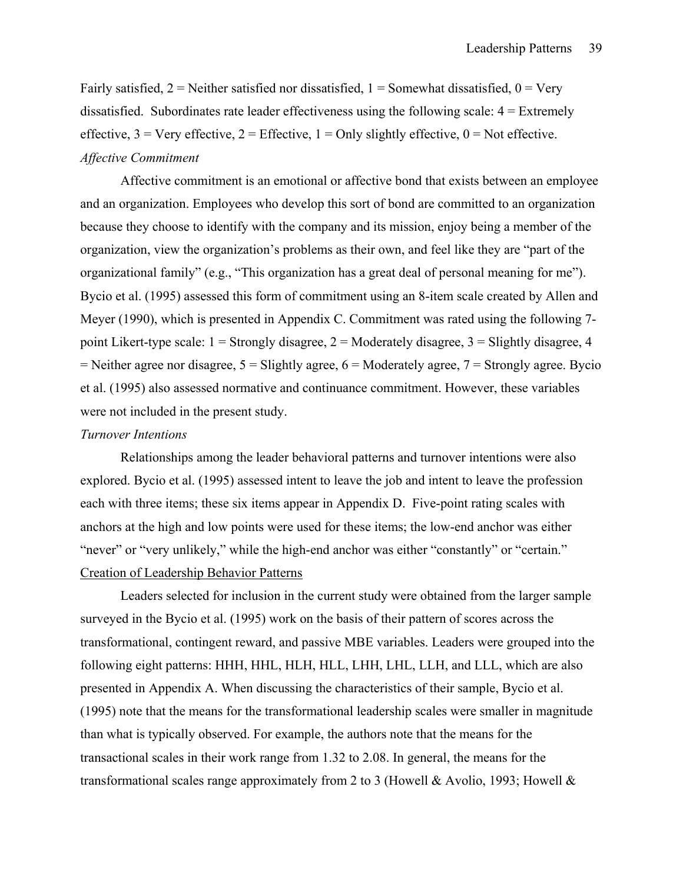Fairly satisfied,  $2$  = Neither satisfied nor dissatisfied,  $1$  = Somewhat dissatisfied,  $0$  = Very dissatisfied. Subordinates rate leader effectiveness using the following scale:  $4 =$  Extremely effective,  $3 = \text{Very effective}, 2 = \text{Effective}, 1 = \text{Only slightly effective}, 0 = \text{Not effective}.$ *Affective Commitment* 

 Affective commitment is an emotional or affective bond that exists between an employee and an organization. Employees who develop this sort of bond are committed to an organization because they choose to identify with the company and its mission, enjoy being a member of the organization, view the organization's problems as their own, and feel like they are "part of the organizational family" (e.g., "This organization has a great deal of personal meaning for me"). Bycio et al. (1995) assessed this form of commitment using an 8-item scale created by Allen and Meyer (1990), which is presented in Appendix C. Commitment was rated using the following 7 point Likert-type scale:  $1 =$  Strongly disagree,  $2 =$  Moderately disagree,  $3 =$  Slightly disagree, 4  $=$  Neither agree nor disagree,  $5 =$  Slightly agree,  $6 =$  Moderately agree,  $7 =$  Strongly agree. Bycio et al. (1995) also assessed normative and continuance commitment. However, these variables were not included in the present study.

## *Turnover Intentions*

Relationships among the leader behavioral patterns and turnover intentions were also explored. Bycio et al. (1995) assessed intent to leave the job and intent to leave the profession each with three items; these six items appear in Appendix D. Five-point rating scales with anchors at the high and low points were used for these items; the low-end anchor was either "never" or "very unlikely," while the high-end anchor was either "constantly" or "certain." Creation of Leadership Behavior Patterns

 Leaders selected for inclusion in the current study were obtained from the larger sample surveyed in the Bycio et al. (1995) work on the basis of their pattern of scores across the transformational, contingent reward, and passive MBE variables. Leaders were grouped into the following eight patterns: HHH, HHL, HLH, HLL, LHH, LHL, LLH, and LLL, which are also presented in Appendix A. When discussing the characteristics of their sample, Bycio et al. (1995) note that the means for the transformational leadership scales were smaller in magnitude than what is typically observed. For example, the authors note that the means for the transactional scales in their work range from 1.32 to 2.08. In general, the means for the transformational scales range approximately from 2 to 3 (Howell & Avolio, 1993; Howell  $\&$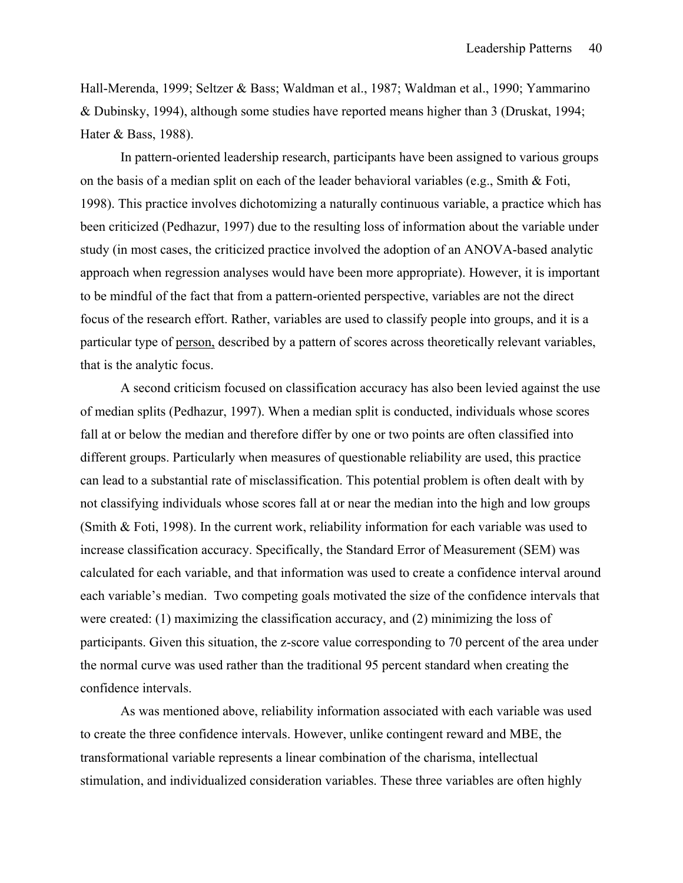Hall-Merenda, 1999; Seltzer & Bass; Waldman et al., 1987; Waldman et al., 1990; Yammarino & Dubinsky, 1994), although some studies have reported means higher than 3 (Druskat, 1994; Hater & Bass, 1988).

In pattern-oriented leadership research, participants have been assigned to various groups on the basis of a median split on each of the leader behavioral variables (e.g., Smith & Foti, 1998). This practice involves dichotomizing a naturally continuous variable, a practice which has been criticized (Pedhazur, 1997) due to the resulting loss of information about the variable under study (in most cases, the criticized practice involved the adoption of an ANOVA-based analytic approach when regression analyses would have been more appropriate). However, it is important to be mindful of the fact that from a pattern-oriented perspective, variables are not the direct focus of the research effort. Rather, variables are used to classify people into groups, and it is a particular type of person, described by a pattern of scores across theoretically relevant variables, that is the analytic focus.

A second criticism focused on classification accuracy has also been levied against the use of median splits (Pedhazur, 1997). When a median split is conducted, individuals whose scores fall at or below the median and therefore differ by one or two points are often classified into different groups. Particularly when measures of questionable reliability are used, this practice can lead to a substantial rate of misclassification. This potential problem is often dealt with by not classifying individuals whose scores fall at or near the median into the high and low groups (Smith & Foti, 1998). In the current work, reliability information for each variable was used to increase classification accuracy. Specifically, the Standard Error of Measurement (SEM) was calculated for each variable, and that information was used to create a confidence interval around each variable's median. Two competing goals motivated the size of the confidence intervals that were created: (1) maximizing the classification accuracy, and (2) minimizing the loss of participants. Given this situation, the z-score value corresponding to 70 percent of the area under the normal curve was used rather than the traditional 95 percent standard when creating the confidence intervals.

As was mentioned above, reliability information associated with each variable was used to create the three confidence intervals. However, unlike contingent reward and MBE, the transformational variable represents a linear combination of the charisma, intellectual stimulation, and individualized consideration variables. These three variables are often highly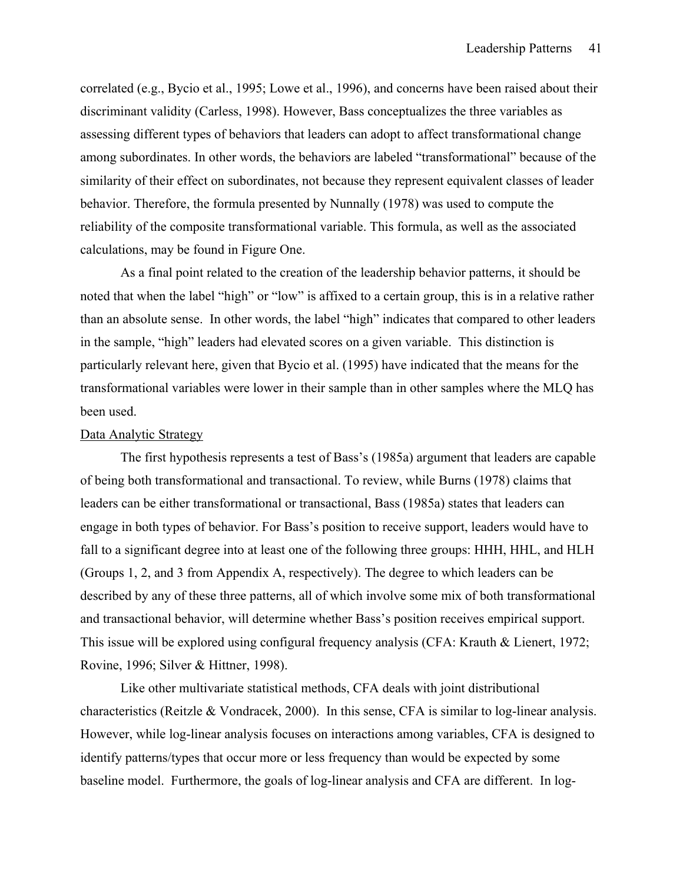correlated (e.g., Bycio et al., 1995; Lowe et al., 1996), and concerns have been raised about their discriminant validity (Carless, 1998). However, Bass conceptualizes the three variables as assessing different types of behaviors that leaders can adopt to affect transformational change among subordinates. In other words, the behaviors are labeled "transformational" because of the similarity of their effect on subordinates, not because they represent equivalent classes of leader behavior. Therefore, the formula presented by Nunnally (1978) was used to compute the reliability of the composite transformational variable. This formula, as well as the associated calculations, may be found in Figure One.

As a final point related to the creation of the leadership behavior patterns, it should be noted that when the label "high" or "low" is affixed to a certain group, this is in a relative rather than an absolute sense. In other words, the label "high" indicates that compared to other leaders in the sample, "high" leaders had elevated scores on a given variable. This distinction is particularly relevant here, given that Bycio et al. (1995) have indicated that the means for the transformational variables were lower in their sample than in other samples where the MLQ has been used.

## Data Analytic Strategy

 The first hypothesis represents a test of Bass's (1985a) argument that leaders are capable of being both transformational and transactional. To review, while Burns (1978) claims that leaders can be either transformational or transactional, Bass (1985a) states that leaders can engage in both types of behavior. For Bass's position to receive support, leaders would have to fall to a significant degree into at least one of the following three groups: HHH, HHL, and HLH (Groups 1, 2, and 3 from Appendix A, respectively). The degree to which leaders can be described by any of these three patterns, all of which involve some mix of both transformational and transactional behavior, will determine whether Bass's position receives empirical support. This issue will be explored using configural frequency analysis (CFA: Krauth & Lienert, 1972; Rovine, 1996; Silver & Hittner, 1998).

Like other multivariate statistical methods, CFA deals with joint distributional characteristics (Reitzle & Vondracek, 2000). In this sense, CFA is similar to log-linear analysis. However, while log-linear analysis focuses on interactions among variables, CFA is designed to identify patterns/types that occur more or less frequency than would be expected by some baseline model. Furthermore, the goals of log-linear analysis and CFA are different. In log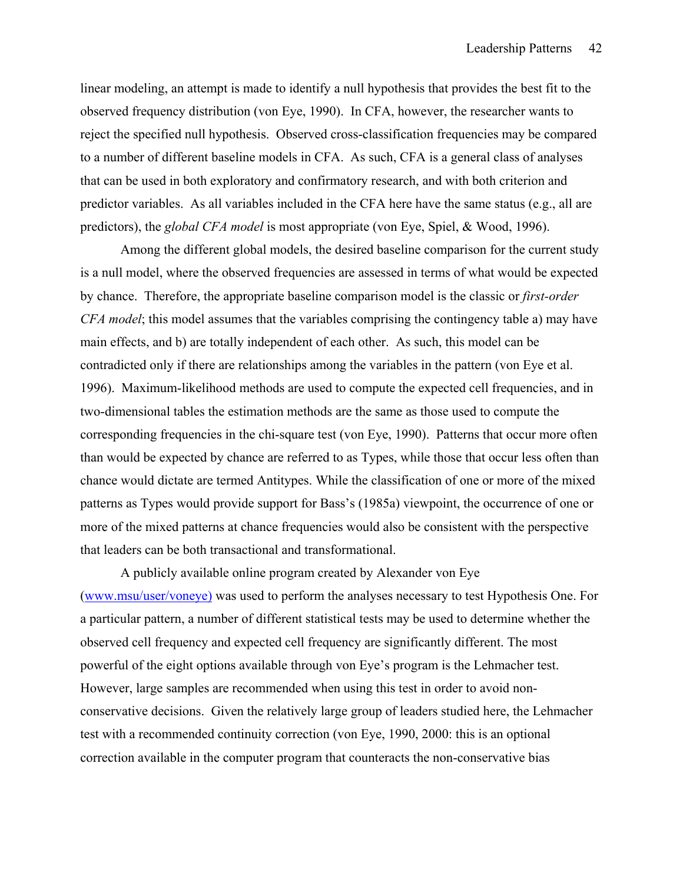linear modeling, an attempt is made to identify a null hypothesis that provides the best fit to the observed frequency distribution (von Eye, 1990). In CFA, however, the researcher wants to reject the specified null hypothesis. Observed cross-classification frequencies may be compared to a number of different baseline models in CFA. As such, CFA is a general class of analyses that can be used in both exploratory and confirmatory research, and with both criterion and predictor variables. As all variables included in the CFA here have the same status (e.g., all are predictors), the *global CFA model* is most appropriate (von Eye, Spiel, & Wood, 1996).

Among the different global models, the desired baseline comparison for the current study is a null model, where the observed frequencies are assessed in terms of what would be expected by chance. Therefore, the appropriate baseline comparison model is the classic or *first-order CFA model*; this model assumes that the variables comprising the contingency table a) may have main effects, and b) are totally independent of each other. As such, this model can be contradicted only if there are relationships among the variables in the pattern (von Eye et al. 1996). Maximum-likelihood methods are used to compute the expected cell frequencies, and in two-dimensional tables the estimation methods are the same as those used to compute the corresponding frequencies in the chi-square test (von Eye, 1990). Patterns that occur more often than would be expected by chance are referred to as Types, while those that occur less often than chance would dictate are termed Antitypes. While the classification of one or more of the mixed patterns as Types would provide support for Bass's (1985a) viewpoint, the occurrence of one or more of the mixed patterns at chance frequencies would also be consistent with the perspective that leaders can be both transactional and transformational.

 A publicly available online program created by Alexander von Eye (www.msu/user/voneye) was used to perform the analyses necessary to test Hypothesis One. For a particular pattern, a number of different statistical tests may be used to determine whether the observed cell frequency and expected cell frequency are significantly different. The most powerful of the eight options available through von Eye's program is the Lehmacher test. However, large samples are recommended when using this test in order to avoid nonconservative decisions. Given the relatively large group of leaders studied here, the Lehmacher test with a recommended continuity correction (von Eye, 1990, 2000: this is an optional correction available in the computer program that counteracts the non-conservative bias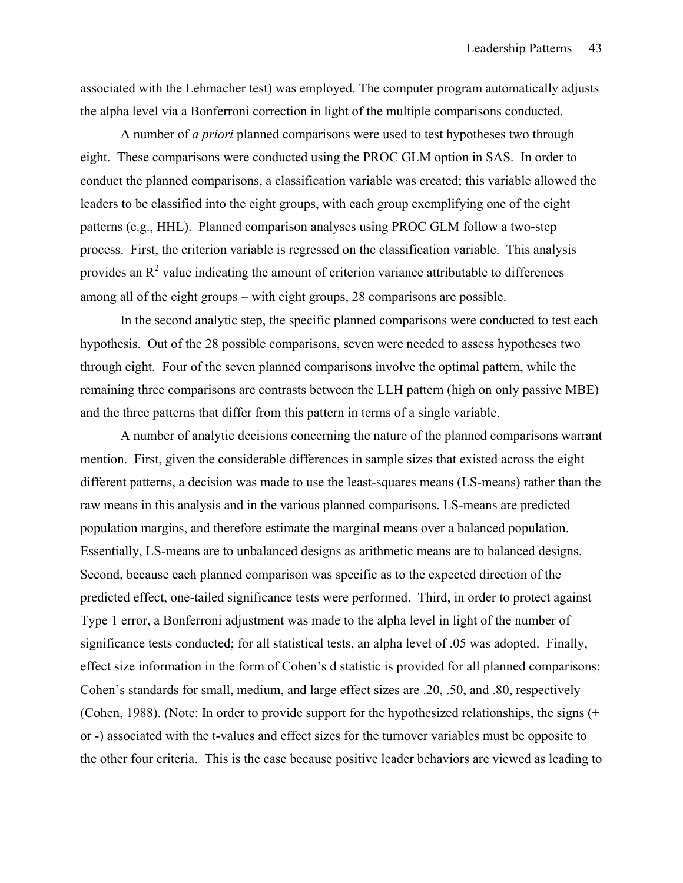associated with the Lehmacher test) was employed. The computer program automatically adjusts the alpha level via a Bonferroni correction in light of the multiple comparisons conducted.

A number of *a priori* planned comparisons were used to test hypotheses two through eight. These comparisons were conducted using the PROC GLM option in SAS. In order to conduct the planned comparisons, a classification variable was created; this variable allowed the leaders to be classified into the eight groups, with each group exemplifying one of the eight patterns (e.g., HHL). Planned comparison analyses using PROC GLM follow a two-step process. First, the criterion variable is regressed on the classification variable. This analysis provides an  $\mathbb{R}^2$  value indicating the amount of criterion variance attributable to differences among all of the eight groups – with eight groups, 28 comparisons are possible.

In the second analytic step, the specific planned comparisons were conducted to test each hypothesis. Out of the 28 possible comparisons, seven were needed to assess hypotheses two through eight. Four of the seven planned comparisons involve the optimal pattern, while the remaining three comparisons are contrasts between the LLH pattern (high on only passive MBE) and the three patterns that differ from this pattern in terms of a single variable.

A number of analytic decisions concerning the nature of the planned comparisons warrant mention. First, given the considerable differences in sample sizes that existed across the eight different patterns, a decision was made to use the least-squares means (LS-means) rather than the raw means in this analysis and in the various planned comparisons. LS-means are predicted population margins, and therefore estimate the marginal means over a balanced population. Essentially, LS-means are to unbalanced designs as arithmetic means are to balanced designs. Second, because each planned comparison was specific as to the expected direction of the predicted effect, one-tailed significance tests were performed. Third, in order to protect against Type 1 error, a Bonferroni adjustment was made to the alpha level in light of the number of significance tests conducted; for all statistical tests, an alpha level of .05 was adopted. Finally, effect size information in the form of Cohen's d statistic is provided for all planned comparisons; Cohen's standards for small, medium, and large effect sizes are .20, .50, and .80, respectively (Cohen, 1988). (Note: In order to provide support for the hypothesized relationships, the signs (+ or -) associated with the t-values and effect sizes for the turnover variables must be opposite to the other four criteria. This is the case because positive leader behaviors are viewed as leading to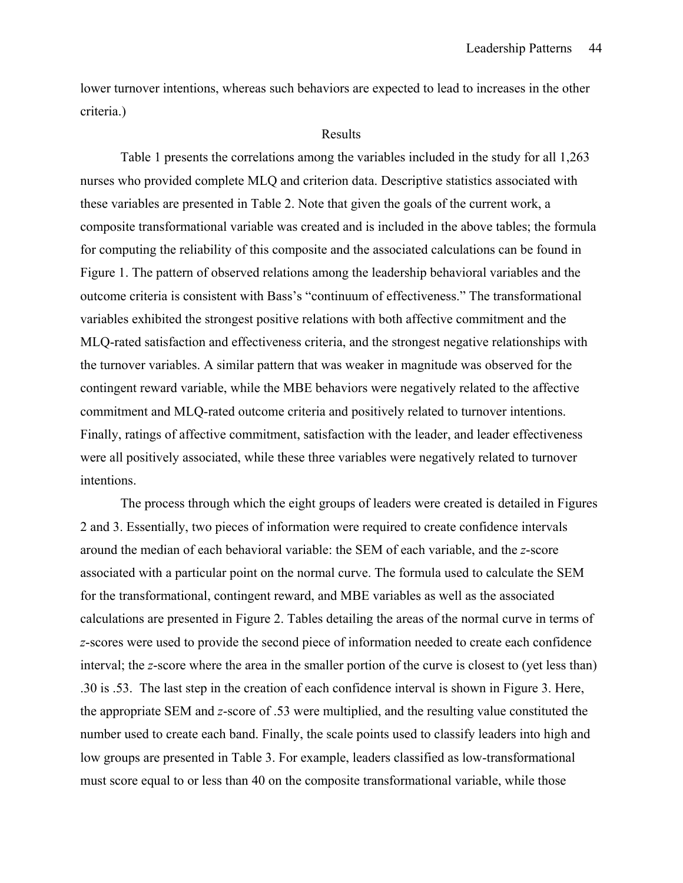lower turnover intentions, whereas such behaviors are expected to lead to increases in the other criteria.)

#### Results

 Table 1 presents the correlations among the variables included in the study for all 1,263 nurses who provided complete MLQ and criterion data. Descriptive statistics associated with these variables are presented in Table 2. Note that given the goals of the current work, a composite transformational variable was created and is included in the above tables; the formula for computing the reliability of this composite and the associated calculations can be found in Figure 1. The pattern of observed relations among the leadership behavioral variables and the outcome criteria is consistent with Bass's "continuum of effectiveness." The transformational variables exhibited the strongest positive relations with both affective commitment and the MLQ-rated satisfaction and effectiveness criteria, and the strongest negative relationships with the turnover variables. A similar pattern that was weaker in magnitude was observed for the contingent reward variable, while the MBE behaviors were negatively related to the affective commitment and MLQ-rated outcome criteria and positively related to turnover intentions. Finally, ratings of affective commitment, satisfaction with the leader, and leader effectiveness were all positively associated, while these three variables were negatively related to turnover intentions.

 The process through which the eight groups of leaders were created is detailed in Figures 2 and 3. Essentially, two pieces of information were required to create confidence intervals around the median of each behavioral variable: the SEM of each variable, and the *z*-score associated with a particular point on the normal curve. The formula used to calculate the SEM for the transformational, contingent reward, and MBE variables as well as the associated calculations are presented in Figure 2. Tables detailing the areas of the normal curve in terms of *z*-scores were used to provide the second piece of information needed to create each confidence interval; the *z*-score where the area in the smaller portion of the curve is closest to (yet less than) .30 is .53. The last step in the creation of each confidence interval is shown in Figure 3. Here, the appropriate SEM and *z*-score of .53 were multiplied, and the resulting value constituted the number used to create each band. Finally, the scale points used to classify leaders into high and low groups are presented in Table 3. For example, leaders classified as low-transformational must score equal to or less than 40 on the composite transformational variable, while those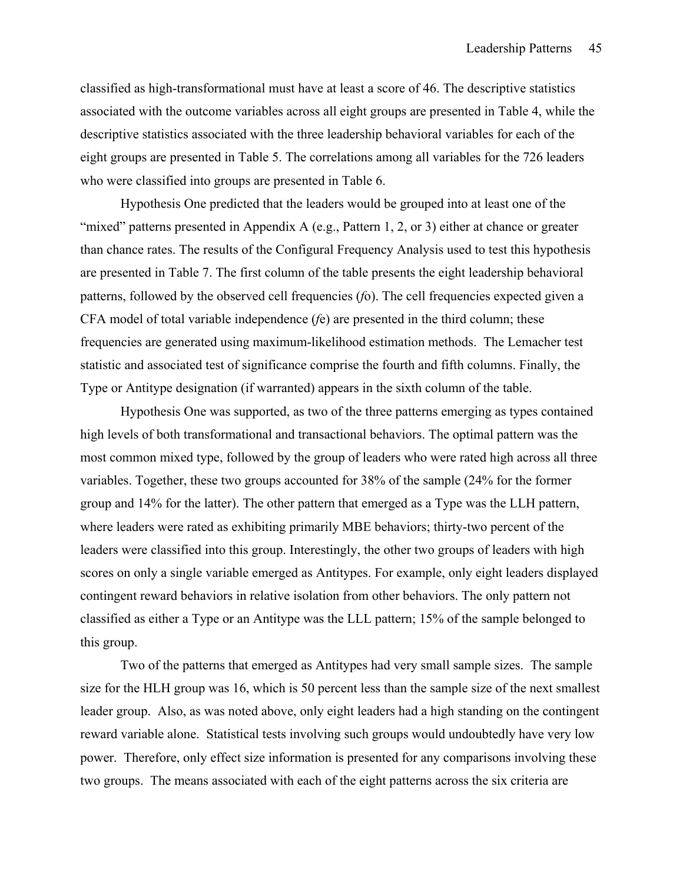classified as high-transformational must have at least a score of 46. The descriptive statistics associated with the outcome variables across all eight groups are presented in Table 4, while the descriptive statistics associated with the three leadership behavioral variables for each of the eight groups are presented in Table 5. The correlations among all variables for the 726 leaders who were classified into groups are presented in Table 6.

 Hypothesis One predicted that the leaders would be grouped into at least one of the "mixed" patterns presented in Appendix A (e.g., Pattern 1, 2, or 3) either at chance or greater than chance rates. The results of the Configural Frequency Analysis used to test this hypothesis are presented in Table 7. The first column of the table presents the eight leadership behavioral patterns, followed by the observed cell frequencies (*f*o). The cell frequencies expected given a CFA model of total variable independence (*f*e) are presented in the third column; these frequencies are generated using maximum-likelihood estimation methods. The Lemacher test statistic and associated test of significance comprise the fourth and fifth columns. Finally, the Type or Antitype designation (if warranted) appears in the sixth column of the table.

 Hypothesis One was supported, as two of the three patterns emerging as types contained high levels of both transformational and transactional behaviors. The optimal pattern was the most common mixed type, followed by the group of leaders who were rated high across all three variables. Together, these two groups accounted for 38% of the sample (24% for the former group and 14% for the latter). The other pattern that emerged as a Type was the LLH pattern, where leaders were rated as exhibiting primarily MBE behaviors; thirty-two percent of the leaders were classified into this group. Interestingly, the other two groups of leaders with high scores on only a single variable emerged as Antitypes. For example, only eight leaders displayed contingent reward behaviors in relative isolation from other behaviors. The only pattern not classified as either a Type or an Antitype was the LLL pattern; 15% of the sample belonged to this group.

 Two of the patterns that emerged as Antitypes had very small sample sizes. The sample size for the HLH group was 16, which is 50 percent less than the sample size of the next smallest leader group. Also, as was noted above, only eight leaders had a high standing on the contingent reward variable alone. Statistical tests involving such groups would undoubtedly have very low power. Therefore, only effect size information is presented for any comparisons involving these two groups. The means associated with each of the eight patterns across the six criteria are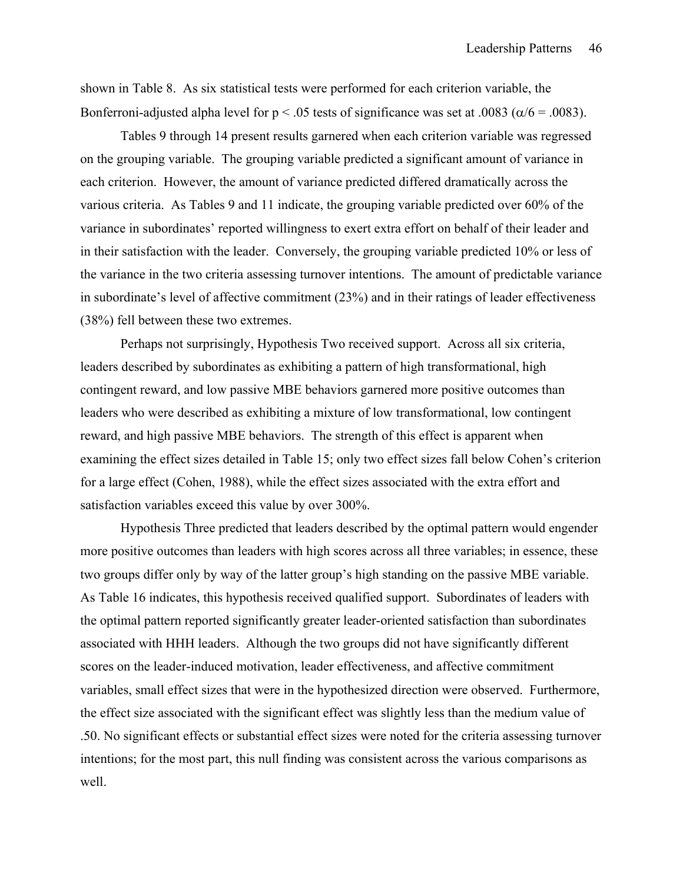shown in Table 8. As six statistical tests were performed for each criterion variable, the Bonferroni-adjusted alpha level for  $p < .05$  tests of significance was set at .0083 ( $\alpha/6 = .0083$ ).

 Tables 9 through 14 present results garnered when each criterion variable was regressed on the grouping variable. The grouping variable predicted a significant amount of variance in each criterion. However, the amount of variance predicted differed dramatically across the various criteria. As Tables 9 and 11 indicate, the grouping variable predicted over 60% of the variance in subordinates' reported willingness to exert extra effort on behalf of their leader and in their satisfaction with the leader. Conversely, the grouping variable predicted 10% or less of the variance in the two criteria assessing turnover intentions. The amount of predictable variance in subordinate's level of affective commitment (23%) and in their ratings of leader effectiveness (38%) fell between these two extremes.

 Perhaps not surprisingly, Hypothesis Two received support. Across all six criteria, leaders described by subordinates as exhibiting a pattern of high transformational, high contingent reward, and low passive MBE behaviors garnered more positive outcomes than leaders who were described as exhibiting a mixture of low transformational, low contingent reward, and high passive MBE behaviors. The strength of this effect is apparent when examining the effect sizes detailed in Table 15; only two effect sizes fall below Cohen's criterion for a large effect (Cohen, 1988), while the effect sizes associated with the extra effort and satisfaction variables exceed this value by over 300%.

 Hypothesis Three predicted that leaders described by the optimal pattern would engender more positive outcomes than leaders with high scores across all three variables; in essence, these two groups differ only by way of the latter group's high standing on the passive MBE variable. As Table 16 indicates, this hypothesis received qualified support. Subordinates of leaders with the optimal pattern reported significantly greater leader-oriented satisfaction than subordinates associated with HHH leaders. Although the two groups did not have significantly different scores on the leader-induced motivation, leader effectiveness, and affective commitment variables, small effect sizes that were in the hypothesized direction were observed. Furthermore, the effect size associated with the significant effect was slightly less than the medium value of .50. No significant effects or substantial effect sizes were noted for the criteria assessing turnover intentions; for the most part, this null finding was consistent across the various comparisons as well.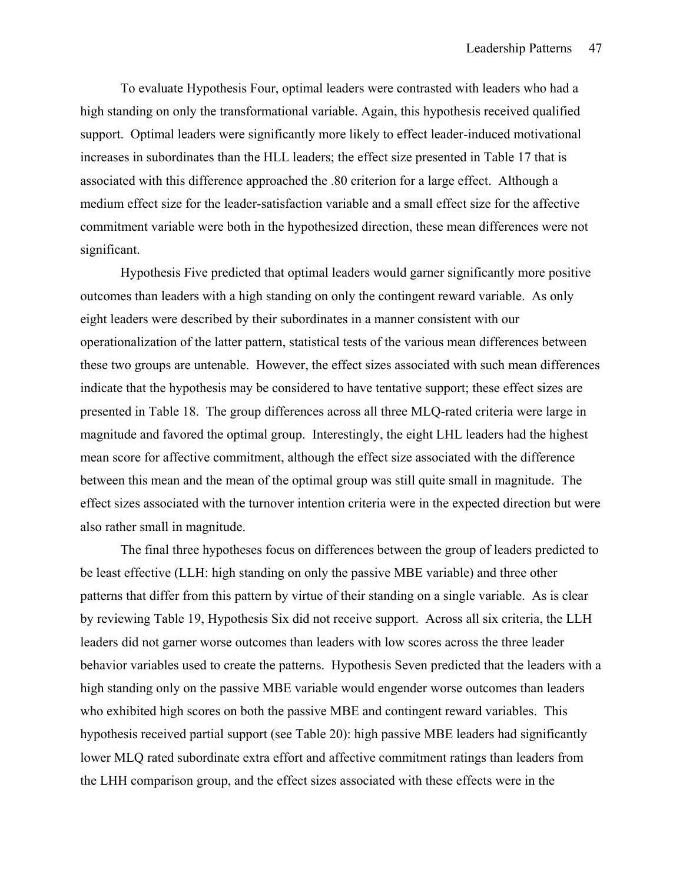To evaluate Hypothesis Four, optimal leaders were contrasted with leaders who had a high standing on only the transformational variable. Again, this hypothesis received qualified support. Optimal leaders were significantly more likely to effect leader-induced motivational increases in subordinates than the HLL leaders; the effect size presented in Table 17 that is associated with this difference approached the .80 criterion for a large effect. Although a medium effect size for the leader-satisfaction variable and a small effect size for the affective commitment variable were both in the hypothesized direction, these mean differences were not significant.

 Hypothesis Five predicted that optimal leaders would garner significantly more positive outcomes than leaders with a high standing on only the contingent reward variable. As only eight leaders were described by their subordinates in a manner consistent with our operationalization of the latter pattern, statistical tests of the various mean differences between these two groups are untenable. However, the effect sizes associated with such mean differences indicate that the hypothesis may be considered to have tentative support; these effect sizes are presented in Table 18. The group differences across all three MLQ-rated criteria were large in magnitude and favored the optimal group. Interestingly, the eight LHL leaders had the highest mean score for affective commitment, although the effect size associated with the difference between this mean and the mean of the optimal group was still quite small in magnitude. The effect sizes associated with the turnover intention criteria were in the expected direction but were also rather small in magnitude.

 The final three hypotheses focus on differences between the group of leaders predicted to be least effective (LLH: high standing on only the passive MBE variable) and three other patterns that differ from this pattern by virtue of their standing on a single variable. As is clear by reviewing Table 19, Hypothesis Six did not receive support. Across all six criteria, the LLH leaders did not garner worse outcomes than leaders with low scores across the three leader behavior variables used to create the patterns. Hypothesis Seven predicted that the leaders with a high standing only on the passive MBE variable would engender worse outcomes than leaders who exhibited high scores on both the passive MBE and contingent reward variables. This hypothesis received partial support (see Table 20): high passive MBE leaders had significantly lower MLQ rated subordinate extra effort and affective commitment ratings than leaders from the LHH comparison group, and the effect sizes associated with these effects were in the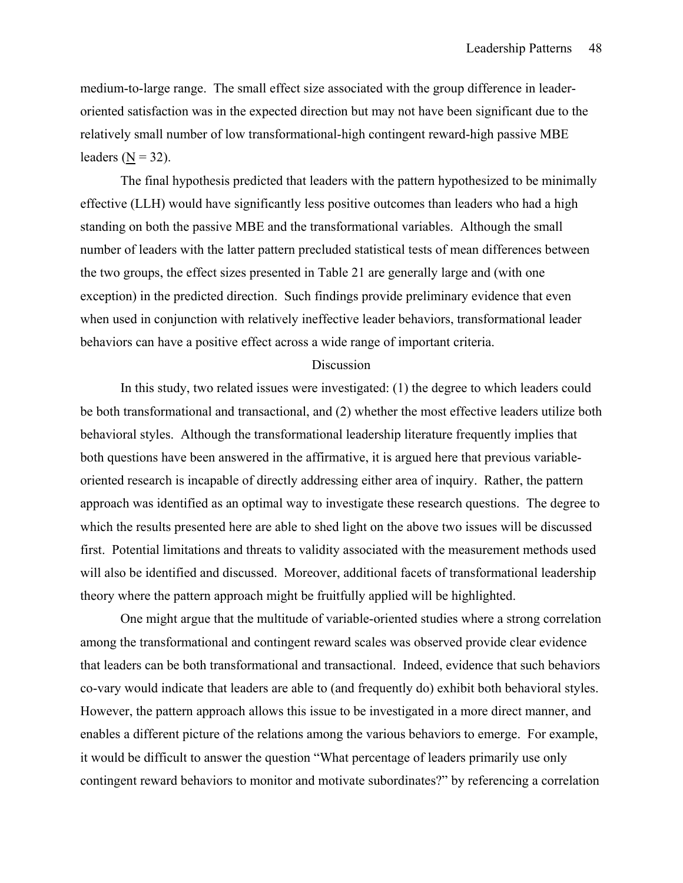medium-to-large range. The small effect size associated with the group difference in leaderoriented satisfaction was in the expected direction but may not have been significant due to the relatively small number of low transformational-high contingent reward-high passive MBE leaders  $(N = 32)$ .

 The final hypothesis predicted that leaders with the pattern hypothesized to be minimally effective (LLH) would have significantly less positive outcomes than leaders who had a high standing on both the passive MBE and the transformational variables. Although the small number of leaders with the latter pattern precluded statistical tests of mean differences between the two groups, the effect sizes presented in Table 21 are generally large and (with one exception) in the predicted direction. Such findings provide preliminary evidence that even when used in conjunction with relatively ineffective leader behaviors, transformational leader behaviors can have a positive effect across a wide range of important criteria.

#### Discussion

 In this study, two related issues were investigated: (1) the degree to which leaders could be both transformational and transactional, and (2) whether the most effective leaders utilize both behavioral styles. Although the transformational leadership literature frequently implies that both questions have been answered in the affirmative, it is argued here that previous variableoriented research is incapable of directly addressing either area of inquiry. Rather, the pattern approach was identified as an optimal way to investigate these research questions. The degree to which the results presented here are able to shed light on the above two issues will be discussed first. Potential limitations and threats to validity associated with the measurement methods used will also be identified and discussed. Moreover, additional facets of transformational leadership theory where the pattern approach might be fruitfully applied will be highlighted.

 One might argue that the multitude of variable-oriented studies where a strong correlation among the transformational and contingent reward scales was observed provide clear evidence that leaders can be both transformational and transactional. Indeed, evidence that such behaviors co-vary would indicate that leaders are able to (and frequently do) exhibit both behavioral styles. However, the pattern approach allows this issue to be investigated in a more direct manner, and enables a different picture of the relations among the various behaviors to emerge. For example, it would be difficult to answer the question "What percentage of leaders primarily use only contingent reward behaviors to monitor and motivate subordinates?" by referencing a correlation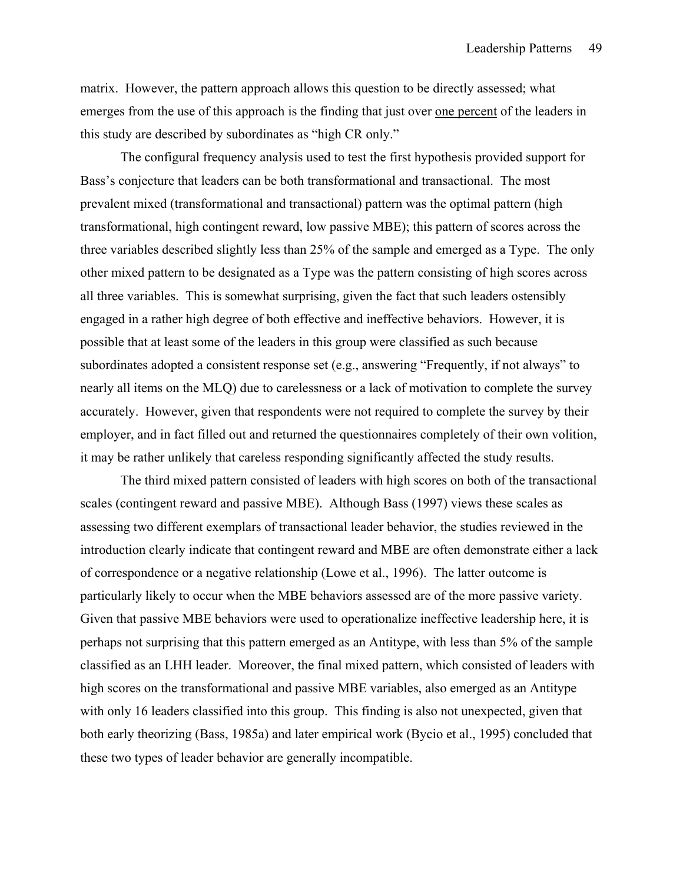matrix. However, the pattern approach allows this question to be directly assessed; what emerges from the use of this approach is the finding that just over one percent of the leaders in this study are described by subordinates as "high CR only."

 The configural frequency analysis used to test the first hypothesis provided support for Bass's conjecture that leaders can be both transformational and transactional. The most prevalent mixed (transformational and transactional) pattern was the optimal pattern (high transformational, high contingent reward, low passive MBE); this pattern of scores across the three variables described slightly less than 25% of the sample and emerged as a Type. The only other mixed pattern to be designated as a Type was the pattern consisting of high scores across all three variables. This is somewhat surprising, given the fact that such leaders ostensibly engaged in a rather high degree of both effective and ineffective behaviors. However, it is possible that at least some of the leaders in this group were classified as such because subordinates adopted a consistent response set (e.g., answering "Frequently, if not always" to nearly all items on the MLQ) due to carelessness or a lack of motivation to complete the survey accurately. However, given that respondents were not required to complete the survey by their employer, and in fact filled out and returned the questionnaires completely of their own volition, it may be rather unlikely that careless responding significantly affected the study results.

 The third mixed pattern consisted of leaders with high scores on both of the transactional scales (contingent reward and passive MBE). Although Bass (1997) views these scales as assessing two different exemplars of transactional leader behavior, the studies reviewed in the introduction clearly indicate that contingent reward and MBE are often demonstrate either a lack of correspondence or a negative relationship (Lowe et al., 1996). The latter outcome is particularly likely to occur when the MBE behaviors assessed are of the more passive variety. Given that passive MBE behaviors were used to operationalize ineffective leadership here, it is perhaps not surprising that this pattern emerged as an Antitype, with less than 5% of the sample classified as an LHH leader. Moreover, the final mixed pattern, which consisted of leaders with high scores on the transformational and passive MBE variables, also emerged as an Antitype with only 16 leaders classified into this group. This finding is also not unexpected, given that both early theorizing (Bass, 1985a) and later empirical work (Bycio et al., 1995) concluded that these two types of leader behavior are generally incompatible.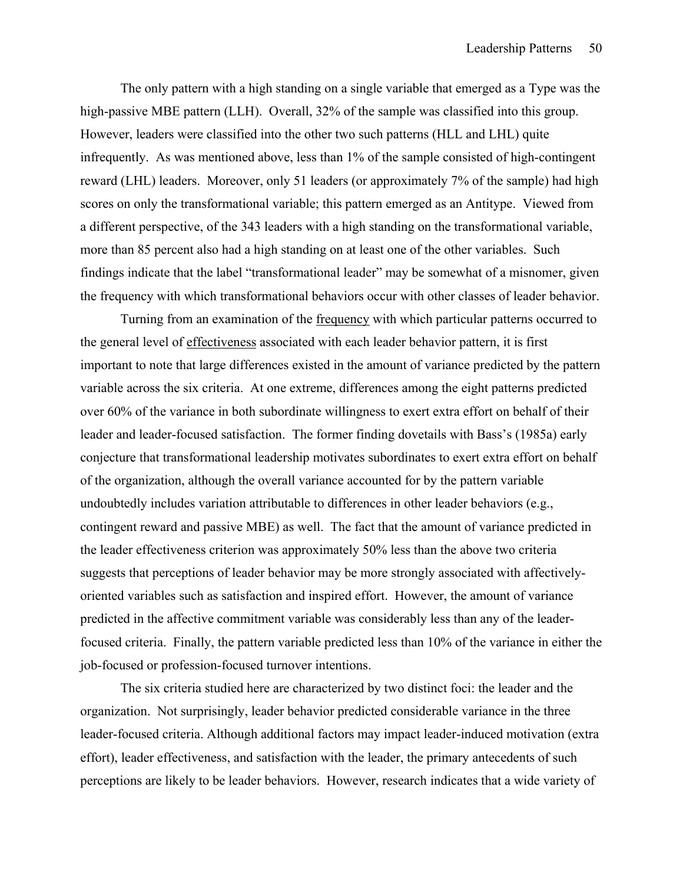The only pattern with a high standing on a single variable that emerged as a Type was the high-passive MBE pattern (LLH). Overall, 32% of the sample was classified into this group. However, leaders were classified into the other two such patterns (HLL and LHL) quite infrequently. As was mentioned above, less than 1% of the sample consisted of high-contingent reward (LHL) leaders. Moreover, only 51 leaders (or approximately 7% of the sample) had high scores on only the transformational variable; this pattern emerged as an Antitype. Viewed from a different perspective, of the 343 leaders with a high standing on the transformational variable, more than 85 percent also had a high standing on at least one of the other variables. Such findings indicate that the label "transformational leader" may be somewhat of a misnomer, given the frequency with which transformational behaviors occur with other classes of leader behavior.

 Turning from an examination of the frequency with which particular patterns occurred to the general level of effectiveness associated with each leader behavior pattern, it is first important to note that large differences existed in the amount of variance predicted by the pattern variable across the six criteria. At one extreme, differences among the eight patterns predicted over 60% of the variance in both subordinate willingness to exert extra effort on behalf of their leader and leader-focused satisfaction. The former finding dovetails with Bass's (1985a) early conjecture that transformational leadership motivates subordinates to exert extra effort on behalf of the organization, although the overall variance accounted for by the pattern variable undoubtedly includes variation attributable to differences in other leader behaviors (e.g., contingent reward and passive MBE) as well. The fact that the amount of variance predicted in the leader effectiveness criterion was approximately 50% less than the above two criteria suggests that perceptions of leader behavior may be more strongly associated with affectivelyoriented variables such as satisfaction and inspired effort. However, the amount of variance predicted in the affective commitment variable was considerably less than any of the leaderfocused criteria. Finally, the pattern variable predicted less than 10% of the variance in either the job-focused or profession-focused turnover intentions.

 The six criteria studied here are characterized by two distinct foci: the leader and the organization. Not surprisingly, leader behavior predicted considerable variance in the three leader-focused criteria. Although additional factors may impact leader-induced motivation (extra effort), leader effectiveness, and satisfaction with the leader, the primary antecedents of such perceptions are likely to be leader behaviors. However, research indicates that a wide variety of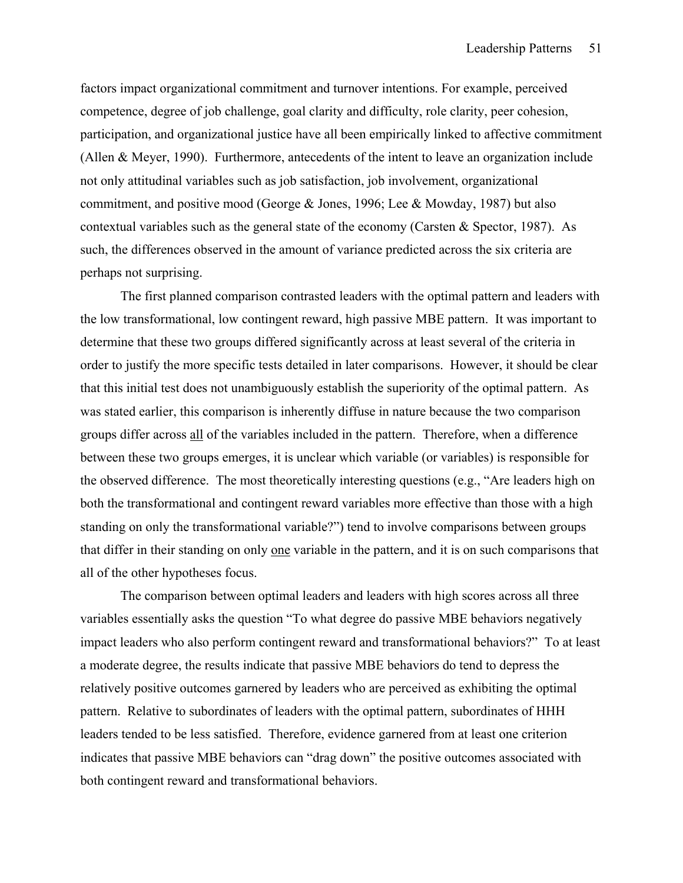factors impact organizational commitment and turnover intentions. For example, perceived competence, degree of job challenge, goal clarity and difficulty, role clarity, peer cohesion, participation, and organizational justice have all been empirically linked to affective commitment (Allen & Meyer, 1990). Furthermore, antecedents of the intent to leave an organization include not only attitudinal variables such as job satisfaction, job involvement, organizational commitment, and positive mood (George & Jones, 1996; Lee & Mowday, 1987) but also contextual variables such as the general state of the economy (Carsten & Spector, 1987). As such, the differences observed in the amount of variance predicted across the six criteria are perhaps not surprising.

 The first planned comparison contrasted leaders with the optimal pattern and leaders with the low transformational, low contingent reward, high passive MBE pattern. It was important to determine that these two groups differed significantly across at least several of the criteria in order to justify the more specific tests detailed in later comparisons. However, it should be clear that this initial test does not unambiguously establish the superiority of the optimal pattern. As was stated earlier, this comparison is inherently diffuse in nature because the two comparison groups differ across all of the variables included in the pattern. Therefore, when a difference between these two groups emerges, it is unclear which variable (or variables) is responsible for the observed difference. The most theoretically interesting questions (e.g., "Are leaders high on both the transformational and contingent reward variables more effective than those with a high standing on only the transformational variable?") tend to involve comparisons between groups that differ in their standing on only one variable in the pattern, and it is on such comparisons that all of the other hypotheses focus.

 The comparison between optimal leaders and leaders with high scores across all three variables essentially asks the question "To what degree do passive MBE behaviors negatively impact leaders who also perform contingent reward and transformational behaviors?" To at least a moderate degree, the results indicate that passive MBE behaviors do tend to depress the relatively positive outcomes garnered by leaders who are perceived as exhibiting the optimal pattern. Relative to subordinates of leaders with the optimal pattern, subordinates of HHH leaders tended to be less satisfied. Therefore, evidence garnered from at least one criterion indicates that passive MBE behaviors can "drag down" the positive outcomes associated with both contingent reward and transformational behaviors.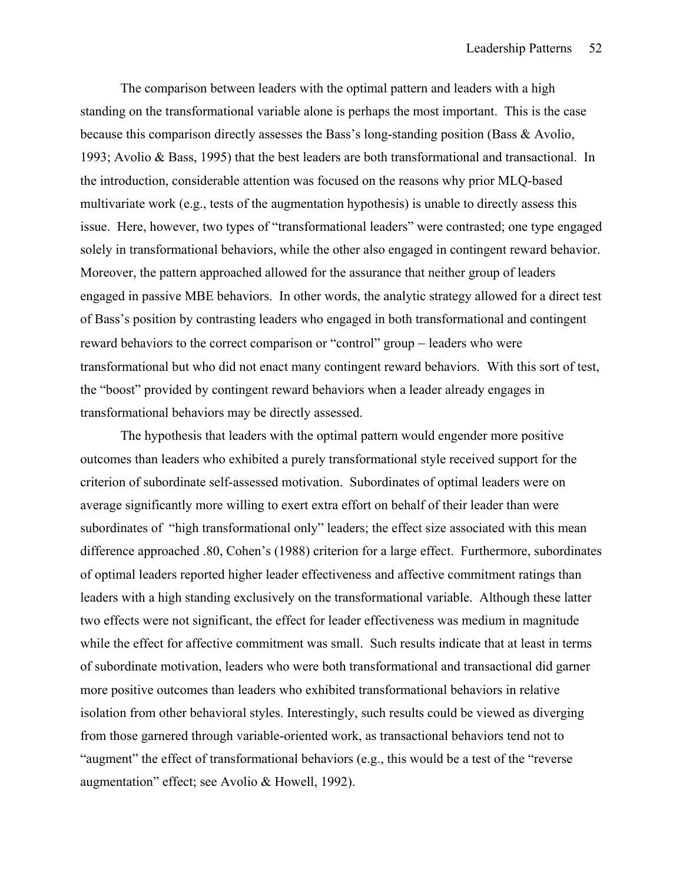The comparison between leaders with the optimal pattern and leaders with a high standing on the transformational variable alone is perhaps the most important. This is the case because this comparison directly assesses the Bass's long-standing position (Bass & Avolio, 1993; Avolio & Bass, 1995) that the best leaders are both transformational and transactional. In the introduction, considerable attention was focused on the reasons why prior MLQ-based multivariate work (e.g., tests of the augmentation hypothesis) is unable to directly assess this issue. Here, however, two types of "transformational leaders" were contrasted; one type engaged solely in transformational behaviors, while the other also engaged in contingent reward behavior. Moreover, the pattern approached allowed for the assurance that neither group of leaders engaged in passive MBE behaviors. In other words, the analytic strategy allowed for a direct test of Bass's position by contrasting leaders who engaged in both transformational and contingent reward behaviors to the correct comparison or "control" group − leaders who were transformational but who did not enact many contingent reward behaviors. With this sort of test, the "boost" provided by contingent reward behaviors when a leader already engages in transformational behaviors may be directly assessed.

 The hypothesis that leaders with the optimal pattern would engender more positive outcomes than leaders who exhibited a purely transformational style received support for the criterion of subordinate self-assessed motivation. Subordinates of optimal leaders were on average significantly more willing to exert extra effort on behalf of their leader than were subordinates of "high transformational only" leaders; the effect size associated with this mean difference approached .80, Cohen's (1988) criterion for a large effect. Furthermore, subordinates of optimal leaders reported higher leader effectiveness and affective commitment ratings than leaders with a high standing exclusively on the transformational variable. Although these latter two effects were not significant, the effect for leader effectiveness was medium in magnitude while the effect for affective commitment was small. Such results indicate that at least in terms of subordinate motivation, leaders who were both transformational and transactional did garner more positive outcomes than leaders who exhibited transformational behaviors in relative isolation from other behavioral styles. Interestingly, such results could be viewed as diverging from those garnered through variable-oriented work, as transactional behaviors tend not to "augment" the effect of transformational behaviors (e.g., this would be a test of the "reverse augmentation" effect; see Avolio & Howell, 1992).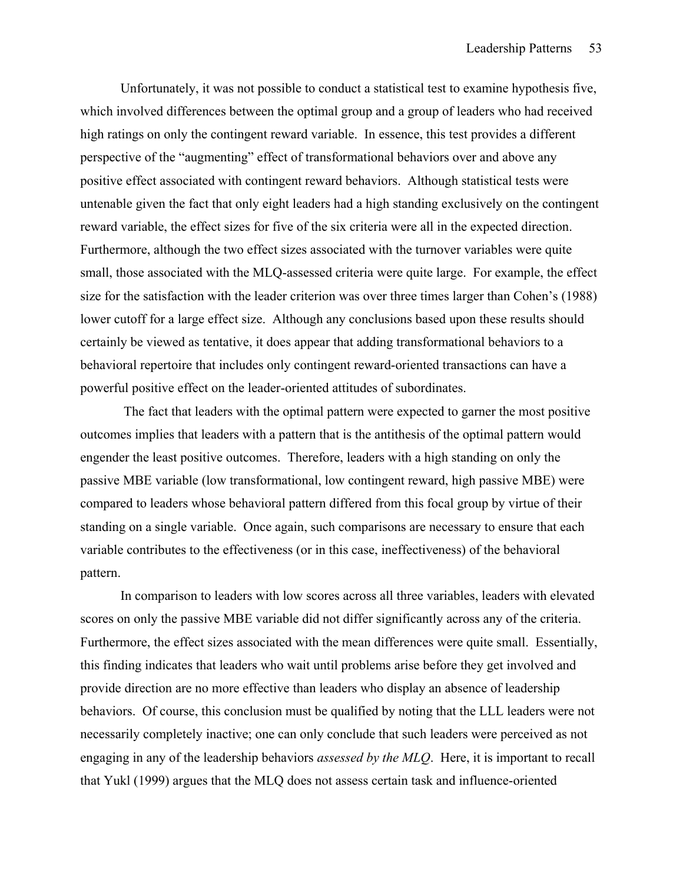Unfortunately, it was not possible to conduct a statistical test to examine hypothesis five, which involved differences between the optimal group and a group of leaders who had received high ratings on only the contingent reward variable. In essence, this test provides a different perspective of the "augmenting" effect of transformational behaviors over and above any positive effect associated with contingent reward behaviors. Although statistical tests were untenable given the fact that only eight leaders had a high standing exclusively on the contingent reward variable, the effect sizes for five of the six criteria were all in the expected direction. Furthermore, although the two effect sizes associated with the turnover variables were quite small, those associated with the MLQ-assessed criteria were quite large. For example, the effect size for the satisfaction with the leader criterion was over three times larger than Cohen's (1988) lower cutoff for a large effect size. Although any conclusions based upon these results should certainly be viewed as tentative, it does appear that adding transformational behaviors to a behavioral repertoire that includes only contingent reward-oriented transactions can have a powerful positive effect on the leader-oriented attitudes of subordinates.

 The fact that leaders with the optimal pattern were expected to garner the most positive outcomes implies that leaders with a pattern that is the antithesis of the optimal pattern would engender the least positive outcomes. Therefore, leaders with a high standing on only the passive MBE variable (low transformational, low contingent reward, high passive MBE) were compared to leaders whose behavioral pattern differed from this focal group by virtue of their standing on a single variable. Once again, such comparisons are necessary to ensure that each variable contributes to the effectiveness (or in this case, ineffectiveness) of the behavioral pattern.

In comparison to leaders with low scores across all three variables, leaders with elevated scores on only the passive MBE variable did not differ significantly across any of the criteria. Furthermore, the effect sizes associated with the mean differences were quite small. Essentially, this finding indicates that leaders who wait until problems arise before they get involved and provide direction are no more effective than leaders who display an absence of leadership behaviors. Of course, this conclusion must be qualified by noting that the LLL leaders were not necessarily completely inactive; one can only conclude that such leaders were perceived as not engaging in any of the leadership behaviors *assessed by the MLQ*. Here, it is important to recall that Yukl (1999) argues that the MLQ does not assess certain task and influence-oriented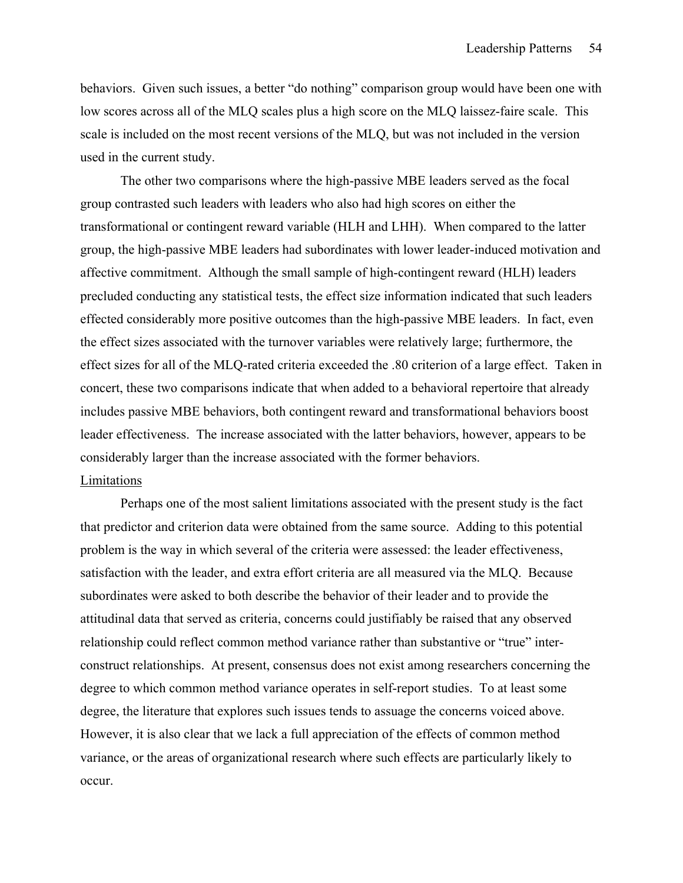behaviors. Given such issues, a better "do nothing" comparison group would have been one with low scores across all of the MLQ scales plus a high score on the MLQ laissez-faire scale. This scale is included on the most recent versions of the MLQ, but was not included in the version used in the current study.

The other two comparisons where the high-passive MBE leaders served as the focal group contrasted such leaders with leaders who also had high scores on either the transformational or contingent reward variable (HLH and LHH). When compared to the latter group, the high-passive MBE leaders had subordinates with lower leader-induced motivation and affective commitment. Although the small sample of high-contingent reward (HLH) leaders precluded conducting any statistical tests, the effect size information indicated that such leaders effected considerably more positive outcomes than the high-passive MBE leaders. In fact, even the effect sizes associated with the turnover variables were relatively large; furthermore, the effect sizes for all of the MLQ-rated criteria exceeded the .80 criterion of a large effect. Taken in concert, these two comparisons indicate that when added to a behavioral repertoire that already includes passive MBE behaviors, both contingent reward and transformational behaviors boost leader effectiveness. The increase associated with the latter behaviors, however, appears to be considerably larger than the increase associated with the former behaviors. Limitations

Perhaps one of the most salient limitations associated with the present study is the fact that predictor and criterion data were obtained from the same source. Adding to this potential problem is the way in which several of the criteria were assessed: the leader effectiveness, satisfaction with the leader, and extra effort criteria are all measured via the MLQ. Because subordinates were asked to both describe the behavior of their leader and to provide the attitudinal data that served as criteria, concerns could justifiably be raised that any observed relationship could reflect common method variance rather than substantive or "true" interconstruct relationships. At present, consensus does not exist among researchers concerning the degree to which common method variance operates in self-report studies. To at least some degree, the literature that explores such issues tends to assuage the concerns voiced above. However, it is also clear that we lack a full appreciation of the effects of common method variance, or the areas of organizational research where such effects are particularly likely to occur.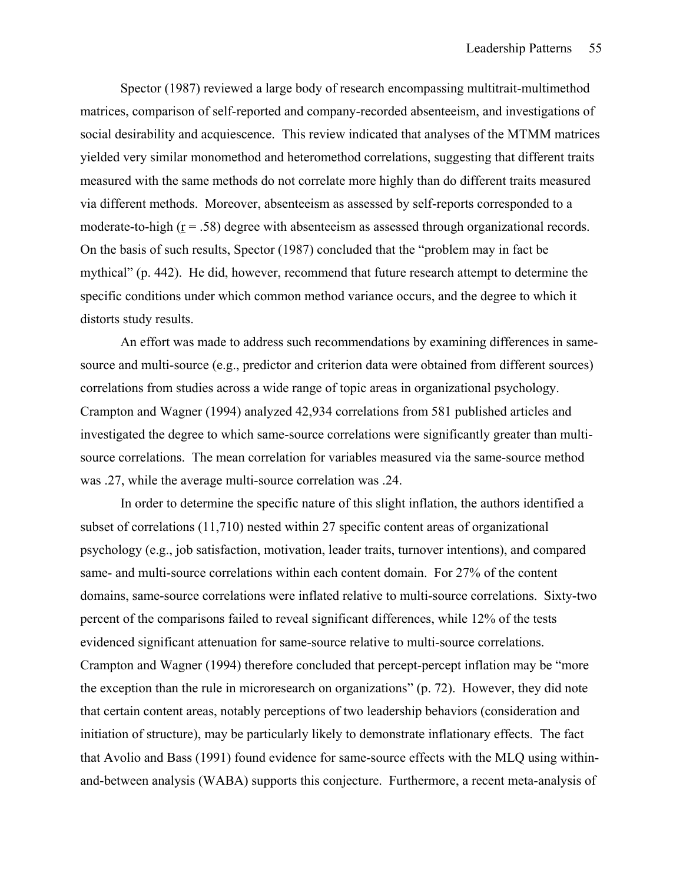Spector (1987) reviewed a large body of research encompassing multitrait-multimethod matrices, comparison of self-reported and company-recorded absenteeism, and investigations of social desirability and acquiescence. This review indicated that analyses of the MTMM matrices yielded very similar monomethod and heteromethod correlations, suggesting that different traits measured with the same methods do not correlate more highly than do different traits measured via different methods. Moreover, absenteeism as assessed by self-reports corresponded to a moderate-to-high  $(r = .58)$  degree with absenteeism as assessed through organizational records. On the basis of such results, Spector (1987) concluded that the "problem may in fact be mythical" (p. 442). He did, however, recommend that future research attempt to determine the specific conditions under which common method variance occurs, and the degree to which it distorts study results.

 An effort was made to address such recommendations by examining differences in samesource and multi-source (e.g., predictor and criterion data were obtained from different sources) correlations from studies across a wide range of topic areas in organizational psychology. Crampton and Wagner (1994) analyzed 42,934 correlations from 581 published articles and investigated the degree to which same-source correlations were significantly greater than multisource correlations. The mean correlation for variables measured via the same-source method was .27, while the average multi-source correlation was .24.

In order to determine the specific nature of this slight inflation, the authors identified a subset of correlations (11,710) nested within 27 specific content areas of organizational psychology (e.g., job satisfaction, motivation, leader traits, turnover intentions), and compared same- and multi-source correlations within each content domain. For 27% of the content domains, same-source correlations were inflated relative to multi-source correlations. Sixty-two percent of the comparisons failed to reveal significant differences, while 12% of the tests evidenced significant attenuation for same-source relative to multi-source correlations. Crampton and Wagner (1994) therefore concluded that percept-percept inflation may be "more the exception than the rule in microresearch on organizations" (p. 72). However, they did note that certain content areas, notably perceptions of two leadership behaviors (consideration and initiation of structure), may be particularly likely to demonstrate inflationary effects. The fact that Avolio and Bass (1991) found evidence for same-source effects with the MLQ using withinand-between analysis (WABA) supports this conjecture. Furthermore, a recent meta-analysis of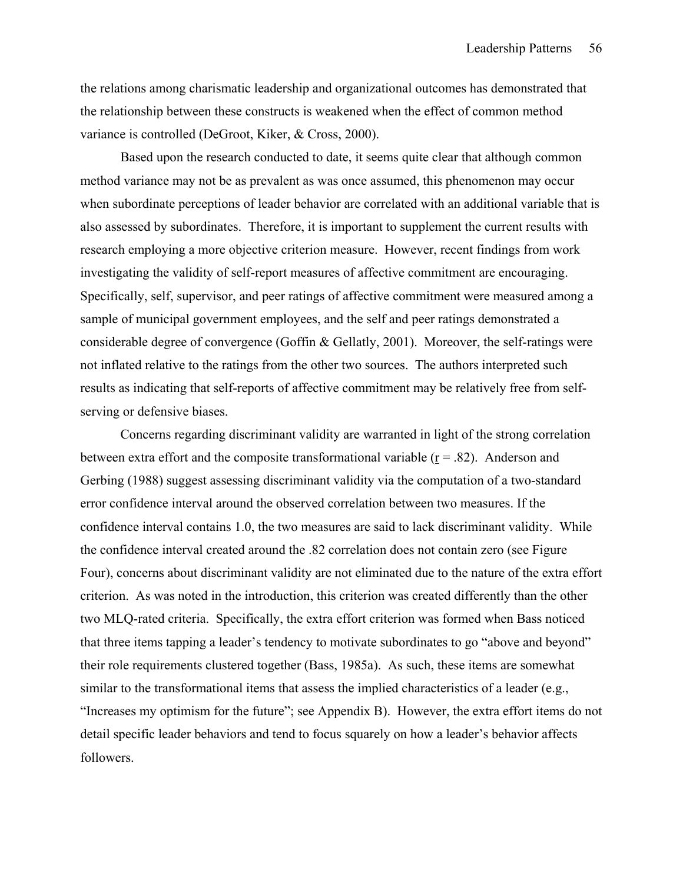the relations among charismatic leadership and organizational outcomes has demonstrated that the relationship between these constructs is weakened when the effect of common method variance is controlled (DeGroot, Kiker, & Cross, 2000).

Based upon the research conducted to date, it seems quite clear that although common method variance may not be as prevalent as was once assumed, this phenomenon may occur when subordinate perceptions of leader behavior are correlated with an additional variable that is also assessed by subordinates. Therefore, it is important to supplement the current results with research employing a more objective criterion measure. However, recent findings from work investigating the validity of self-report measures of affective commitment are encouraging. Specifically, self, supervisor, and peer ratings of affective commitment were measured among a sample of municipal government employees, and the self and peer ratings demonstrated a considerable degree of convergence (Goffin & Gellatly, 2001). Moreover, the self-ratings were not inflated relative to the ratings from the other two sources. The authors interpreted such results as indicating that self-reports of affective commitment may be relatively free from selfserving or defensive biases.

Concerns regarding discriminant validity are warranted in light of the strong correlation between extra effort and the composite transformational variable  $(r = .82)$ . Anderson and Gerbing (1988) suggest assessing discriminant validity via the computation of a two-standard error confidence interval around the observed correlation between two measures. If the confidence interval contains 1.0, the two measures are said to lack discriminant validity. While the confidence interval created around the .82 correlation does not contain zero (see Figure Four), concerns about discriminant validity are not eliminated due to the nature of the extra effort criterion. As was noted in the introduction, this criterion was created differently than the other two MLQ-rated criteria. Specifically, the extra effort criterion was formed when Bass noticed that three items tapping a leader's tendency to motivate subordinates to go "above and beyond" their role requirements clustered together (Bass, 1985a). As such, these items are somewhat similar to the transformational items that assess the implied characteristics of a leader (e.g., "Increases my optimism for the future"; see Appendix B). However, the extra effort items do not detail specific leader behaviors and tend to focus squarely on how a leader's behavior affects followers.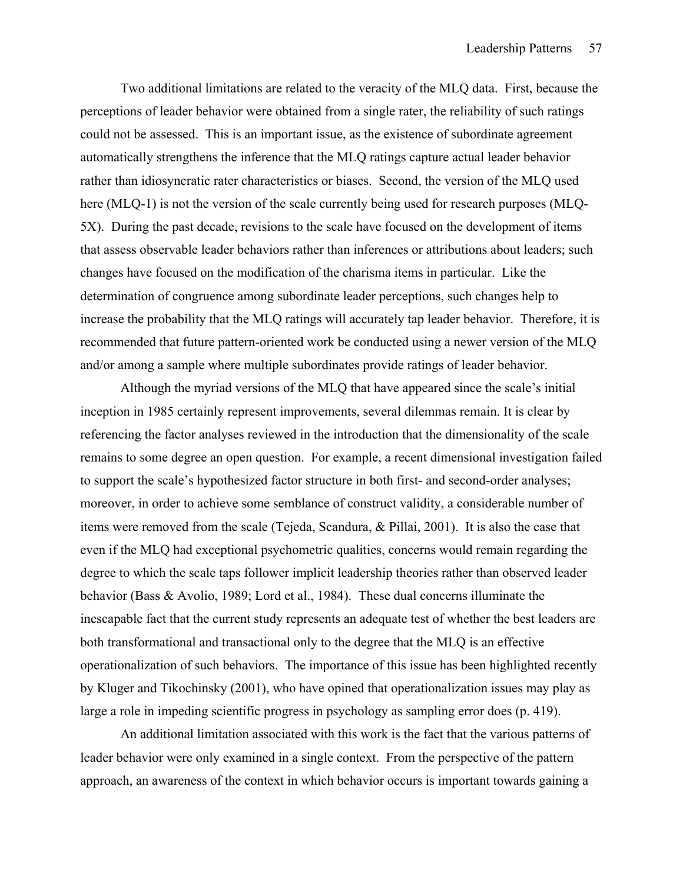Two additional limitations are related to the veracity of the MLQ data. First, because the perceptions of leader behavior were obtained from a single rater, the reliability of such ratings could not be assessed. This is an important issue, as the existence of subordinate agreement automatically strengthens the inference that the MLQ ratings capture actual leader behavior rather than idiosyncratic rater characteristics or biases. Second, the version of the MLQ used here (MLQ-1) is not the version of the scale currently being used for research purposes (MLQ-5X). During the past decade, revisions to the scale have focused on the development of items that assess observable leader behaviors rather than inferences or attributions about leaders; such changes have focused on the modification of the charisma items in particular. Like the determination of congruence among subordinate leader perceptions, such changes help to increase the probability that the MLQ ratings will accurately tap leader behavior. Therefore, it is recommended that future pattern-oriented work be conducted using a newer version of the MLQ and/or among a sample where multiple subordinates provide ratings of leader behavior.

Although the myriad versions of the MLQ that have appeared since the scale's initial inception in 1985 certainly represent improvements, several dilemmas remain. It is clear by referencing the factor analyses reviewed in the introduction that the dimensionality of the scale remains to some degree an open question. For example, a recent dimensional investigation failed to support the scale's hypothesized factor structure in both first- and second-order analyses; moreover, in order to achieve some semblance of construct validity, a considerable number of items were removed from the scale (Tejeda, Scandura, & Pillai, 2001). It is also the case that even if the MLQ had exceptional psychometric qualities, concerns would remain regarding the degree to which the scale taps follower implicit leadership theories rather than observed leader behavior (Bass & Avolio, 1989; Lord et al., 1984). These dual concerns illuminate the inescapable fact that the current study represents an adequate test of whether the best leaders are both transformational and transactional only to the degree that the MLQ is an effective operationalization of such behaviors. The importance of this issue has been highlighted recently by Kluger and Tikochinsky (2001), who have opined that operationalization issues may play as large a role in impeding scientific progress in psychology as sampling error does (p. 419).

An additional limitation associated with this work is the fact that the various patterns of leader behavior were only examined in a single context. From the perspective of the pattern approach, an awareness of the context in which behavior occurs is important towards gaining a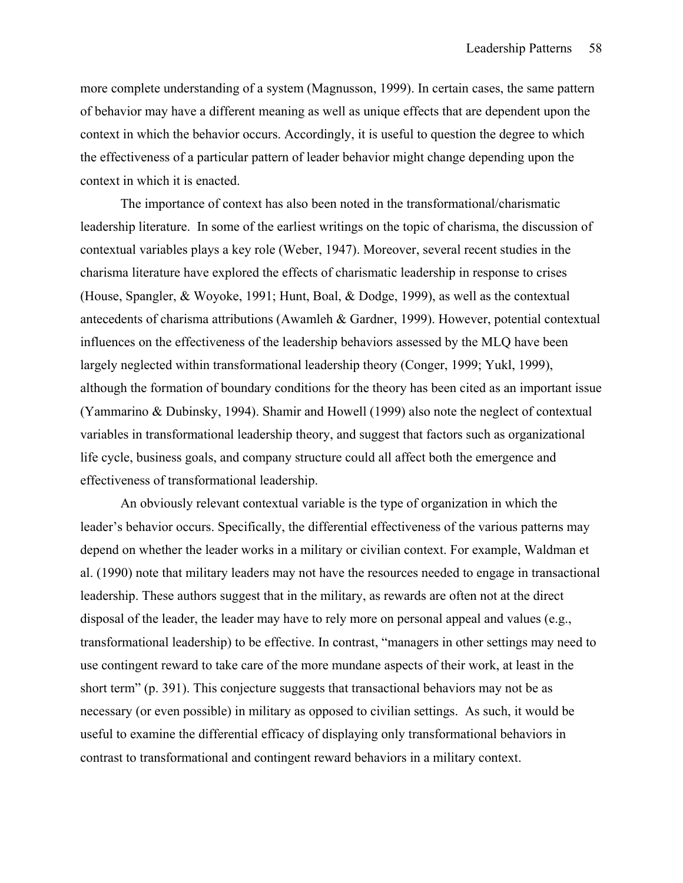more complete understanding of a system (Magnusson, 1999). In certain cases, the same pattern of behavior may have a different meaning as well as unique effects that are dependent upon the context in which the behavior occurs. Accordingly, it is useful to question the degree to which the effectiveness of a particular pattern of leader behavior might change depending upon the context in which it is enacted.

 The importance of context has also been noted in the transformational/charismatic leadership literature. In some of the earliest writings on the topic of charisma, the discussion of contextual variables plays a key role (Weber, 1947). Moreover, several recent studies in the charisma literature have explored the effects of charismatic leadership in response to crises (House, Spangler, & Woyoke, 1991; Hunt, Boal, & Dodge, 1999), as well as the contextual antecedents of charisma attributions (Awamleh & Gardner, 1999). However, potential contextual influences on the effectiveness of the leadership behaviors assessed by the MLQ have been largely neglected within transformational leadership theory (Conger, 1999; Yukl, 1999), although the formation of boundary conditions for the theory has been cited as an important issue (Yammarino & Dubinsky, 1994). Shamir and Howell (1999) also note the neglect of contextual variables in transformational leadership theory, and suggest that factors such as organizational life cycle, business goals, and company structure could all affect both the emergence and effectiveness of transformational leadership.

 An obviously relevant contextual variable is the type of organization in which the leader's behavior occurs. Specifically, the differential effectiveness of the various patterns may depend on whether the leader works in a military or civilian context. For example, Waldman et al. (1990) note that military leaders may not have the resources needed to engage in transactional leadership. These authors suggest that in the military, as rewards are often not at the direct disposal of the leader, the leader may have to rely more on personal appeal and values (e.g., transformational leadership) to be effective. In contrast, "managers in other settings may need to use contingent reward to take care of the more mundane aspects of their work, at least in the short term" (p. 391). This conjecture suggests that transactional behaviors may not be as necessary (or even possible) in military as opposed to civilian settings. As such, it would be useful to examine the differential efficacy of displaying only transformational behaviors in contrast to transformational and contingent reward behaviors in a military context.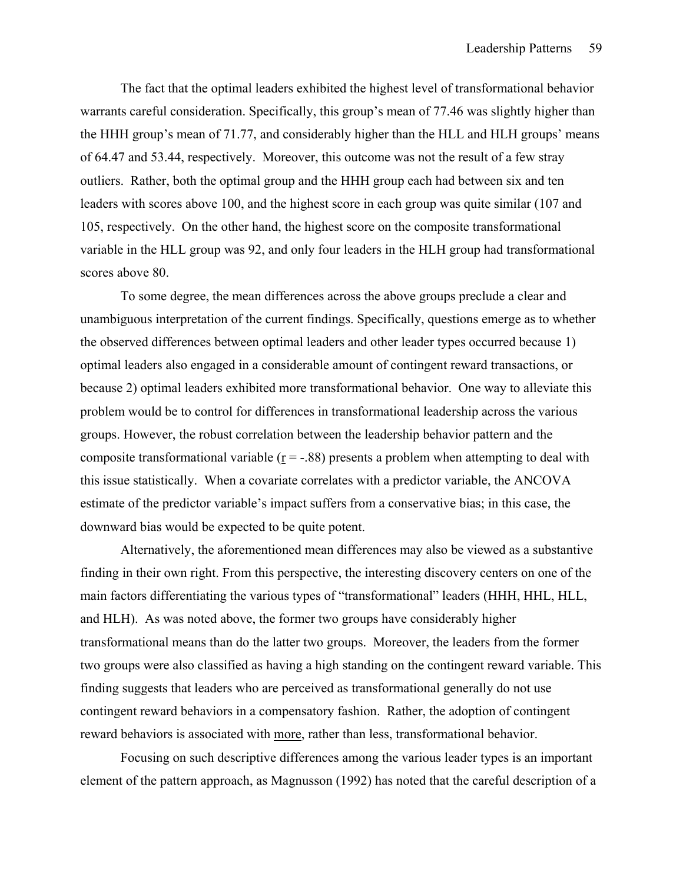The fact that the optimal leaders exhibited the highest level of transformational behavior warrants careful consideration. Specifically, this group's mean of 77.46 was slightly higher than the HHH group's mean of 71.77, and considerably higher than the HLL and HLH groups' means of 64.47 and 53.44, respectively. Moreover, this outcome was not the result of a few stray outliers. Rather, both the optimal group and the HHH group each had between six and ten leaders with scores above 100, and the highest score in each group was quite similar (107 and 105, respectively. On the other hand, the highest score on the composite transformational variable in the HLL group was 92, and only four leaders in the HLH group had transformational scores above 80.

 To some degree, the mean differences across the above groups preclude a clear and unambiguous interpretation of the current findings. Specifically, questions emerge as to whether the observed differences between optimal leaders and other leader types occurred because 1) optimal leaders also engaged in a considerable amount of contingent reward transactions, or because 2) optimal leaders exhibited more transformational behavior. One way to alleviate this problem would be to control for differences in transformational leadership across the various groups. However, the robust correlation between the leadership behavior pattern and the composite transformational variable  $(r = -.88)$  presents a problem when attempting to deal with this issue statistically. When a covariate correlates with a predictor variable, the ANCOVA estimate of the predictor variable's impact suffers from a conservative bias; in this case, the downward bias would be expected to be quite potent.

 Alternatively, the aforementioned mean differences may also be viewed as a substantive finding in their own right. From this perspective, the interesting discovery centers on one of the main factors differentiating the various types of "transformational" leaders (HHH, HHL, HLL, and HLH). As was noted above, the former two groups have considerably higher transformational means than do the latter two groups. Moreover, the leaders from the former two groups were also classified as having a high standing on the contingent reward variable. This finding suggests that leaders who are perceived as transformational generally do not use contingent reward behaviors in a compensatory fashion. Rather, the adoption of contingent reward behaviors is associated with more, rather than less, transformational behavior.

Focusing on such descriptive differences among the various leader types is an important element of the pattern approach, as Magnusson (1992) has noted that the careful description of a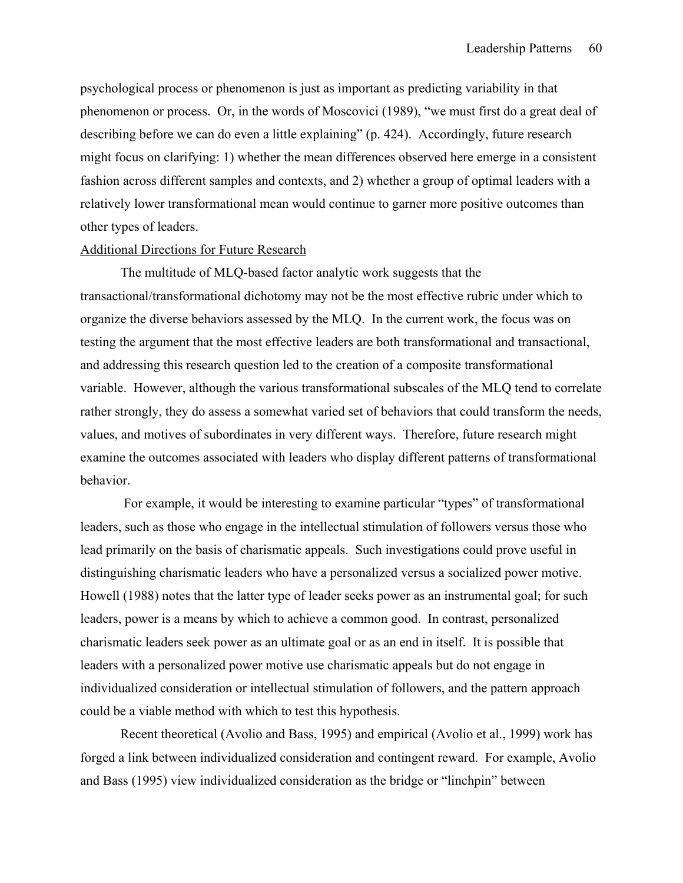psychological process or phenomenon is just as important as predicting variability in that phenomenon or process. Or, in the words of Moscovici (1989), "we must first do a great deal of describing before we can do even a little explaining" (p. 424). Accordingly, future research might focus on clarifying: 1) whether the mean differences observed here emerge in a consistent fashion across different samples and contexts, and 2) whether a group of optimal leaders with a relatively lower transformational mean would continue to garner more positive outcomes than other types of leaders.

#### Additional Directions for Future Research

 The multitude of MLQ-based factor analytic work suggests that the transactional/transformational dichotomy may not be the most effective rubric under which to organize the diverse behaviors assessed by the MLQ. In the current work, the focus was on testing the argument that the most effective leaders are both transformational and transactional, and addressing this research question led to the creation of a composite transformational variable. However, although the various transformational subscales of the MLQ tend to correlate rather strongly, they do assess a somewhat varied set of behaviors that could transform the needs, values, and motives of subordinates in very different ways. Therefore, future research might examine the outcomes associated with leaders who display different patterns of transformational behavior.

 For example, it would be interesting to examine particular "types" of transformational leaders, such as those who engage in the intellectual stimulation of followers versus those who lead primarily on the basis of charismatic appeals. Such investigations could prove useful in distinguishing charismatic leaders who have a personalized versus a socialized power motive. Howell (1988) notes that the latter type of leader seeks power as an instrumental goal; for such leaders, power is a means by which to achieve a common good. In contrast, personalized charismatic leaders seek power as an ultimate goal or as an end in itself. It is possible that leaders with a personalized power motive use charismatic appeals but do not engage in individualized consideration or intellectual stimulation of followers, and the pattern approach could be a viable method with which to test this hypothesis.

Recent theoretical (Avolio and Bass, 1995) and empirical (Avolio et al., 1999) work has forged a link between individualized consideration and contingent reward. For example, Avolio and Bass (1995) view individualized consideration as the bridge or "linchpin" between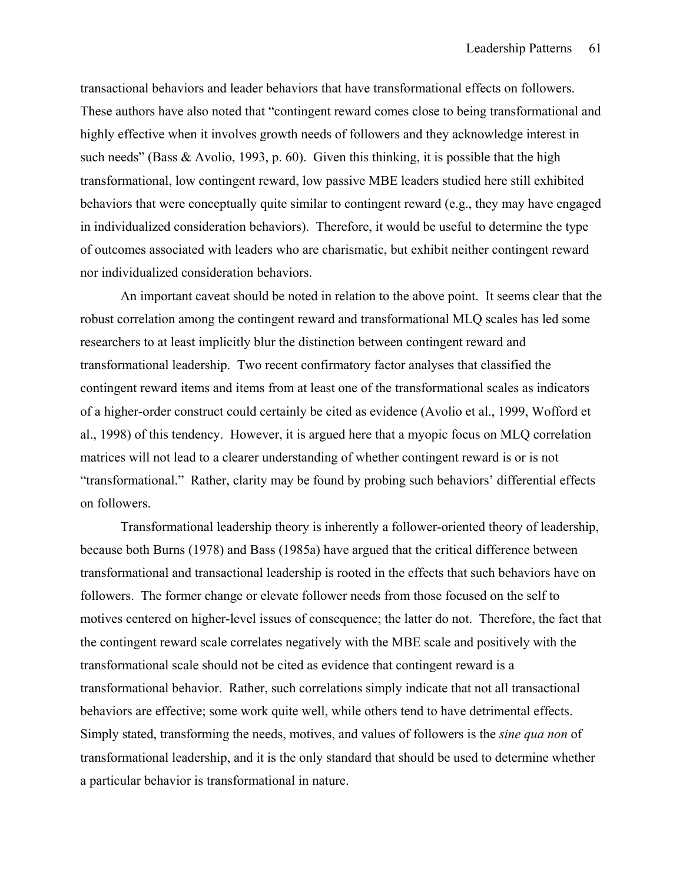transactional behaviors and leader behaviors that have transformational effects on followers. These authors have also noted that "contingent reward comes close to being transformational and highly effective when it involves growth needs of followers and they acknowledge interest in such needs" (Bass & Avolio, 1993, p. 60). Given this thinking, it is possible that the high transformational, low contingent reward, low passive MBE leaders studied here still exhibited behaviors that were conceptually quite similar to contingent reward (e.g., they may have engaged in individualized consideration behaviors). Therefore, it would be useful to determine the type of outcomes associated with leaders who are charismatic, but exhibit neither contingent reward nor individualized consideration behaviors.

An important caveat should be noted in relation to the above point. It seems clear that the robust correlation among the contingent reward and transformational MLQ scales has led some researchers to at least implicitly blur the distinction between contingent reward and transformational leadership. Two recent confirmatory factor analyses that classified the contingent reward items and items from at least one of the transformational scales as indicators of a higher-order construct could certainly be cited as evidence (Avolio et al., 1999, Wofford et al., 1998) of this tendency. However, it is argued here that a myopic focus on MLQ correlation matrices will not lead to a clearer understanding of whether contingent reward is or is not "transformational." Rather, clarity may be found by probing such behaviors' differential effects on followers.

Transformational leadership theory is inherently a follower-oriented theory of leadership, because both Burns (1978) and Bass (1985a) have argued that the critical difference between transformational and transactional leadership is rooted in the effects that such behaviors have on followers. The former change or elevate follower needs from those focused on the self to motives centered on higher-level issues of consequence; the latter do not. Therefore, the fact that the contingent reward scale correlates negatively with the MBE scale and positively with the transformational scale should not be cited as evidence that contingent reward is a transformational behavior. Rather, such correlations simply indicate that not all transactional behaviors are effective; some work quite well, while others tend to have detrimental effects. Simply stated, transforming the needs, motives, and values of followers is the *sine qua non* of transformational leadership, and it is the only standard that should be used to determine whether a particular behavior is transformational in nature.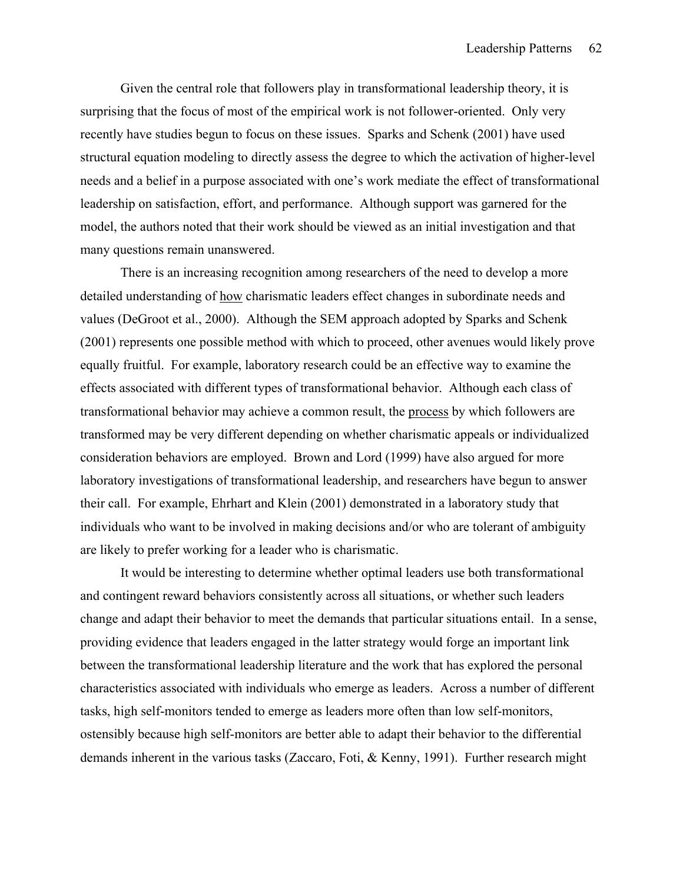Given the central role that followers play in transformational leadership theory, it is surprising that the focus of most of the empirical work is not follower-oriented. Only very recently have studies begun to focus on these issues. Sparks and Schenk (2001) have used structural equation modeling to directly assess the degree to which the activation of higher-level needs and a belief in a purpose associated with one's work mediate the effect of transformational leadership on satisfaction, effort, and performance. Although support was garnered for the model, the authors noted that their work should be viewed as an initial investigation and that many questions remain unanswered.

There is an increasing recognition among researchers of the need to develop a more detailed understanding of how charismatic leaders effect changes in subordinate needs and values (DeGroot et al., 2000). Although the SEM approach adopted by Sparks and Schenk (2001) represents one possible method with which to proceed, other avenues would likely prove equally fruitful. For example, laboratory research could be an effective way to examine the effects associated with different types of transformational behavior. Although each class of transformational behavior may achieve a common result, the process by which followers are transformed may be very different depending on whether charismatic appeals or individualized consideration behaviors are employed. Brown and Lord (1999) have also argued for more laboratory investigations of transformational leadership, and researchers have begun to answer their call. For example, Ehrhart and Klein (2001) demonstrated in a laboratory study that individuals who want to be involved in making decisions and/or who are tolerant of ambiguity are likely to prefer working for a leader who is charismatic.

It would be interesting to determine whether optimal leaders use both transformational and contingent reward behaviors consistently across all situations, or whether such leaders change and adapt their behavior to meet the demands that particular situations entail. In a sense, providing evidence that leaders engaged in the latter strategy would forge an important link between the transformational leadership literature and the work that has explored the personal characteristics associated with individuals who emerge as leaders. Across a number of different tasks, high self-monitors tended to emerge as leaders more often than low self-monitors, ostensibly because high self-monitors are better able to adapt their behavior to the differential demands inherent in the various tasks (Zaccaro, Foti, & Kenny, 1991). Further research might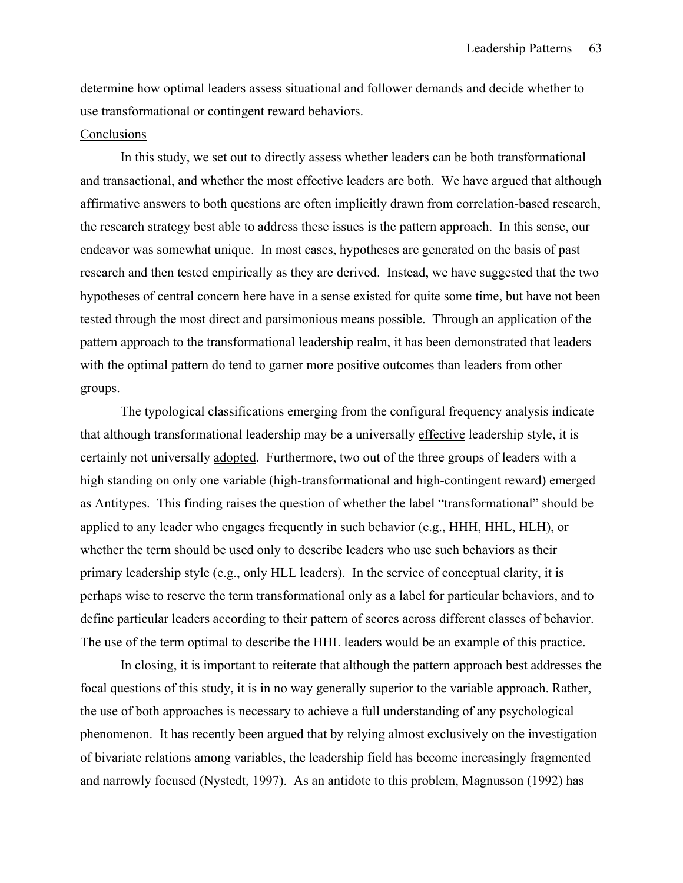determine how optimal leaders assess situational and follower demands and decide whether to use transformational or contingent reward behaviors.

## **Conclusions**

 In this study, we set out to directly assess whether leaders can be both transformational and transactional, and whether the most effective leaders are both. We have argued that although affirmative answers to both questions are often implicitly drawn from correlation-based research, the research strategy best able to address these issues is the pattern approach. In this sense, our endeavor was somewhat unique. In most cases, hypotheses are generated on the basis of past research and then tested empirically as they are derived. Instead, we have suggested that the two hypotheses of central concern here have in a sense existed for quite some time, but have not been tested through the most direct and parsimonious means possible. Through an application of the pattern approach to the transformational leadership realm, it has been demonstrated that leaders with the optimal pattern do tend to garner more positive outcomes than leaders from other groups.

The typological classifications emerging from the configural frequency analysis indicate that although transformational leadership may be a universally effective leadership style, it is certainly not universally adopted. Furthermore, two out of the three groups of leaders with a high standing on only one variable (high-transformational and high-contingent reward) emerged as Antitypes. This finding raises the question of whether the label "transformational" should be applied to any leader who engages frequently in such behavior (e.g., HHH, HHL, HLH), or whether the term should be used only to describe leaders who use such behaviors as their primary leadership style (e.g., only HLL leaders). In the service of conceptual clarity, it is perhaps wise to reserve the term transformational only as a label for particular behaviors, and to define particular leaders according to their pattern of scores across different classes of behavior. The use of the term optimal to describe the HHL leaders would be an example of this practice.

 In closing, it is important to reiterate that although the pattern approach best addresses the focal questions of this study, it is in no way generally superior to the variable approach. Rather, the use of both approaches is necessary to achieve a full understanding of any psychological phenomenon. It has recently been argued that by relying almost exclusively on the investigation of bivariate relations among variables, the leadership field has become increasingly fragmented and narrowly focused (Nystedt, 1997). As an antidote to this problem, Magnusson (1992) has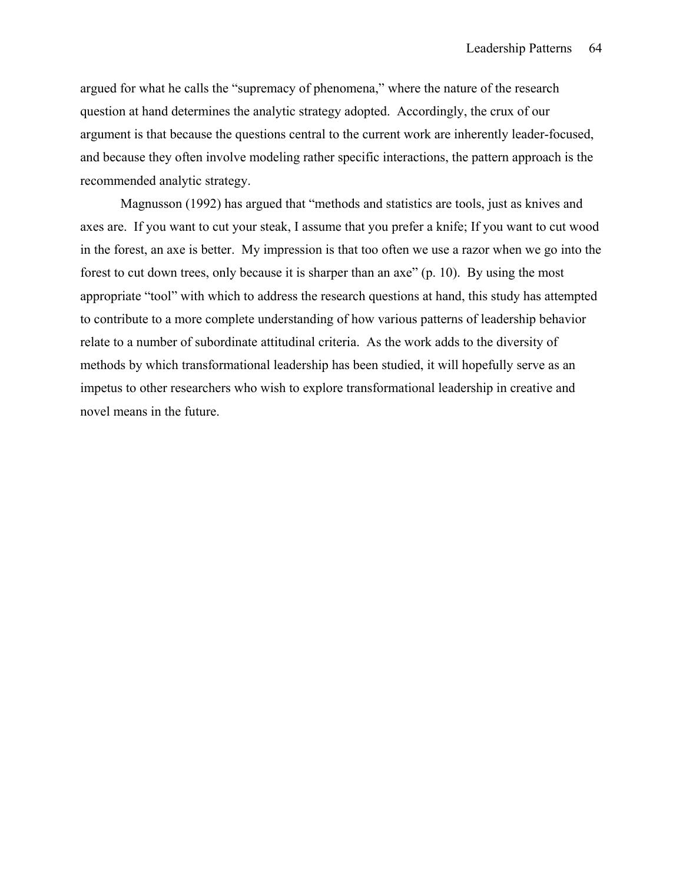argued for what he calls the "supremacy of phenomena," where the nature of the research question at hand determines the analytic strategy adopted. Accordingly, the crux of our argument is that because the questions central to the current work are inherently leader-focused, and because they often involve modeling rather specific interactions, the pattern approach is the recommended analytic strategy.

Magnusson (1992) has argued that "methods and statistics are tools, just as knives and axes are. If you want to cut your steak, I assume that you prefer a knife; If you want to cut wood in the forest, an axe is better. My impression is that too often we use a razor when we go into the forest to cut down trees, only because it is sharper than an axe" (p. 10). By using the most appropriate "tool" with which to address the research questions at hand, this study has attempted to contribute to a more complete understanding of how various patterns of leadership behavior relate to a number of subordinate attitudinal criteria. As the work adds to the diversity of methods by which transformational leadership has been studied, it will hopefully serve as an impetus to other researchers who wish to explore transformational leadership in creative and novel means in the future.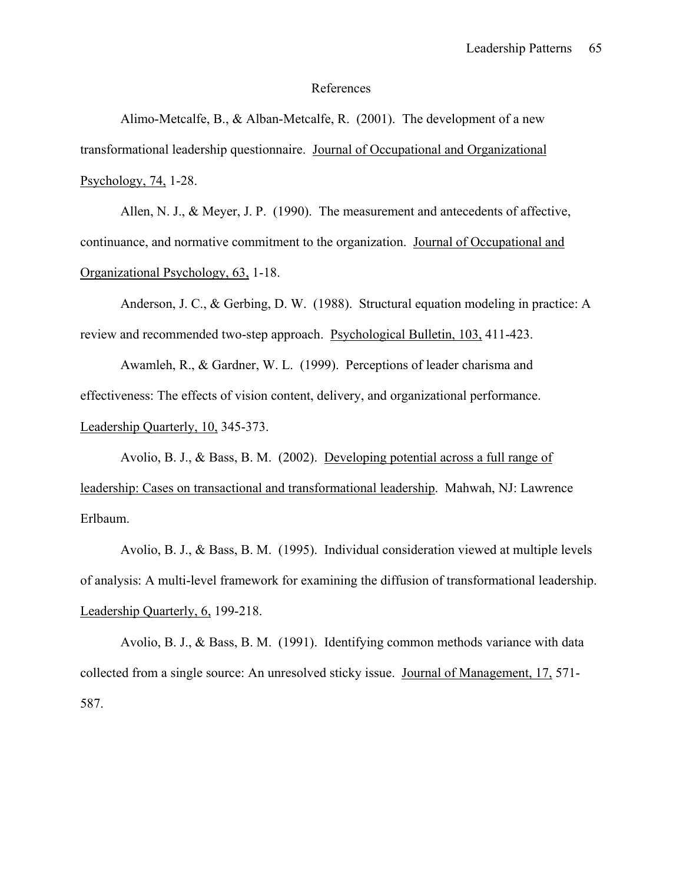#### References

 Alimo-Metcalfe, B., & Alban-Metcalfe, R. (2001). The development of a new transformational leadership questionnaire. Journal of Occupational and Organizational Psychology, 74, 1-28.

Allen, N. J., & Meyer, J. P. (1990). The measurement and antecedents of affective, continuance, and normative commitment to the organization. Journal of Occupational and Organizational Psychology, 63, 1-18.

Anderson, J. C., & Gerbing, D. W. (1988). Structural equation modeling in practice: A review and recommended two-step approach. Psychological Bulletin, 103, 411-423.

 Awamleh, R., & Gardner, W. L. (1999). Perceptions of leader charisma and effectiveness: The effects of vision content, delivery, and organizational performance. Leadership Quarterly, 10, 345-373.

 Avolio, B. J., & Bass, B. M. (2002). Developing potential across a full range of leadership: Cases on transactional and transformational leadership. Mahwah, NJ: Lawrence Erlbaum.

 Avolio, B. J., & Bass, B. M. (1995). Individual consideration viewed at multiple levels of analysis: A multi-level framework for examining the diffusion of transformational leadership. Leadership Quarterly, 6, 199-218.

 Avolio, B. J., & Bass, B. M. (1991). Identifying common methods variance with data collected from a single source: An unresolved sticky issue. Journal of Management, 17, 571- 587.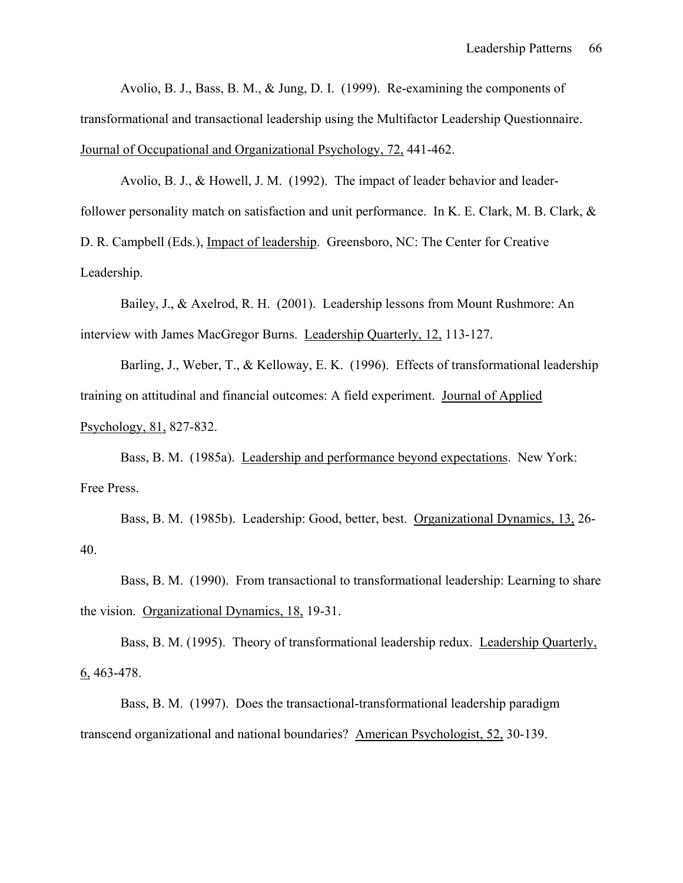Avolio, B. J., Bass, B. M., & Jung, D. I. (1999). Re-examining the components of transformational and transactional leadership using the Multifactor Leadership Questionnaire. Journal of Occupational and Organizational Psychology, 72, 441-462.

 Avolio, B. J., & Howell, J. M. (1992). The impact of leader behavior and leaderfollower personality match on satisfaction and unit performance. In K. E. Clark, M. B. Clark, & D. R. Campbell (Eds.), Impact of leadership. Greensboro, NC: The Center for Creative Leadership.

 Bailey, J., & Axelrod, R. H. (2001). Leadership lessons from Mount Rushmore: An interview with James MacGregor Burns. Leadership Quarterly, 12, 113-127.

Barling, J., Weber, T., & Kelloway, E. K. (1996). Effects of transformational leadership training on attitudinal and financial outcomes: A field experiment. Journal of Applied Psychology, 81, 827-832.

Bass, B. M. (1985a). Leadership and performance beyond expectations. New York: Free Press.

Bass, B. M. (1985b). Leadership: Good, better, best. Organizational Dynamics, 13, 26- 40.

Bass, B. M. (1990). From transactional to transformational leadership: Learning to share the vision. Organizational Dynamics, 18, 19-31.

 Bass, B. M. (1995). Theory of transformational leadership redux. Leadership Quarterly, 6, 463-478.

 Bass, B. M. (1997). Does the transactional-transformational leadership paradigm transcend organizational and national boundaries? American Psychologist, 52, 30-139.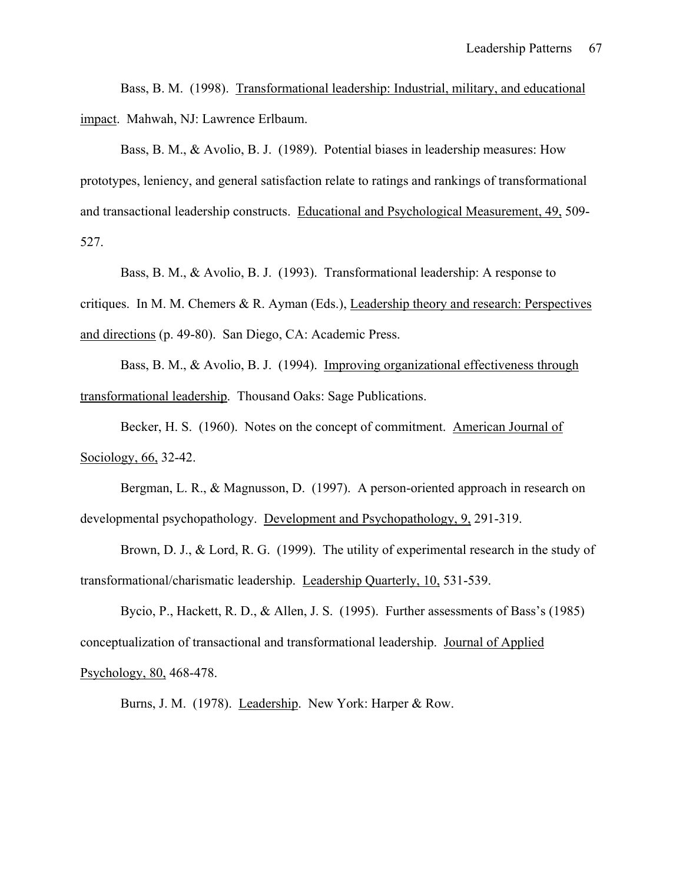Bass, B. M. (1998). Transformational leadership: Industrial, military, and educational impact. Mahwah, NJ: Lawrence Erlbaum.

 Bass, B. M., & Avolio, B. J. (1989). Potential biases in leadership measures: How prototypes, leniency, and general satisfaction relate to ratings and rankings of transformational and transactional leadership constructs. Educational and Psychological Measurement, 49, 509- 527.

Bass, B. M., & Avolio, B. J. (1993). Transformational leadership: A response to

critiques. In M. M. Chemers & R. Ayman (Eds.), Leadership theory and research: Perspectives and directions (p. 49-80). San Diego, CA: Academic Press.

 Bass, B. M., & Avolio, B. J. (1994). Improving organizational effectiveness through transformational leadership. Thousand Oaks: Sage Publications.

 Becker, H. S. (1960). Notes on the concept of commitment. American Journal of Sociology, 66, 32-42.

 Bergman, L. R., & Magnusson, D. (1997). A person-oriented approach in research on developmental psychopathology. Development and Psychopathology, 9, 291-319.

Brown, D. J., & Lord, R. G. (1999). The utility of experimental research in the study of transformational/charismatic leadership. Leadership Quarterly, 10, 531-539.

 Bycio, P., Hackett, R. D., & Allen, J. S. (1995). Further assessments of Bass's (1985) conceptualization of transactional and transformational leadership. Journal of Applied Psychology, 80, 468-478.

Burns, J. M. (1978). Leadership. New York: Harper & Row.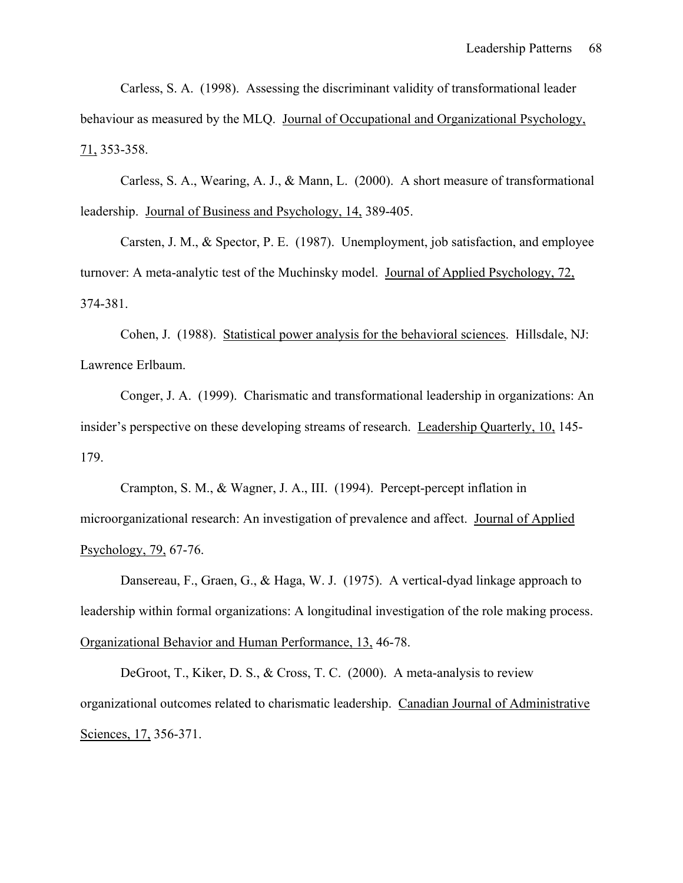Carless, S. A. (1998). Assessing the discriminant validity of transformational leader behaviour as measured by the MLQ. Journal of Occupational and Organizational Psychology, 71, 353-358.

 Carless, S. A., Wearing, A. J., & Mann, L. (2000). A short measure of transformational leadership. Journal of Business and Psychology, 14, 389-405.

 Carsten, J. M., & Spector, P. E. (1987). Unemployment, job satisfaction, and employee turnover: A meta-analytic test of the Muchinsky model. Journal of Applied Psychology, 72, 374-381.

 Cohen, J. (1988). Statistical power analysis for the behavioral sciences. Hillsdale, NJ: Lawrence Erlbaum.

 Conger, J. A. (1999). Charismatic and transformational leadership in organizations: An insider's perspective on these developing streams of research. Leadership Quarterly, 10, 145- 179.

 Crampton, S. M., & Wagner, J. A., III. (1994). Percept-percept inflation in microorganizational research: An investigation of prevalence and affect. Journal of Applied Psychology, 79, 67-76.

 Dansereau, F., Graen, G., & Haga, W. J. (1975). A vertical-dyad linkage approach to leadership within formal organizations: A longitudinal investigation of the role making process. Organizational Behavior and Human Performance, 13, 46-78.

 DeGroot, T., Kiker, D. S., & Cross, T. C. (2000). A meta-analysis to review organizational outcomes related to charismatic leadership. Canadian Journal of Administrative Sciences, 17, 356-371.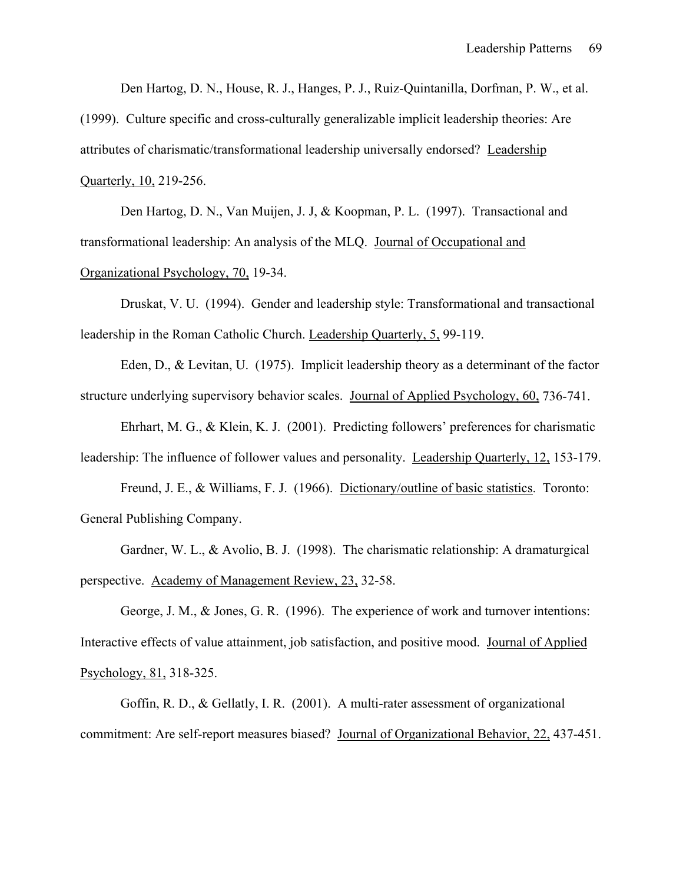Den Hartog, D. N., House, R. J., Hanges, P. J., Ruiz-Quintanilla, Dorfman, P. W., et al.

(1999). Culture specific and cross-culturally generalizable implicit leadership theories: Are attributes of charismatic/transformational leadership universally endorsed? Leadership Quarterly, 10, 219-256.

 Den Hartog, D. N., Van Muijen, J. J, & Koopman, P. L. (1997). Transactional and transformational leadership: An analysis of the MLQ. Journal of Occupational and Organizational Psychology, 70, 19-34.

 Druskat, V. U. (1994). Gender and leadership style: Transformational and transactional leadership in the Roman Catholic Church. Leadership Quarterly, 5, 99-119.

 Eden, D., & Levitan, U. (1975). Implicit leadership theory as a determinant of the factor structure underlying supervisory behavior scales. Journal of Applied Psychology, 60, 736-741.

 Ehrhart, M. G., & Klein, K. J. (2001). Predicting followers' preferences for charismatic leadership: The influence of follower values and personality. Leadership Quarterly, 12, 153-179.

 Freund, J. E., & Williams, F. J. (1966). Dictionary/outline of basic statistics. Toronto: General Publishing Company.

 Gardner, W. L., & Avolio, B. J. (1998). The charismatic relationship: A dramaturgical perspective. Academy of Management Review, 23, 32-58.

 George, J. M., & Jones, G. R. (1996). The experience of work and turnover intentions: Interactive effects of value attainment, job satisfaction, and positive mood. Journal of Applied Psychology, 81, 318-325.

 Goffin, R. D., & Gellatly, I. R. (2001). A multi-rater assessment of organizational commitment: Are self-report measures biased? Journal of Organizational Behavior, 22, 437-451.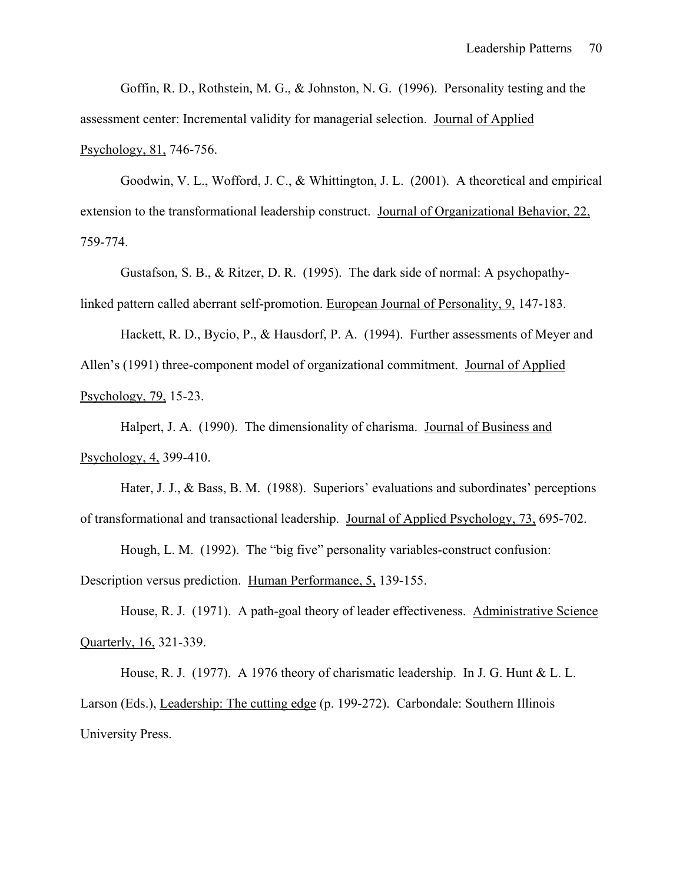Goffin, R. D., Rothstein, M. G., & Johnston, N. G. (1996). Personality testing and the assessment center: Incremental validity for managerial selection. Journal of Applied Psychology, 81, 746-756.

 Goodwin, V. L., Wofford, J. C., & Whittington, J. L. (2001). A theoretical and empirical extension to the transformational leadership construct. Journal of Organizational Behavior, 22, 759-774.

Gustafson, S. B., & Ritzer, D. R. (1995). The dark side of normal: A psychopathylinked pattern called aberrant self-promotion. European Journal of Personality, 9, 147-183.

 Hackett, R. D., Bycio, P., & Hausdorf, P. A. (1994). Further assessments of Meyer and Allen's (1991) three-component model of organizational commitment. Journal of Applied Psychology, 79, 15-23.

 Halpert, J. A. (1990). The dimensionality of charisma. Journal of Business and Psychology, 4, 399-410.

 Hater, J. J., & Bass, B. M. (1988). Superiors' evaluations and subordinates' perceptions of transformational and transactional leadership. Journal of Applied Psychology, 73, 695-702.

 Hough, L. M. (1992). The "big five" personality variables-construct confusion: Description versus prediction. Human Performance, 5, 139-155.

 House, R. J. (1971). A path-goal theory of leader effectiveness. Administrative Science Quarterly, 16, 321-339.

 House, R. J. (1977). A 1976 theory of charismatic leadership. In J. G. Hunt & L. L. Larson (Eds.), Leadership: The cutting edge (p. 199-272). Carbondale: Southern Illinois University Press.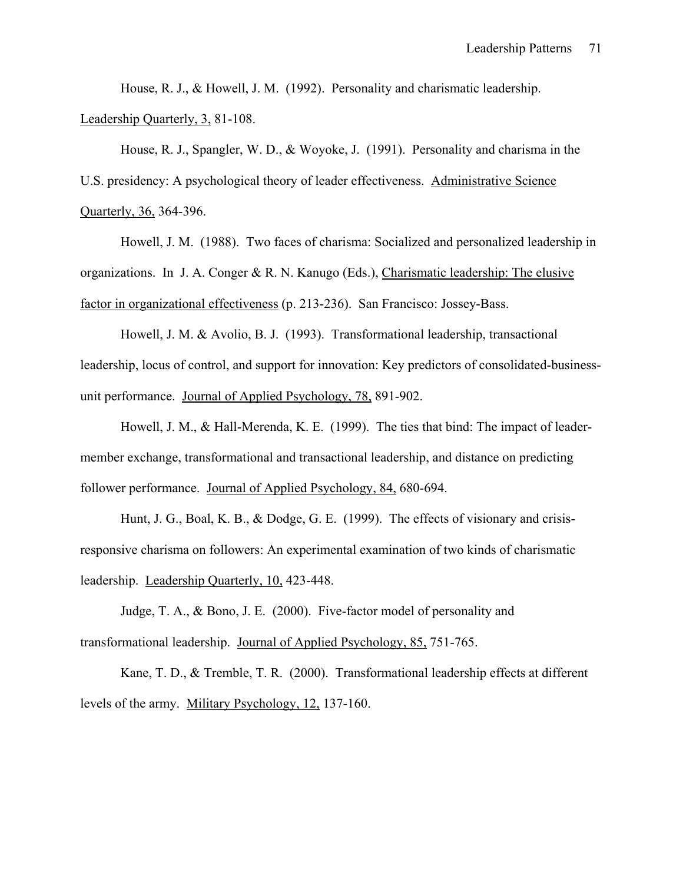House, R. J., & Howell, J. M. (1992). Personality and charismatic leadership. Leadership Quarterly, 3, 81-108.

 House, R. J., Spangler, W. D., & Woyoke, J. (1991). Personality and charisma in the U.S. presidency: A psychological theory of leader effectiveness. Administrative Science Quarterly, 36, 364-396.

 Howell, J. M. (1988). Two faces of charisma: Socialized and personalized leadership in organizations. In J. A. Conger & R. N. Kanugo (Eds.), Charismatic leadership: The elusive factor in organizational effectiveness (p. 213-236). San Francisco: Jossey-Bass.

 Howell, J. M. & Avolio, B. J. (1993). Transformational leadership, transactional leadership, locus of control, and support for innovation: Key predictors of consolidated-businessunit performance. Journal of Applied Psychology, 78, 891-902.

 Howell, J. M., & Hall-Merenda, K. E. (1999). The ties that bind: The impact of leadermember exchange, transformational and transactional leadership, and distance on predicting follower performance. Journal of Applied Psychology, 84, 680-694.

 Hunt, J. G., Boal, K. B., & Dodge, G. E. (1999). The effects of visionary and crisisresponsive charisma on followers: An experimental examination of two kinds of charismatic leadership. Leadership Quarterly, 10, 423-448.

 Judge, T. A., & Bono, J. E. (2000). Five-factor model of personality and transformational leadership. Journal of Applied Psychology, 85, 751-765.

 Kane, T. D., & Tremble, T. R. (2000). Transformational leadership effects at different levels of the army. Military Psychology, 12, 137-160.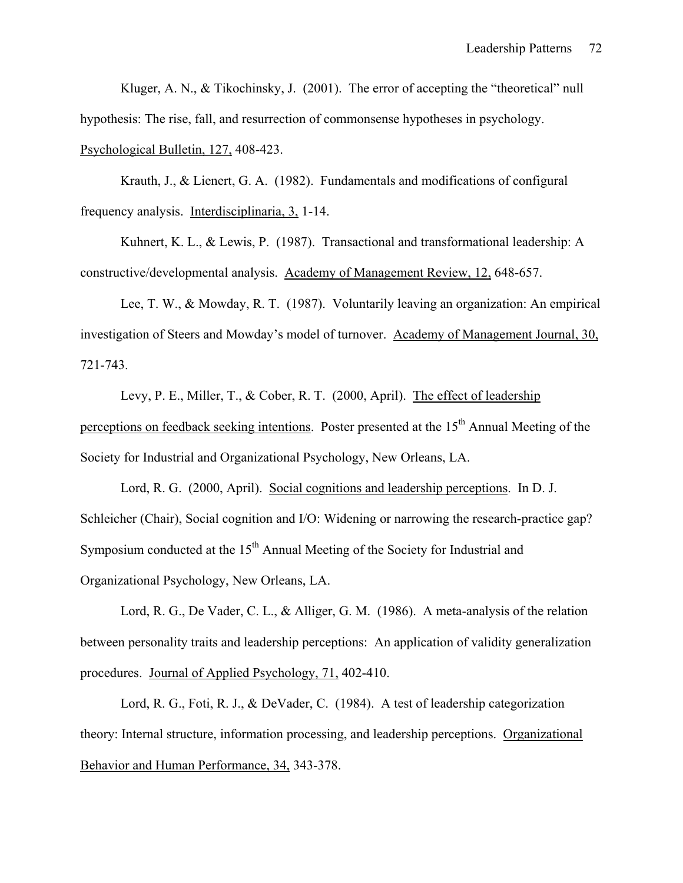Kluger, A. N., & Tikochinsky, J. (2001). The error of accepting the "theoretical" null hypothesis: The rise, fall, and resurrection of commonsense hypotheses in psychology. Psychological Bulletin, 127, 408-423.

 Krauth, J., & Lienert, G. A. (1982). Fundamentals and modifications of configural frequency analysis. Interdisciplinaria, 3, 1-14.

 Kuhnert, K. L., & Lewis, P. (1987). Transactional and transformational leadership: A constructive/developmental analysis. Academy of Management Review, 12, 648-657.

 Lee, T. W., & Mowday, R. T. (1987). Voluntarily leaving an organization: An empirical investigation of Steers and Mowday's model of turnover. Academy of Management Journal, 30, 721-743.

 Levy, P. E., Miller, T., & Cober, R. T. (2000, April). The effect of leadership perceptions on feedback seeking intentions. Poster presented at the  $15<sup>th</sup>$  Annual Meeting of the Society for Industrial and Organizational Psychology, New Orleans, LA.

 Lord, R. G. (2000, April). Social cognitions and leadership perceptions. In D. J. Schleicher (Chair), Social cognition and I/O: Widening or narrowing the research-practice gap? Symposium conducted at the 15<sup>th</sup> Annual Meeting of the Society for Industrial and Organizational Psychology, New Orleans, LA.

Lord, R. G., De Vader, C. L., & Alliger, G. M. (1986). A meta-analysis of the relation between personality traits and leadership perceptions: An application of validity generalization procedures. Journal of Applied Psychology, 71, 402-410.

 Lord, R. G., Foti, R. J., & DeVader, C. (1984). A test of leadership categorization theory: Internal structure, information processing, and leadership perceptions. Organizational Behavior and Human Performance, 34, 343-378.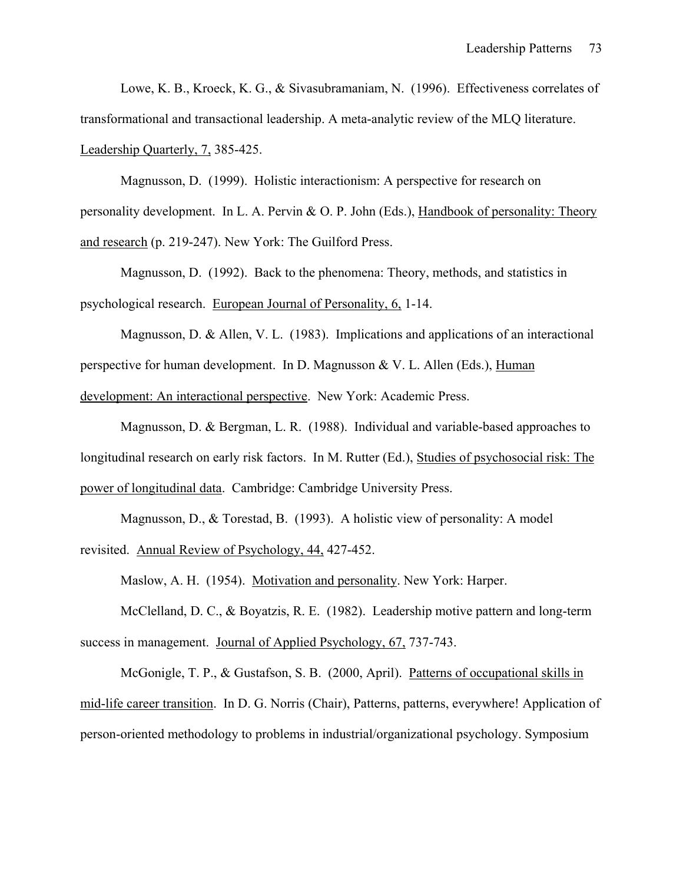Lowe, K. B., Kroeck, K. G., & Sivasubramaniam, N. (1996). Effectiveness correlates of transformational and transactional leadership. A meta-analytic review of the MLQ literature. Leadership Quarterly, 7, 385-425.

 Magnusson, D. (1999). Holistic interactionism: A perspective for research on personality development. In L. A. Pervin & O. P. John (Eds.), Handbook of personality: Theory and research (p. 219-247). New York: The Guilford Press.

 Magnusson, D. (1992). Back to the phenomena: Theory, methods, and statistics in psychological research. European Journal of Personality, 6, 1-14.

 Magnusson, D. & Allen, V. L. (1983). Implications and applications of an interactional perspective for human development. In D. Magnusson & V. L. Allen (Eds.), Human development: An interactional perspective. New York: Academic Press.

 Magnusson, D. & Bergman, L. R. (1988). Individual and variable-based approaches to longitudinal research on early risk factors. In M. Rutter (Ed.), Studies of psychosocial risk: The power of longitudinal data. Cambridge: Cambridge University Press.

 Magnusson, D., & Torestad, B. (1993). A holistic view of personality: A model revisited. Annual Review of Psychology, 44, 427-452.

Maslow, A. H. (1954). Motivation and personality. New York: Harper.

 McClelland, D. C., & Boyatzis, R. E. (1982). Leadership motive pattern and long-term success in management. Journal of Applied Psychology, 67, 737-743.

 McGonigle, T. P., & Gustafson, S. B. (2000, April). Patterns of occupational skills in mid-life career transition. In D. G. Norris (Chair), Patterns, patterns, everywhere! Application of person-oriented methodology to problems in industrial/organizational psychology. Symposium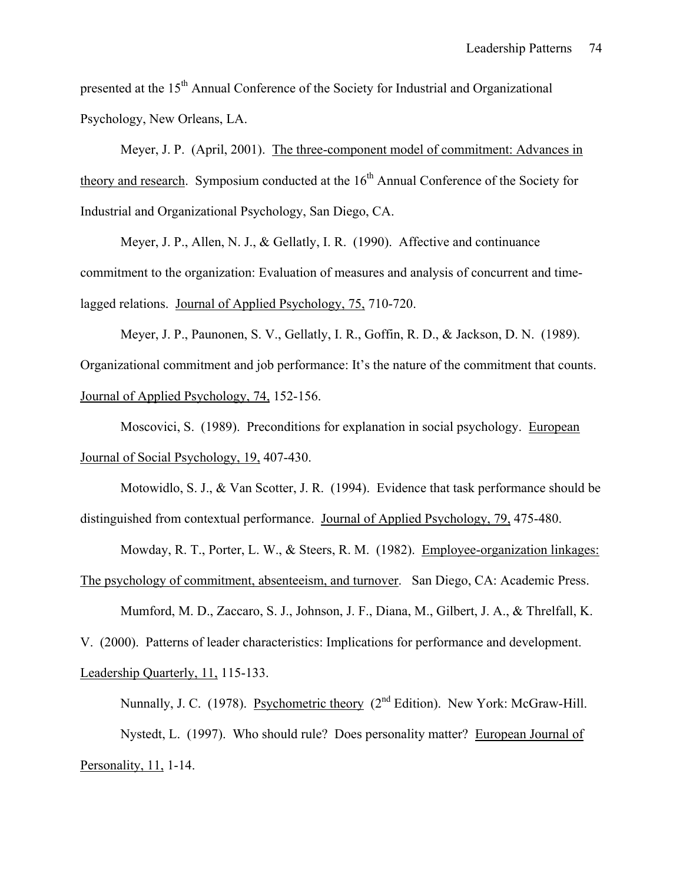presented at the 15<sup>th</sup> Annual Conference of the Society for Industrial and Organizational Psychology, New Orleans, LA.

 Meyer, J. P. (April, 2001). The three-component model of commitment: Advances in theory and research. Symposium conducted at the  $16<sup>th</sup>$  Annual Conference of the Society for Industrial and Organizational Psychology, San Diego, CA.

Meyer, J. P., Allen, N. J., & Gellatly, I. R. (1990). Affective and continuance commitment to the organization: Evaluation of measures and analysis of concurrent and timelagged relations. Journal of Applied Psychology, 75, 710-720.

 Meyer, J. P., Paunonen, S. V., Gellatly, I. R., Goffin, R. D., & Jackson, D. N. (1989). Organizational commitment and job performance: It's the nature of the commitment that counts. Journal of Applied Psychology, 74, 152-156.

 Moscovici, S. (1989). Preconditions for explanation in social psychology. European Journal of Social Psychology, 19, 407-430.

Motowidlo, S. J., & Van Scotter, J. R. (1994). Evidence that task performance should be distinguished from contextual performance. Journal of Applied Psychology, 79, 475-480.

Mowday, R. T., Porter, L. W., & Steers, R. M. (1982). Employee-organization linkages: The psychology of commitment, absenteeism, and turnover. San Diego, CA: Academic Press.

Mumford, M. D., Zaccaro, S. J., Johnson, J. F., Diana, M., Gilbert, J. A., & Threlfall, K.

V. (2000). Patterns of leader characteristics: Implications for performance and development. Leadership Quarterly, 11, 115-133.

Nunnally, J. C. (1978). Psychometric theory (2<sup>nd</sup> Edition). New York: McGraw-Hill. Nystedt, L. (1997). Who should rule? Does personality matter? European Journal of Personality, 11, 1-14.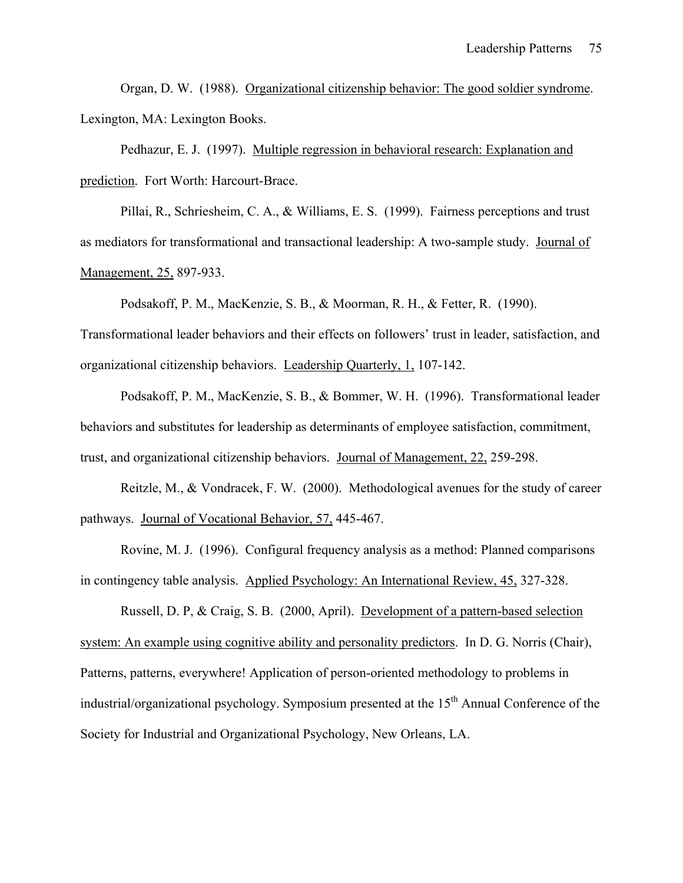Organ, D. W. (1988). Organizational citizenship behavior: The good soldier syndrome. Lexington, MA: Lexington Books.

 Pedhazur, E. J. (1997). Multiple regression in behavioral research: Explanation and prediction. Fort Worth: Harcourt-Brace.

 Pillai, R., Schriesheim, C. A., & Williams, E. S. (1999). Fairness perceptions and trust as mediators for transformational and transactional leadership: A two-sample study. Journal of Management, 25, 897-933.

Podsakoff, P. M., MacKenzie, S. B., & Moorman, R. H., & Fetter, R. (1990).

Transformational leader behaviors and their effects on followers' trust in leader, satisfaction, and organizational citizenship behaviors. Leadership Quarterly, 1, 107-142.

 Podsakoff, P. M., MacKenzie, S. B., & Bommer, W. H. (1996). Transformational leader behaviors and substitutes for leadership as determinants of employee satisfaction, commitment, trust, and organizational citizenship behaviors. Journal of Management, 22, 259-298.

 Reitzle, M., & Vondracek, F. W. (2000). Methodological avenues for the study of career pathways. Journal of Vocational Behavior, 57, 445-467.

Rovine, M. J. (1996). Configural frequency analysis as a method: Planned comparisons in contingency table analysis. Applied Psychology: An International Review, 45, 327-328.

 Russell, D. P, & Craig, S. B. (2000, April). Development of a pattern-based selection system: An example using cognitive ability and personality predictors. In D. G. Norris (Chair), Patterns, patterns, everywhere! Application of person-oriented methodology to problems in industrial/organizational psychology. Symposium presented at the 15<sup>th</sup> Annual Conference of the Society for Industrial and Organizational Psychology, New Orleans, LA.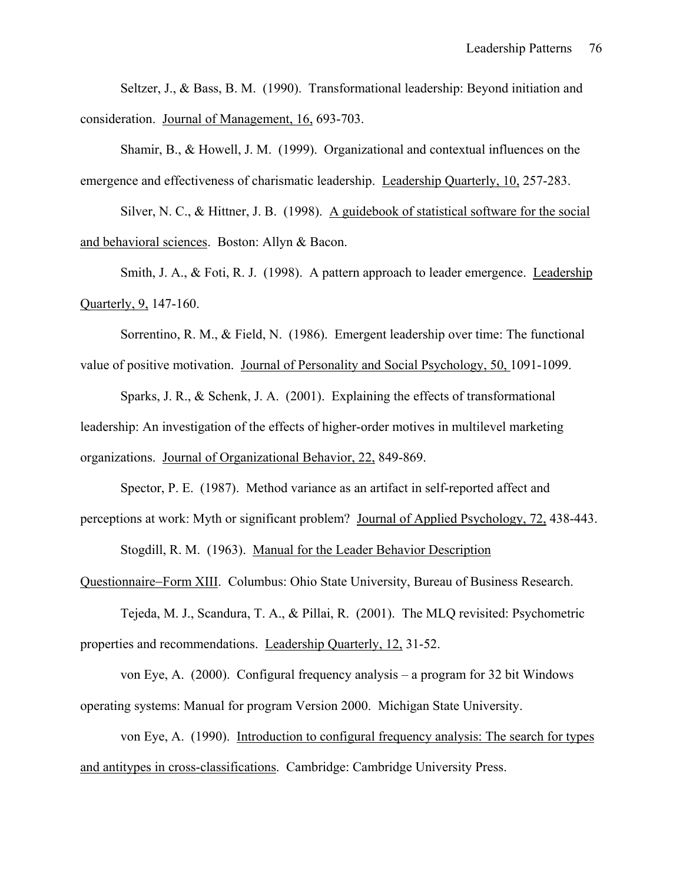Seltzer, J., & Bass, B. M. (1990). Transformational leadership: Beyond initiation and consideration. Journal of Management, 16, 693-703.

 Shamir, B., & Howell, J. M. (1999). Organizational and contextual influences on the emergence and effectiveness of charismatic leadership. Leadership Quarterly, 10, 257-283.

Silver, N. C., & Hittner, J. B. (1998). A guidebook of statistical software for the social and behavioral sciences. Boston: Allyn & Bacon.

Smith, J. A., & Foti, R. J. (1998). A pattern approach to leader emergence. Leadership Quarterly, 9, 147-160.

Sorrentino, R. M., & Field, N. (1986). Emergent leadership over time: The functional value of positive motivation. Journal of Personality and Social Psychology, 50, 1091-1099.

Sparks, J. R., & Schenk, J. A. (2001). Explaining the effects of transformational leadership: An investigation of the effects of higher-order motives in multilevel marketing organizations. Journal of Organizational Behavior, 22, 849-869.

Spector, P. E. (1987). Method variance as an artifact in self-reported affect and perceptions at work: Myth or significant problem? Journal of Applied Psychology, 72, 438-443.

Stogdill, R. M. (1963). Manual for the Leader Behavior Description

Questionnaire−Form XIII. Columbus: Ohio State University, Bureau of Business Research.

Tejeda, M. J., Scandura, T. A., & Pillai, R. (2001). The MLQ revisited: Psychometric properties and recommendations. Leadership Quarterly, 12, 31-52.

von Eye, A. (2000). Configural frequency analysis – a program for 32 bit Windows operating systems: Manual for program Version 2000. Michigan State University.

von Eye, A. (1990). Introduction to configural frequency analysis: The search for types and antitypes in cross-classifications. Cambridge: Cambridge University Press.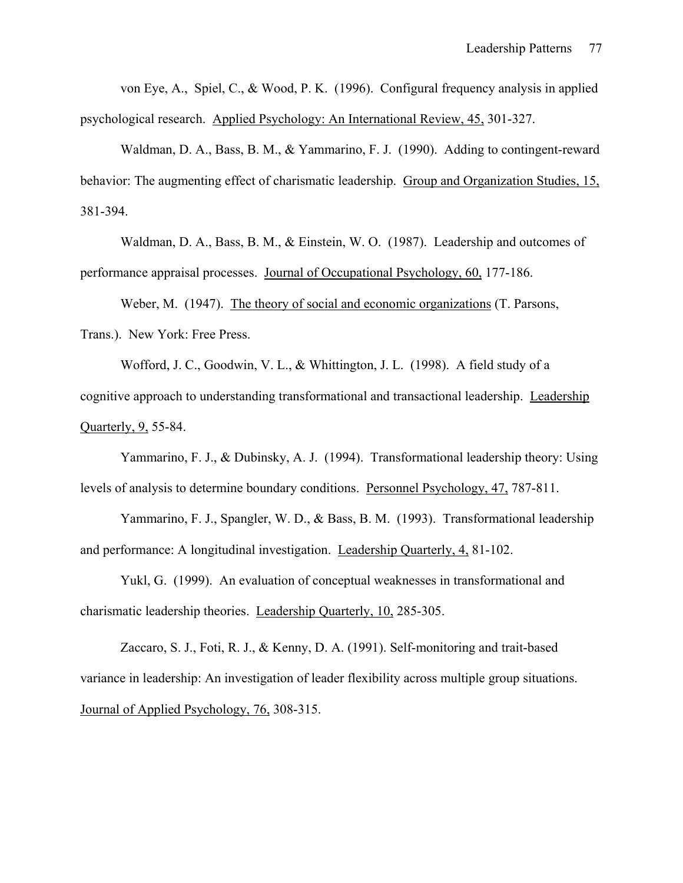von Eye, A., Spiel, C., & Wood, P. K. (1996). Configural frequency analysis in applied psychological research. Applied Psychology: An International Review, 45, 301-327.

Waldman, D. A., Bass, B. M., & Yammarino, F. J. (1990). Adding to contingent-reward behavior: The augmenting effect of charismatic leadership. Group and Organization Studies, 15, 381-394.

Waldman, D. A., Bass, B. M., & Einstein, W. O. (1987). Leadership and outcomes of performance appraisal processes. Journal of Occupational Psychology, 60, 177-186.

Weber, M. (1947). The theory of social and economic organizations (T. Parsons, Trans.). New York: Free Press.

 Wofford, J. C., Goodwin, V. L., & Whittington, J. L. (1998). A field study of a cognitive approach to understanding transformational and transactional leadership. Leadership Quarterly, 9, 55-84.

 Yammarino, F. J., & Dubinsky, A. J. (1994). Transformational leadership theory: Using levels of analysis to determine boundary conditions. Personnel Psychology, 47, 787-811.

 Yammarino, F. J., Spangler, W. D., & Bass, B. M. (1993). Transformational leadership and performance: A longitudinal investigation. Leadership Quarterly, 4, 81-102.

 Yukl, G. (1999). An evaluation of conceptual weaknesses in transformational and charismatic leadership theories. Leadership Quarterly, 10, 285-305.

Zaccaro, S. J., Foti, R. J., & Kenny, D. A. (1991). Self-monitoring and trait-based variance in leadership: An investigation of leader flexibility across multiple group situations. Journal of Applied Psychology, 76, 308-315.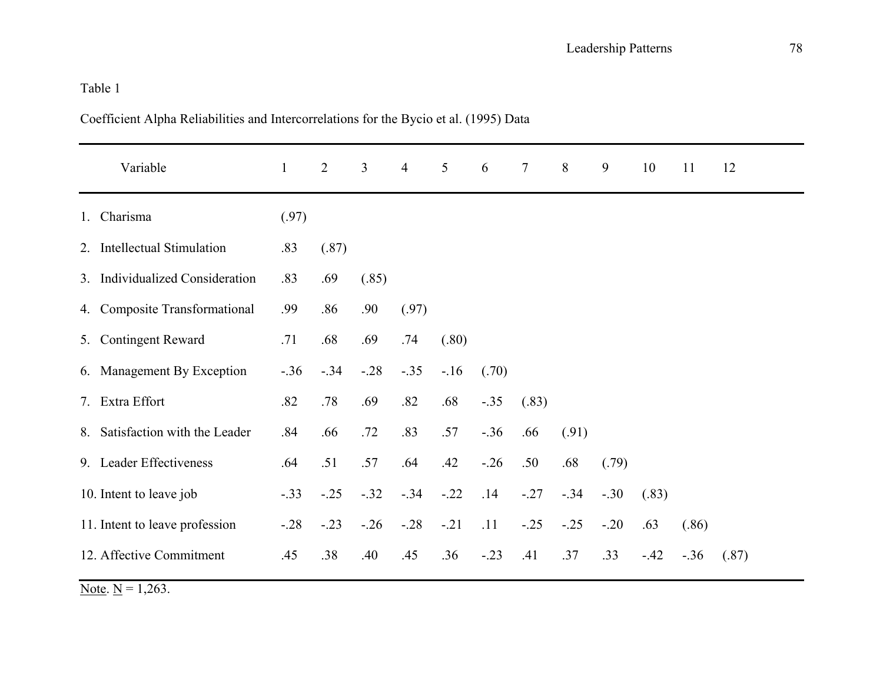Coefficient Alpha Reliabilities and Intercorrelations for the Bycio et al. (1995) Data

|             | Variable                        | $\mathbf{1}$ | $\overline{2}$ | $\overline{3}$ | $\overline{4}$ | $5\overline{)}$ | 6      | $\tau$ | 8       | 9       | 10    | 11    | 12    |
|-------------|---------------------------------|--------------|----------------|----------------|----------------|-----------------|--------|--------|---------|---------|-------|-------|-------|
| $1_{\cdot}$ | Charisma                        | (.97)        |                |                |                |                 |        |        |         |         |       |       |       |
|             | 2. Intellectual Stimulation     | .83          | (.87)          |                |                |                 |        |        |         |         |       |       |       |
|             | 3. Individualized Consideration | .83          | .69            | (.85)          |                |                 |        |        |         |         |       |       |       |
|             | 4. Composite Transformational   | .99          | .86            | .90            | (.97)          |                 |        |        |         |         |       |       |       |
|             | 5. Contingent Reward            | .71          | .68            | .69            | .74            | (.80)           |        |        |         |         |       |       |       |
|             | 6. Management By Exception      | $-.36$       | $-.34$         | $-.28$         | $-.35$         | $-16$           | (.70)  |        |         |         |       |       |       |
|             | 7. Extra Effort                 | .82          | .78            | .69            | .82            | .68             | $-.35$ | (.83)  |         |         |       |       |       |
|             | 8. Satisfaction with the Leader | .84          | .66            | .72            | .83            | .57             | $-.36$ | .66    | (.91)   |         |       |       |       |
|             | 9. Leader Effectiveness         | .64          | .51            | .57            | .64            | .42             | $-.26$ | .50    | .68     | (.79)   |       |       |       |
|             | 10. Intent to leave job         | $-.33$       | $-.25$         | $-.32$         | $-.34$         | $-.22$          | .14    | $-.27$ | $-.34$  | $-.30$  | (.83) |       |       |
|             | 11. Intent to leave profession  | $-0.28$      | $-.23$         | $-.26$         | $-.28$         | $-.21$          | .11    | $-.25$ | $-0.25$ | $-0.20$ | .63   | (.86) |       |
|             | 12. Affective Commitment        | .45          | .38            | .40            | .45            | .36             | $-.23$ | .41    | .37     | .33     | $-42$ | $-36$ | (.87) |

Note.  $N = 1,263$ .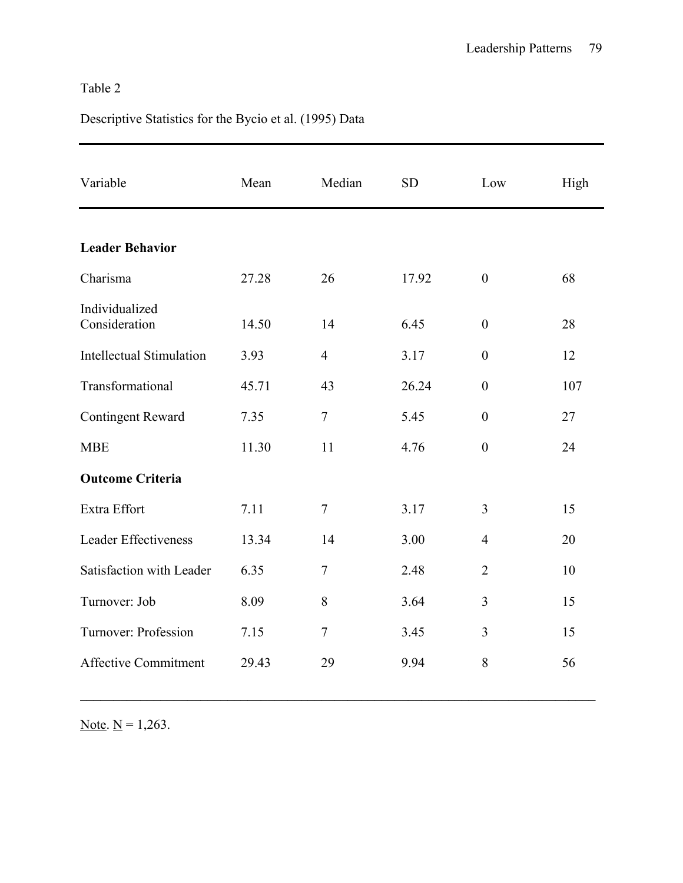# Descriptive Statistics for the Bycio et al. (1995) Data

| Variable                        | Mean  | Median         | <b>SD</b> | Low              | High |
|---------------------------------|-------|----------------|-----------|------------------|------|
| <b>Leader Behavior</b>          |       |                |           |                  |      |
| Charisma                        | 27.28 | 26             | 17.92     | $\overline{0}$   | 68   |
| Individualized<br>Consideration | 14.50 | 14             | 6.45      | $\overline{0}$   | 28   |
| <b>Intellectual Stimulation</b> | 3.93  | $\overline{4}$ | 3.17      | $\overline{0}$   | 12   |
| Transformational                | 45.71 | 43             | 26.24     | $\theta$         | 107  |
| <b>Contingent Reward</b>        | 7.35  | $\overline{7}$ | 5.45      | $\boldsymbol{0}$ | 27   |
| <b>MBE</b>                      | 11.30 | 11             | 4.76      | $\boldsymbol{0}$ | 24   |
| <b>Outcome Criteria</b>         |       |                |           |                  |      |
| Extra Effort                    | 7.11  | $\overline{7}$ | 3.17      | 3                | 15   |
| <b>Leader Effectiveness</b>     | 13.34 | 14             | 3.00      | 4                | 20   |
| Satisfaction with Leader        | 6.35  | $\tau$         | 2.48      | $\overline{2}$   | 10   |
| Turnover: Job                   | 8.09  | 8              | 3.64      | 3                | 15   |
| Turnover: Profession            | 7.15  | $\tau$         | 3.45      | 3                | 15   |
| <b>Affective Commitment</b>     | 29.43 | 29             | 9.94      | 8                | 56   |

Note.  $N = 1,263$ .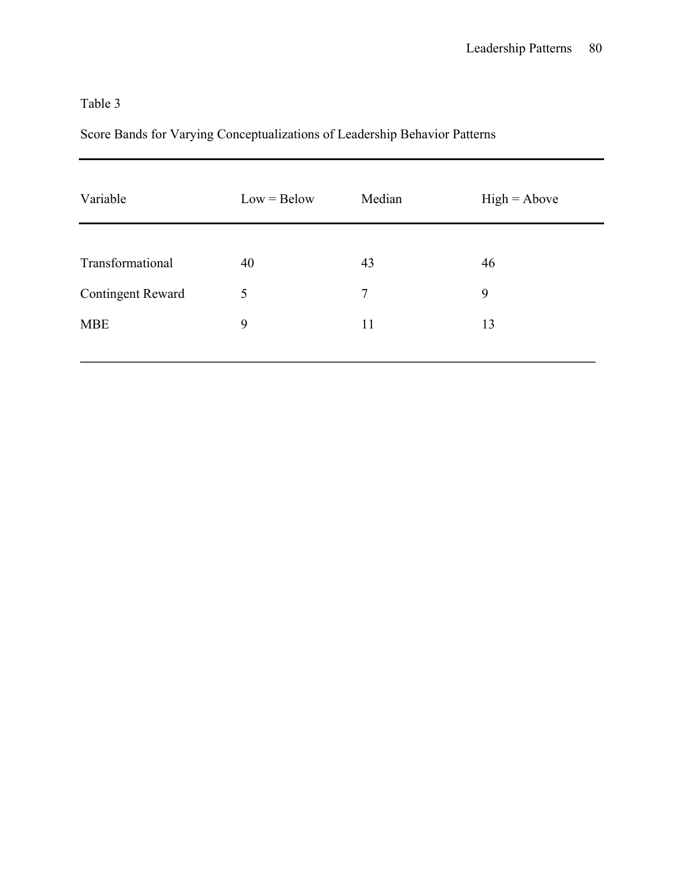# Score Bands for Varying Conceptualizations of Leadership Behavior Patterns

| Variable                 | $Low = Below$ | Median         | $High = Above$ |
|--------------------------|---------------|----------------|----------------|
|                          |               |                |                |
| Transformational         | 40            | 43             | 46             |
| <b>Contingent Reward</b> | 5             | $\overline{7}$ | 9              |
| <b>MBE</b>               | 9             | 11             | 13             |
|                          |               |                |                |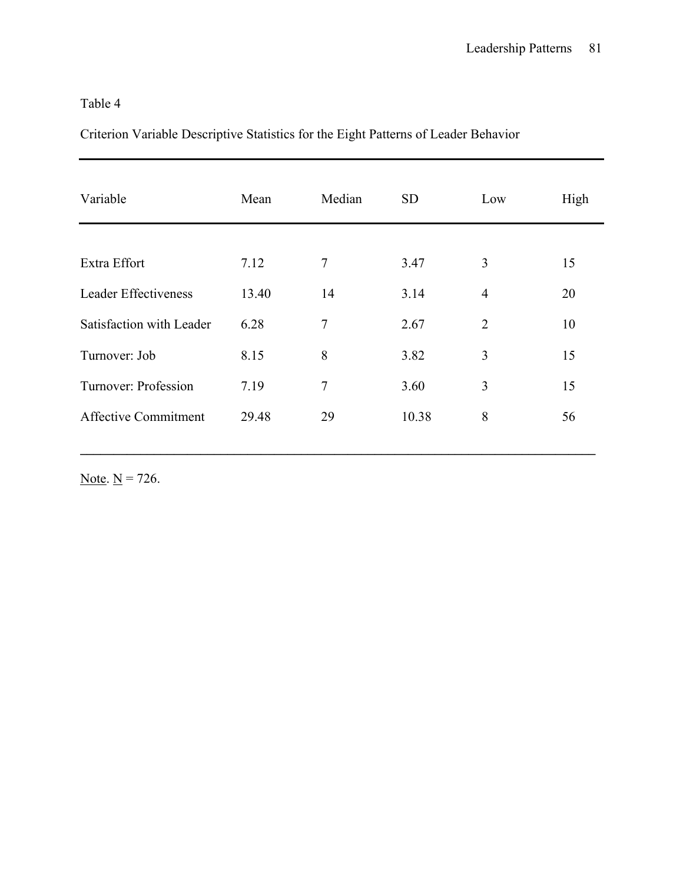Criterion Variable Descriptive Statistics for the Eight Patterns of Leader Behavior

| Variable                    | Mean  | Median         | <b>SD</b> | Low            | High |
|-----------------------------|-------|----------------|-----------|----------------|------|
|                             |       |                |           |                |      |
| Extra Effort                | 7.12  | 7              | 3.47      | 3              | 15   |
| <b>Leader Effectiveness</b> | 13.40 | 14             | 3.14      | $\overline{4}$ | 20   |
| Satisfaction with Leader    | 6.28  | $\overline{7}$ | 2.67      | $\overline{2}$ | 10   |
| Turnover: Job               | 8.15  | 8              | 3.82      | 3              | 15   |
| Turnover: Profession        | 7.19  | $\overline{7}$ | 3.60      | 3              | 15   |
| <b>Affective Commitment</b> | 29.48 | 29             | 10.38     | 8              | 56   |

Note.  $N = 726$ .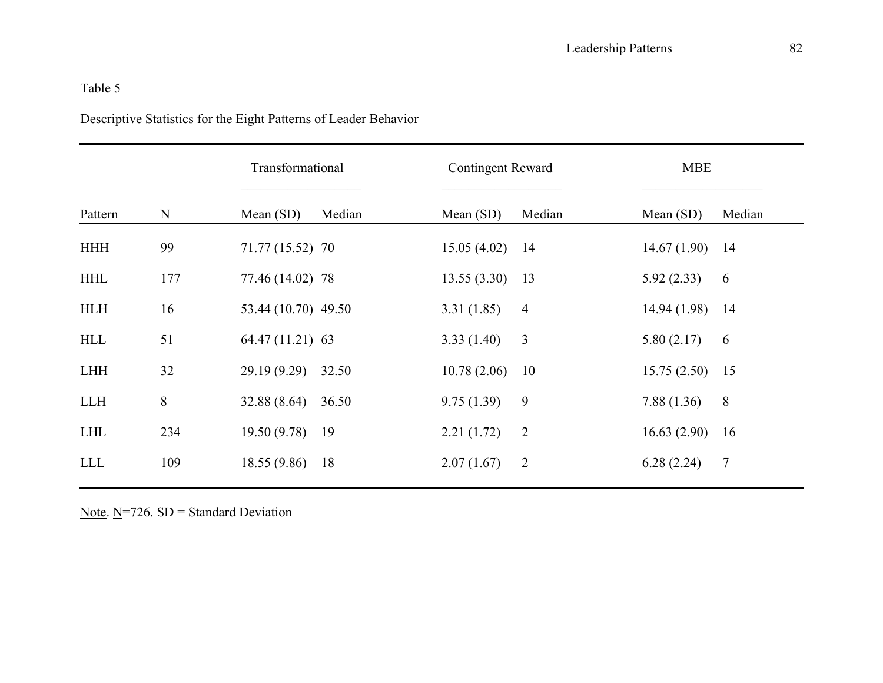# Descriptive Statistics for the Eight Patterns of Leader Behavior

|            |           | Transformational    |        | <b>Contingent Reward</b> |                | <b>MBE</b>  |                |  |
|------------|-----------|---------------------|--------|--------------------------|----------------|-------------|----------------|--|
| Pattern    | ${\bf N}$ | Mean $(SD)$         | Median | Mean $(SD)$              | Median         | Mean $(SD)$ | Median         |  |
| <b>HHH</b> | 99        | 71.77 (15.52) 70    |        | 15.05(4.02)              | 14             | 14.67(1.90) | 14             |  |
| <b>HHL</b> | 177       | 77.46 (14.02) 78    |        | 13.55(3.30)              | 13             | 5.92(2.33)  | 6              |  |
| <b>HLH</b> | 16        | 53.44 (10.70) 49.50 |        | 3.31(1.85)               | $\overline{4}$ | 14.94(1.98) | 14             |  |
| <b>HLL</b> | 51        | 64.47 (11.21) 63    |        | 3.33(1.40)               | 3              | 5.80(2.17)  | 6              |  |
| <b>LHH</b> | 32        | 29.19(9.29)         | 32.50  | 10.78(2.06)              | 10             | 15.75(2.50) | 15             |  |
| <b>LLH</b> | 8         | 32.88(8.64)         | 36.50  | 9.75(1.39)               | 9              | 7.88(1.36)  | 8              |  |
| <b>LHL</b> | 234       | 19.50(9.78)         | 19     | 2.21(1.72)               | $\overline{2}$ | 16.63(2.90) | 16             |  |
| <b>LLL</b> | 109       | 18.55(9.86)         | 18     | 2.07(1.67)               | $\overline{2}$ | 6.28(2.24)  | $\overline{7}$ |  |

Note.  $N=726$ . SD = Standard Deviation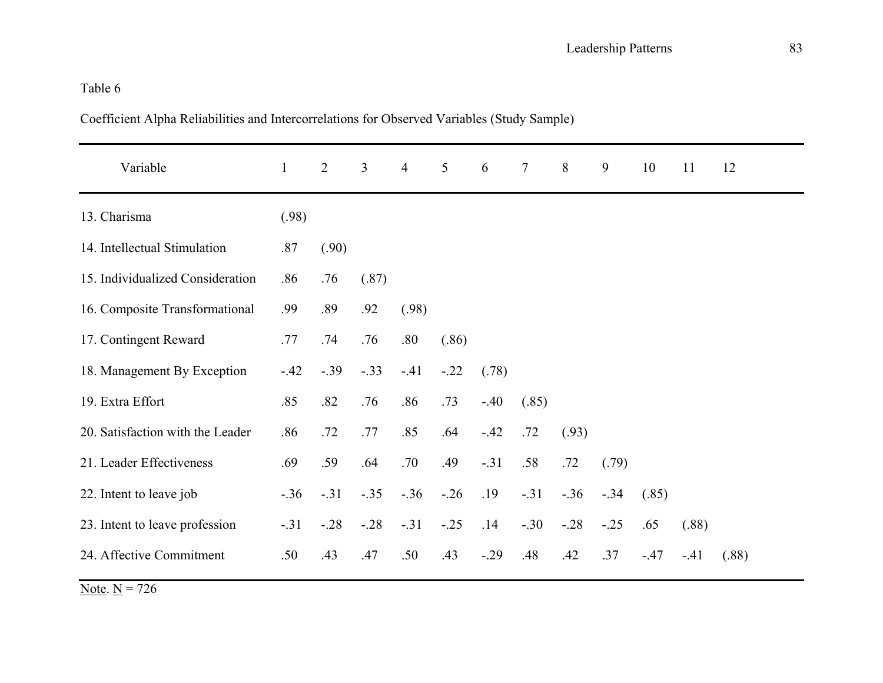Coefficient Alpha Reliabilities and Intercorrelations for Observed Variables (Study Sample)

| Variable                         | $\mathbf{1}$ | $\overline{2}$ | $\overline{3}$ | $\overline{4}$ | 5      | 6       | $\overline{7}$ | 8      | 9      | 10    | 11    | 12    |
|----------------------------------|--------------|----------------|----------------|----------------|--------|---------|----------------|--------|--------|-------|-------|-------|
| 13. Charisma                     | (.98)        |                |                |                |        |         |                |        |        |       |       |       |
| 14. Intellectual Stimulation     | .87          | (.90)          |                |                |        |         |                |        |        |       |       |       |
| 15. Individualized Consideration | .86          | .76            | (.87)          |                |        |         |                |        |        |       |       |       |
| 16. Composite Transformational   | .99          | .89            | .92            | (.98)          |        |         |                |        |        |       |       |       |
| 17. Contingent Reward            | .77          | .74            | .76            | .80            | (.86)  |         |                |        |        |       |       |       |
| 18. Management By Exception      | $-42$        | $-0.39$        | $-.33$         | $-41$          | $-.22$ | (.78)   |                |        |        |       |       |       |
| 19. Extra Effort                 | .85          | .82            | .76            | .86            | .73    | $-40$   | (.85)          |        |        |       |       |       |
| 20. Satisfaction with the Leader | .86          | .72            | .77            | .85            | .64    | $-42$   | .72            | (.93)  |        |       |       |       |
| 21. Leader Effectiveness         | .69          | .59            | .64            | .70            | .49    | $-.31$  | .58            | .72    | (.79)  |       |       |       |
| 22. Intent to leave job          | $-.36$       | $-.31$         | $-.35$         | $-.36$         | $-26$  | .19     | $-.31$         | $-.36$ | $-.34$ | (.85) |       |       |
| 23. Intent to leave profession   | $-31$        | $-.28$         | $-.28$         | $-.31$         | $-.25$ | .14     | $-.30$         | $-.28$ | $-.25$ | .65   | (.88) |       |
| 24. Affective Commitment         | .50          | .43            | .47            | .50            | .43    | $-0.29$ | .48            | .42    | .37    | $-47$ | $-41$ | (.88) |

Note.  $N = 726$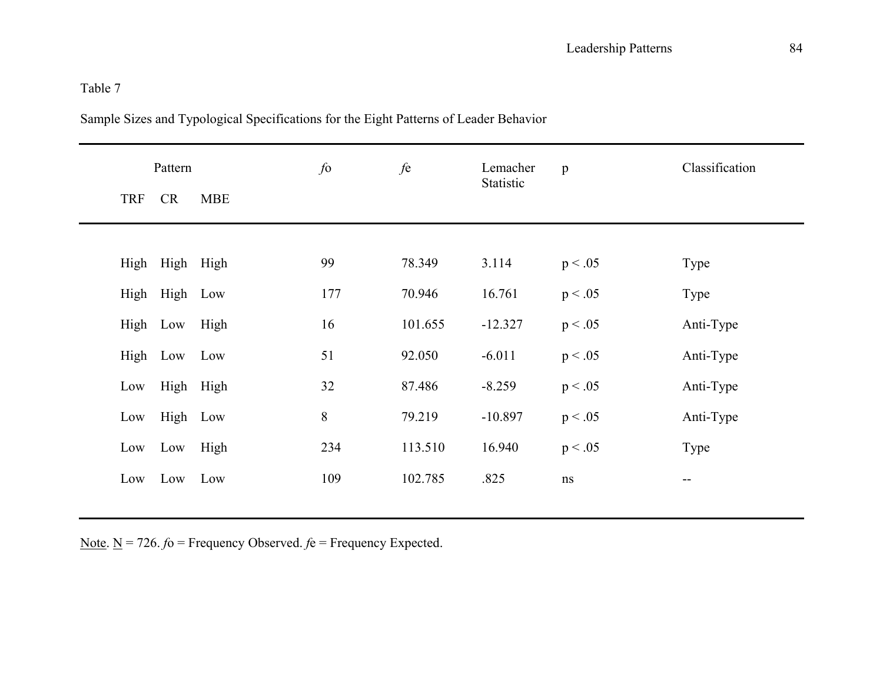|            | Pattern        |            |     | fe      | Lemacher<br>Statistic | $\mathbf{p}$ | Classification |
|------------|----------------|------------|-----|---------|-----------------------|--------------|----------------|
| <b>TRF</b> | CR             | <b>MBE</b> |     |         |                       |              |                |
|            |                |            |     |         |                       |              |                |
|            | High High High |            | 99  | 78.349  | 3.114                 | p < .05      | Type           |
|            | High High Low  |            | 177 | 70.946  | 16.761                | p < .05      | Type           |
|            | High Low       | High       | 16  | 101.655 | $-12.327$             | p < .05      | Anti-Type      |
|            | High Low Low   |            | 51  | 92.050  | $-6.011$              | p < .05      | Anti-Type      |
| Low        |                | High High  | 32  | 87.486  | $-8.259$              | p < .05      | Anti-Type      |
| Low        |                | High Low   | 8   | 79.219  | $-10.897$             | p < .05      | Anti-Type      |
|            | Low Low        | High       | 234 | 113.510 | 16.940                | p < .05      | Type           |
|            | Low Low Low    |            | 109 | 102.785 | .825                  | $\rm ns$     | --             |
|            |                |            |     |         |                       |              |                |

Sample Sizes and Typological Specifications for the Eight Patterns of Leader Behavior

Note. N = 726. *f*o = Frequency Observed. *f*e = Frequency Expected.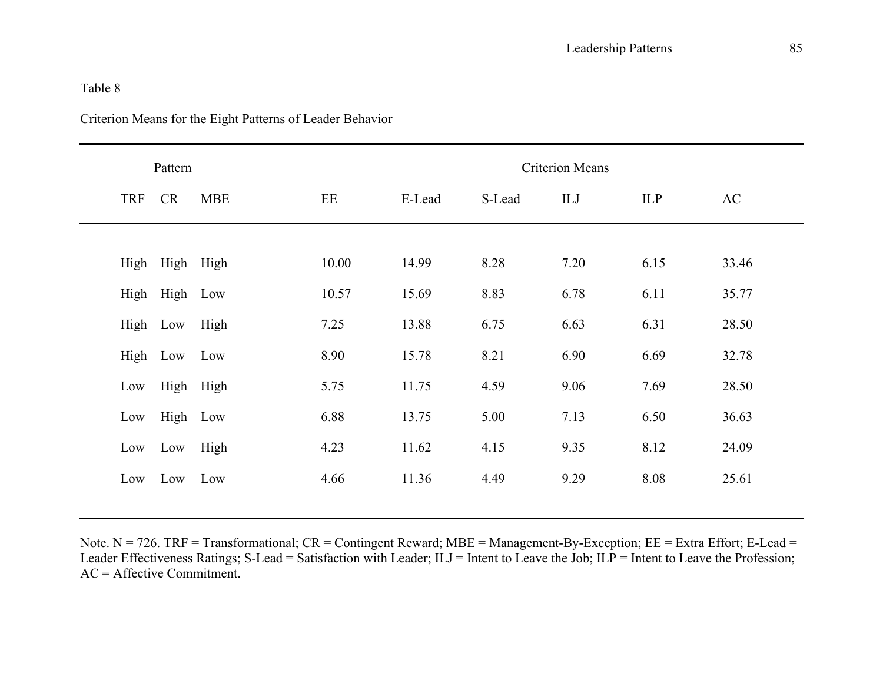|            | Pattern       |            |       | <b>Criterion Means</b> |        |      |      |       |  |  |  |  |
|------------|---------------|------------|-------|------------------------|--------|------|------|-------|--|--|--|--|
| <b>TRF</b> | CR            | <b>MBE</b> | EE    | E-Lead                 | S-Lead | ILJ  | ILP  | AC    |  |  |  |  |
|            |               |            |       |                        |        |      |      |       |  |  |  |  |
| High       | High High     |            | 10.00 | 14.99                  | 8.28   | 7.20 | 6.15 | 33.46 |  |  |  |  |
|            | High High Low |            | 10.57 | 15.69                  | 8.83   | 6.78 | 6.11 | 35.77 |  |  |  |  |
|            | High Low      | High       | 7.25  | 13.88                  | 6.75   | 6.63 | 6.31 | 28.50 |  |  |  |  |
|            | High Low      | Low        | 8.90  | 15.78                  | 8.21   | 6.90 | 6.69 | 32.78 |  |  |  |  |
| Low        |               | High High  | 5.75  | 11.75                  | 4.59   | 9.06 | 7.69 | 28.50 |  |  |  |  |
| Low        | High Low      |            | 6.88  | 13.75                  | 5.00   | 7.13 | 6.50 | 36.63 |  |  |  |  |
| Low        | Low           | High       | 4.23  | 11.62                  | 4.15   | 9.35 | 8.12 | 24.09 |  |  |  |  |
| Low        | Low           | Low        | 4.66  | 11.36                  | 4.49   | 9.29 | 8.08 | 25.61 |  |  |  |  |

## Criterion Means for the Eight Patterns of Leader Behavior

Note.  $N = 726$ . TRF = Transformational;  $CR =$  Contingent Reward; MBE = Management-By-Exception;  $EE =$  Extra Effort; E-Lead = Leader Effectiveness Ratings; S-Lead = Satisfaction with Leader; ILJ = Intent to Leave the Job; ILP = Intent to Leave the Profession;  $AC =$  Affective Commitment.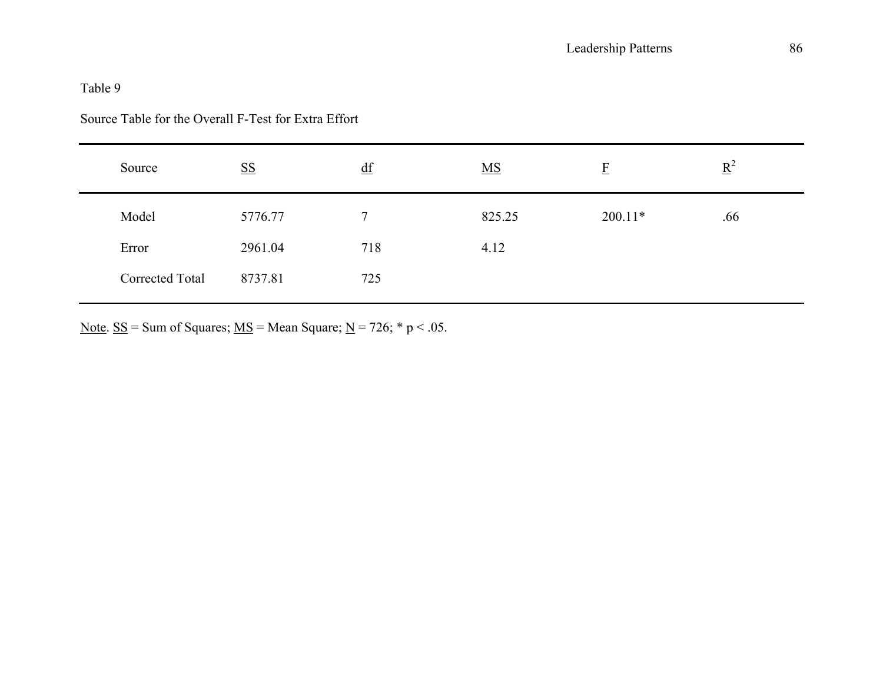### Source Table for the Overall F-Test for Extra Effort

| Source          | $\underline{\mathbf{SS}}$ | df  | $\underline{\mathbf{MS}}$ | E         | $\underline{R}^2$ |
|-----------------|---------------------------|-----|---------------------------|-----------|-------------------|
| Model           | 5776.77                   | 7   | 825.25                    | $200.11*$ | .66               |
| Error           | 2961.04                   | 718 | 4.12                      |           |                   |
| Corrected Total | 8737.81                   | 725 |                           |           |                   |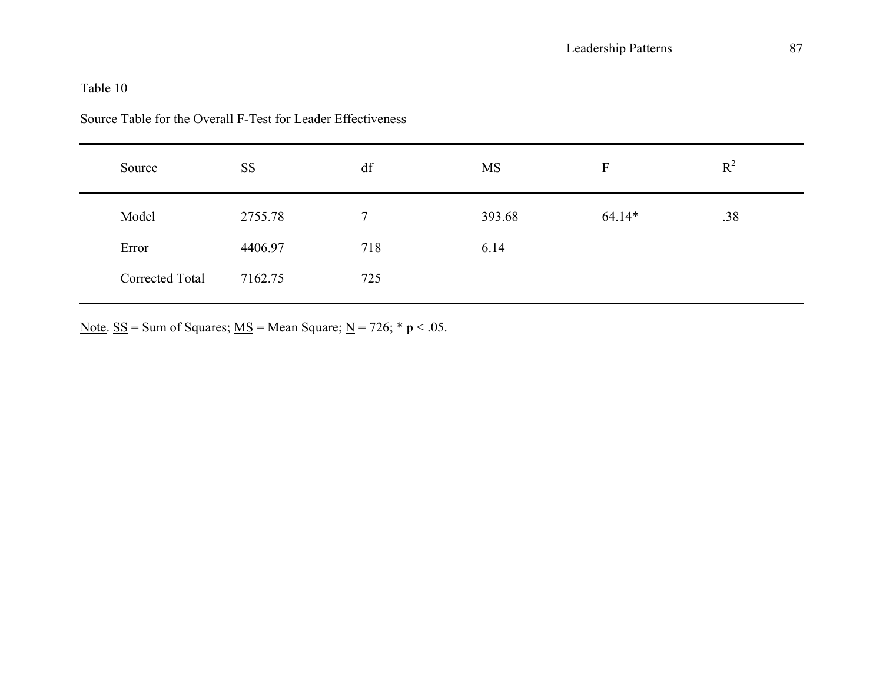| Source          | $\underline{\mathbf{SS}}$ | df  | $\underline{\mathbf{MS}}$ | $\overline{E}$ | $\underline{R}^2$ |  |
|-----------------|---------------------------|-----|---------------------------|----------------|-------------------|--|
| Model           | 2755.78                   | 7   | 393.68                    | $64.14*$       | .38               |  |
| Error           | 4406.97                   | 718 | 6.14                      |                |                   |  |
| Corrected Total | 7162.75                   | 725 |                           |                |                   |  |

## Source Table for the Overall F-Test for Leader Effectiveness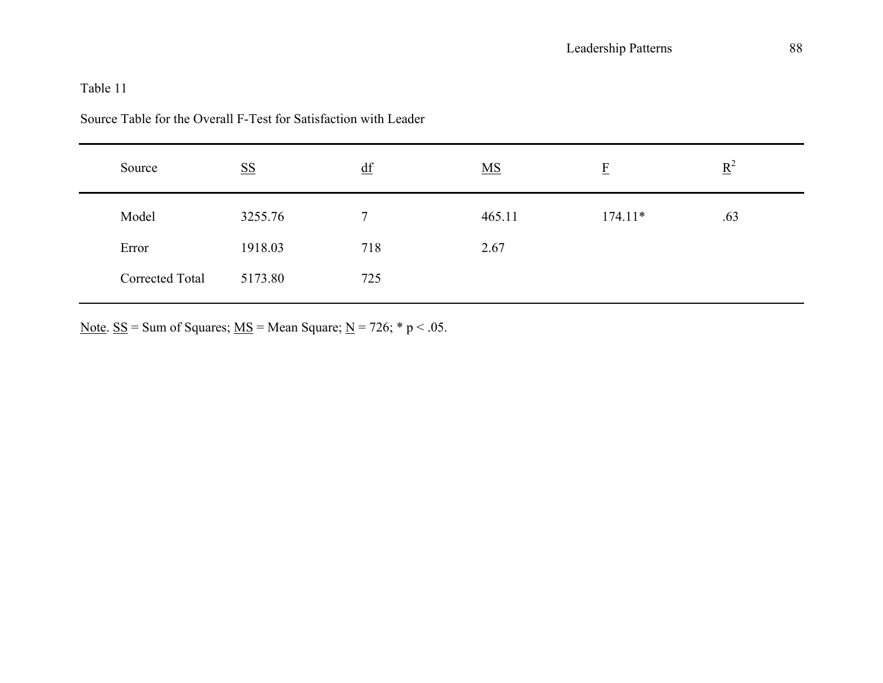| Source          | $\underline{\mathbf{SS}}$ | $\underline{df}$ | $\underline{\mathbf{MS}}$ | E         | $\underline{R}^2$ |
|-----------------|---------------------------|------------------|---------------------------|-----------|-------------------|
| Model           | 3255.76                   | 7                | 465.11                    | $174.11*$ | .63               |
| Error           | 1918.03                   | 718              | 2.67                      |           |                   |
| Corrected Total | 5173.80                   | 725              |                           |           |                   |

Source Table for the Overall F-Test for Satisfaction with Leader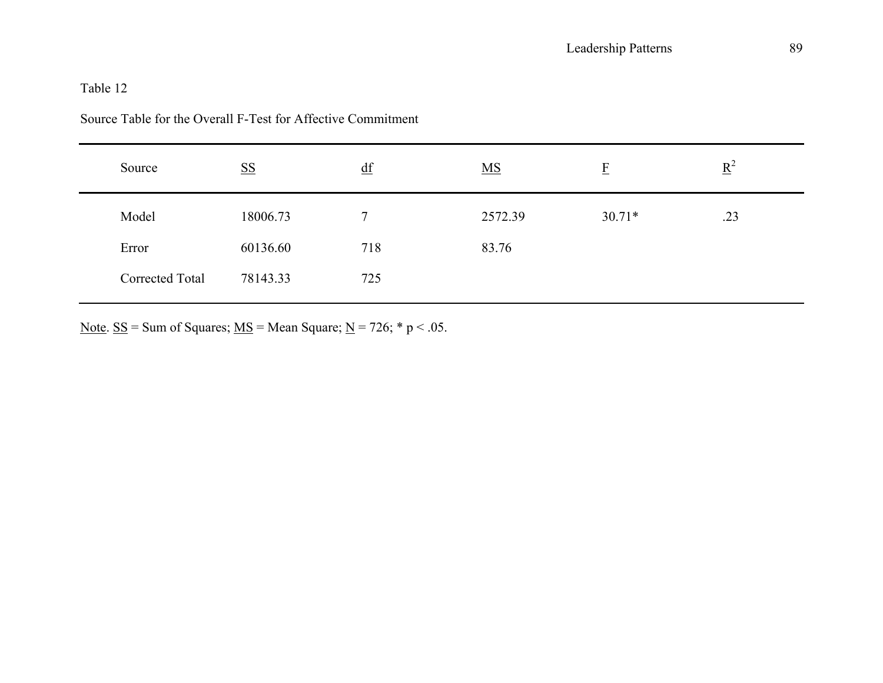| Source          | $S\ S$   | $\underline{df}$ | $\underline{\mathbf{MS}}$ | E        | $\underline{R}^2$ |  |
|-----------------|----------|------------------|---------------------------|----------|-------------------|--|
| Model           | 18006.73 | 7                | 2572.39                   | $30.71*$ | .23               |  |
| Error           | 60136.60 | 718              | 83.76                     |          |                   |  |
| Corrected Total | 78143.33 | 725              |                           |          |                   |  |

### Source Table for the Overall F-Test for Affective Commitment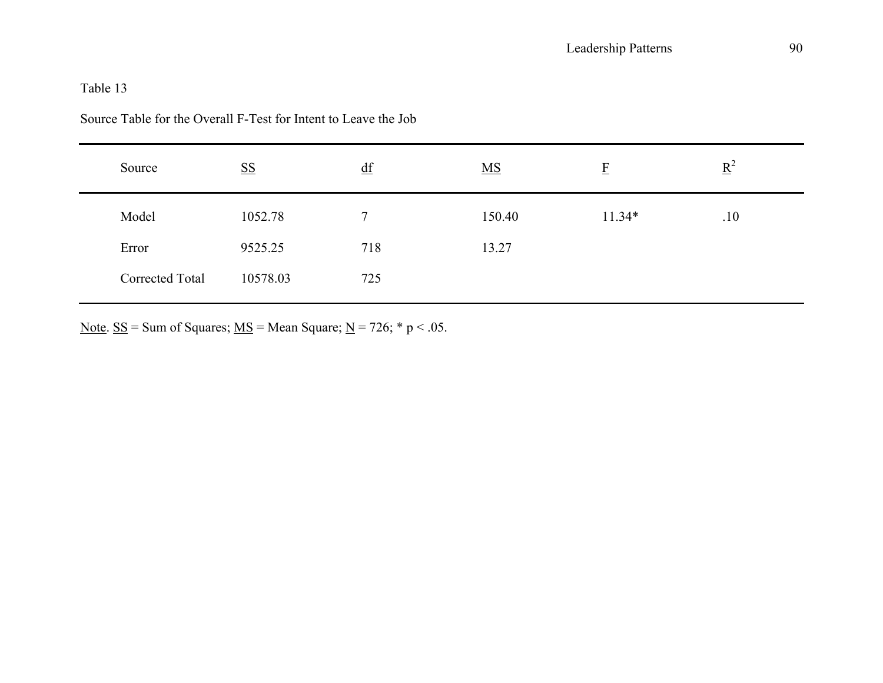| Source          | <b>SS</b> | $\underline{df}$ | $\underline{MS}$ | F        | $\underline{R}^2$ |  |
|-----------------|-----------|------------------|------------------|----------|-------------------|--|
| Model           | 1052.78   |                  | 150.40           | $11.34*$ | .10               |  |
| Error           | 9525.25   | 718              | 13.27            |          |                   |  |
| Corrected Total | 10578.03  | 725              |                  |          |                   |  |

Source Table for the Overall F-Test for Intent to Leave the Job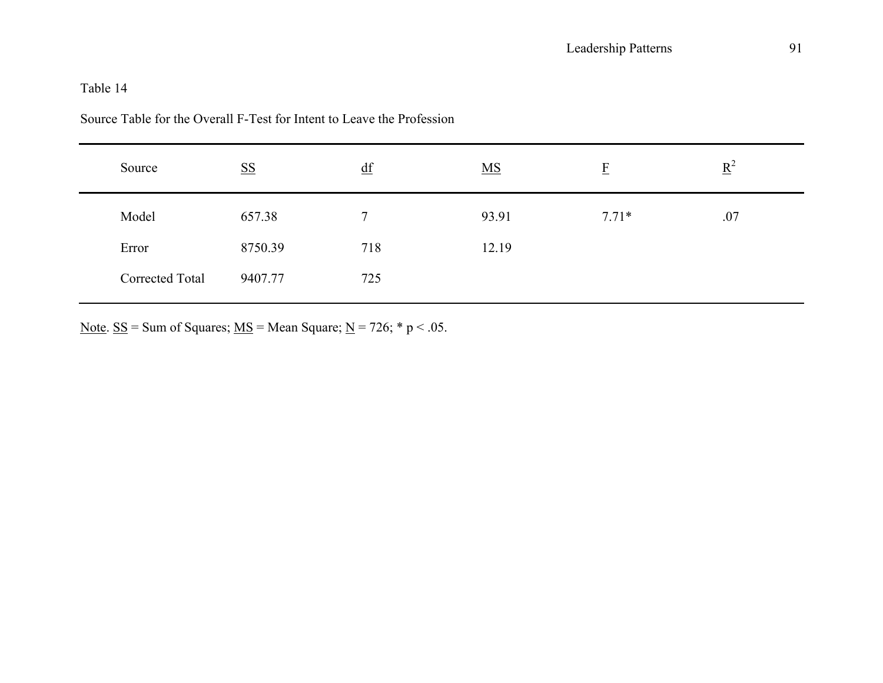| Source          | $\underline{\mathbf{SS}}$ | df  | $\underline{MS}$ | $\overline{E}$ | $\underline{R}^2$ |  |
|-----------------|---------------------------|-----|------------------|----------------|-------------------|--|
| Model           | 657.38                    | 7   | 93.91            | $7.71*$        | .07               |  |
| Error           | 8750.39                   | 718 | 12.19            |                |                   |  |
| Corrected Total | 9407.77                   | 725 |                  |                |                   |  |

Source Table for the Overall F-Test for Intent to Leave the Profession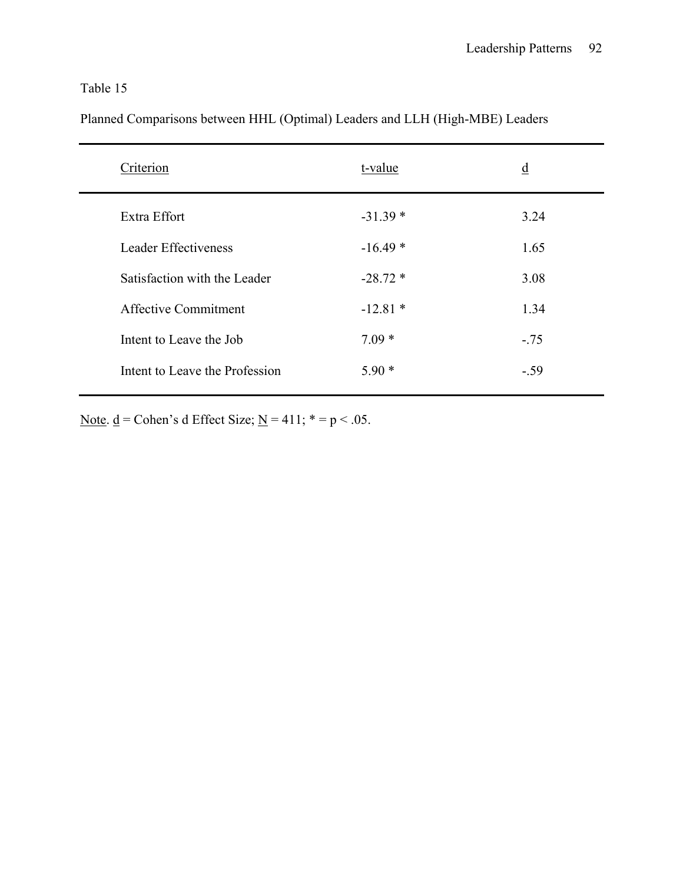Planned Comparisons between HHL (Optimal) Leaders and LLH (High-MBE) Leaders

| Criterion                      | t-value   | $\underline{d}$ |
|--------------------------------|-----------|-----------------|
| Extra Effort                   | $-31.39*$ | 3.24            |
| Leader Effectiveness           | $-16.49*$ | 1.65            |
| Satisfaction with the Leader   | $-28.72*$ | 3.08            |
| Affective Commitment           | $-12.81*$ | 1.34            |
| Intent to Leave the Job        | $7.09*$   | $-.75$          |
| Intent to Leave the Profession | $5.90*$   | $-.59$          |
|                                |           |                 |

Note.  $\underline{d}$  = Cohen's d Effect Size;  $\underline{N}$  = 411; \* = p < .05.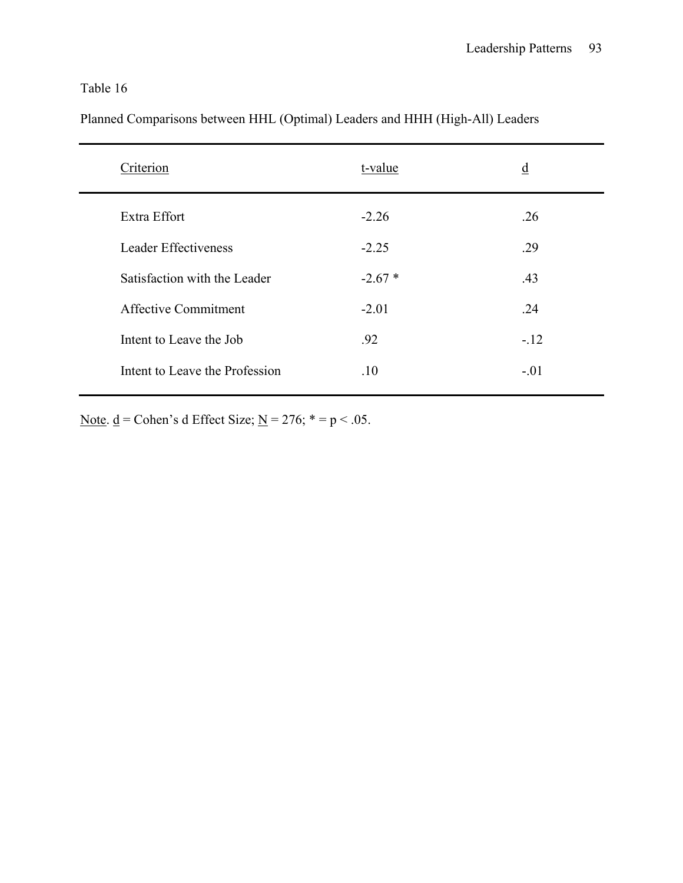Planned Comparisons between HHL (Optimal) Leaders and HHH (High-All) Leaders

| Criterion                      | t-value  | $\underline{d}$ |
|--------------------------------|----------|-----------------|
| Extra Effort                   | $-2.26$  | .26             |
| Leader Effectiveness           | $-2.25$  | .29             |
| Satisfaction with the Leader   | $-2.67*$ | .43             |
| <b>Affective Commitment</b>    | $-2.01$  | .24             |
| Intent to Leave the Job        | .92      | $-12$           |
| Intent to Leave the Profession | .10      | $-.01$          |
|                                |          |                 |

Note.  $\underline{d}$  = Cohen's d Effect Size;  $\underline{N}$  = 276; \* = p < .05.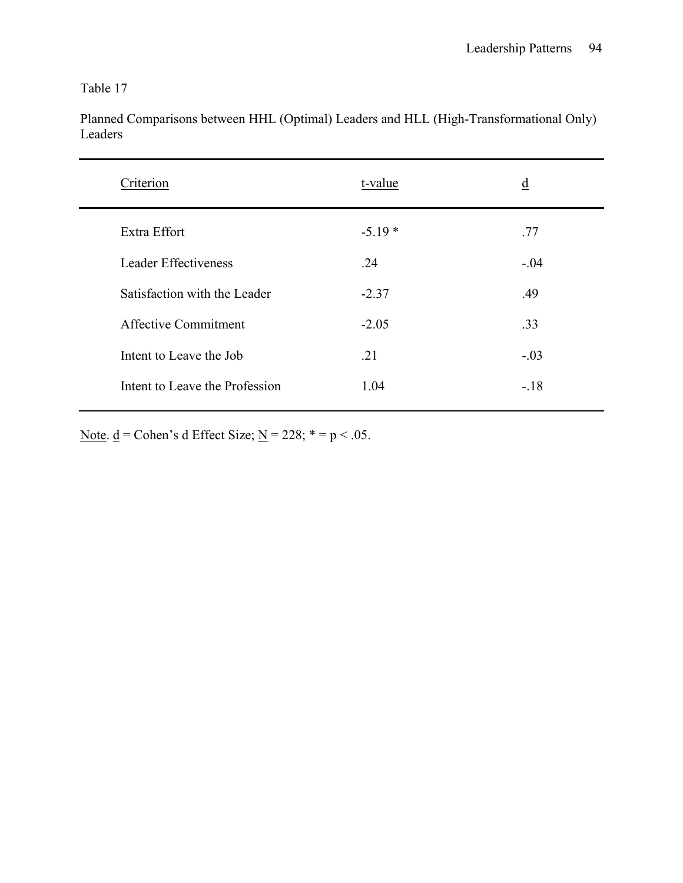| Criterion                      | t-value  | $\underline{d}$ |
|--------------------------------|----------|-----------------|
| Extra Effort                   | $-5.19*$ | .77             |
| Leader Effectiveness           | .24      | $-.04$          |
| Satisfaction with the Leader   | $-2.37$  | .49             |
| <b>Affective Commitment</b>    | $-2.05$  | .33             |
| Intent to Leave the Job        | .21      | $-.03$          |
| Intent to Leave the Profession | 1.04     | $-.18$          |

Planned Comparisons between HHL (Optimal) Leaders and HLL (High-Transformational Only) Leaders

Note.  $\underline{d}$  = Cohen's d Effect Size;  $\underline{N}$  = 228; \* = p < .05.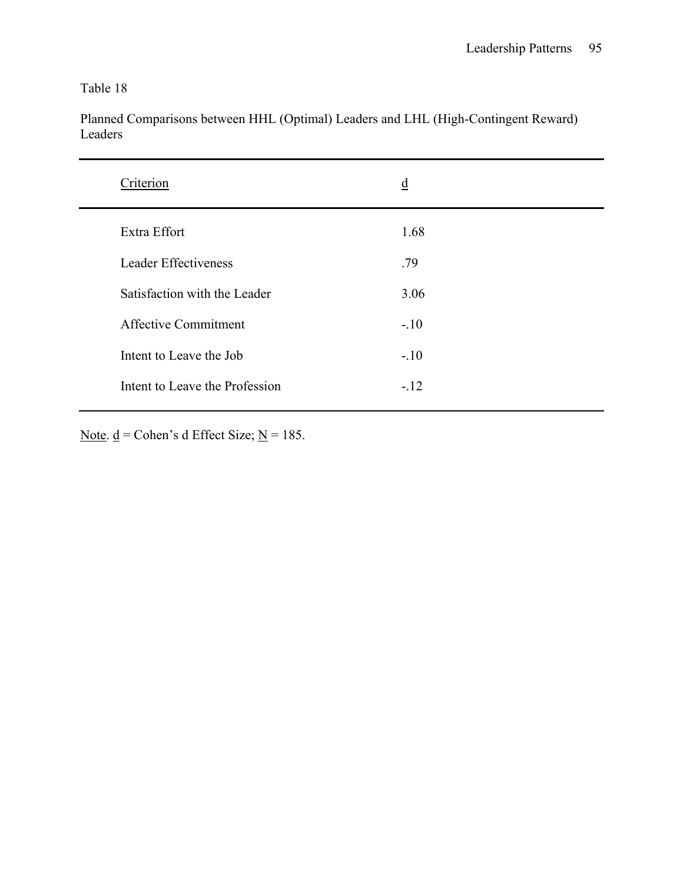Planned Comparisons between HHL (Optimal) Leaders and LHL (High-Contingent Reward) Leaders

Note.  $\underline{d}$  = Cohen's d Effect Size; <u>N</u> = 185.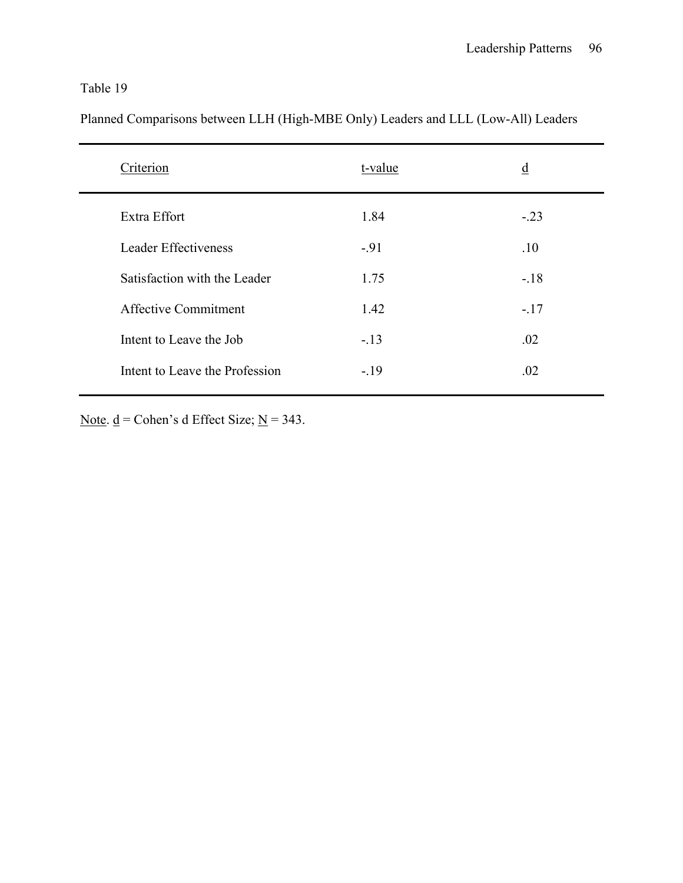Planned Comparisons between LLH (High-MBE Only) Leaders and LLL (Low-All) Leaders

| Criterion                      | t-value | $\underline{d}$ |
|--------------------------------|---------|-----------------|
| Extra Effort                   | 1.84    | $-.23$          |
| Leader Effectiveness           | $-91$   | .10             |
| Satisfaction with the Leader   | 1.75    | $-.18$          |
| <b>Affective Commitment</b>    | 1.42    | $-.17$          |
| Intent to Leave the Job        | $-13$   | .02             |
| Intent to Leave the Profession | $-.19$  | .02             |
|                                |         |                 |

Note.  $\underline{d}$  = Cohen's d Effect Size;  $\underline{N}$  = 343.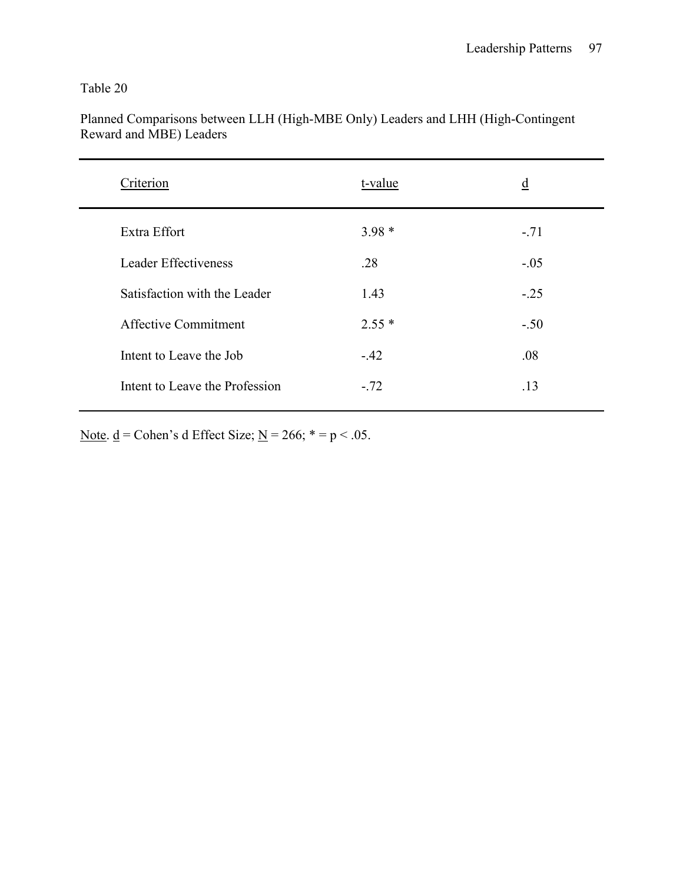| Criterion                      | t-value | $\underline{d}$ |
|--------------------------------|---------|-----------------|
| Extra Effort                   | $3.98*$ | $-.71$          |
| Leader Effectiveness           | .28     | $-.05$          |
| Satisfaction with the Leader   | 1.43    | $-.25$          |
| <b>Affective Commitment</b>    | $2.55*$ | $-.50$          |
| Intent to Leave the Job        | $-42$   | .08             |
| Intent to Leave the Profession | $-.72$  | .13             |

Planned Comparisons between LLH (High-MBE Only) Leaders and LHH (High-Contingent Reward and MBE) Leaders

Note.  $d$  = Cohen's d Effect Size;  $N = 266$ ;  $* = p < .05$ .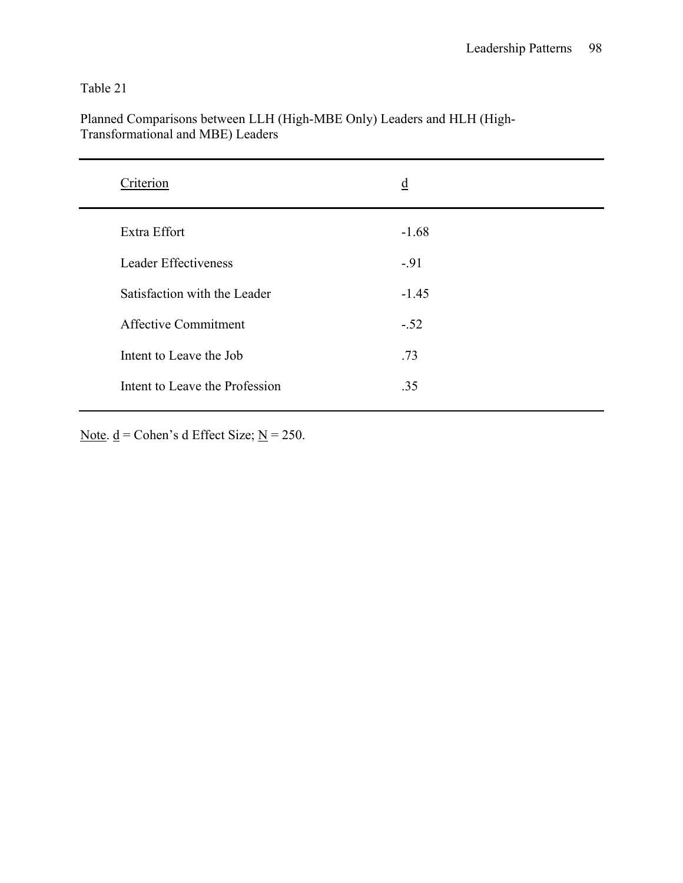| Criterion                      | $\underline{d}$ |
|--------------------------------|-----------------|
| Extra Effort                   | $-1.68$         |
| <b>Leader Effectiveness</b>    | $-91$           |
| Satisfaction with the Leader   | $-1.45$         |
| <b>Affective Commitment</b>    | $-.52$          |
| Intent to Leave the Job        | .73             |
| Intent to Leave the Profession | .35             |

Planned Comparisons between LLH (High-MBE Only) Leaders and HLH (High-Transformational and MBE) Leaders

Note.  $\underline{d}$  = Cohen's d Effect Size; <u>N</u> = 250.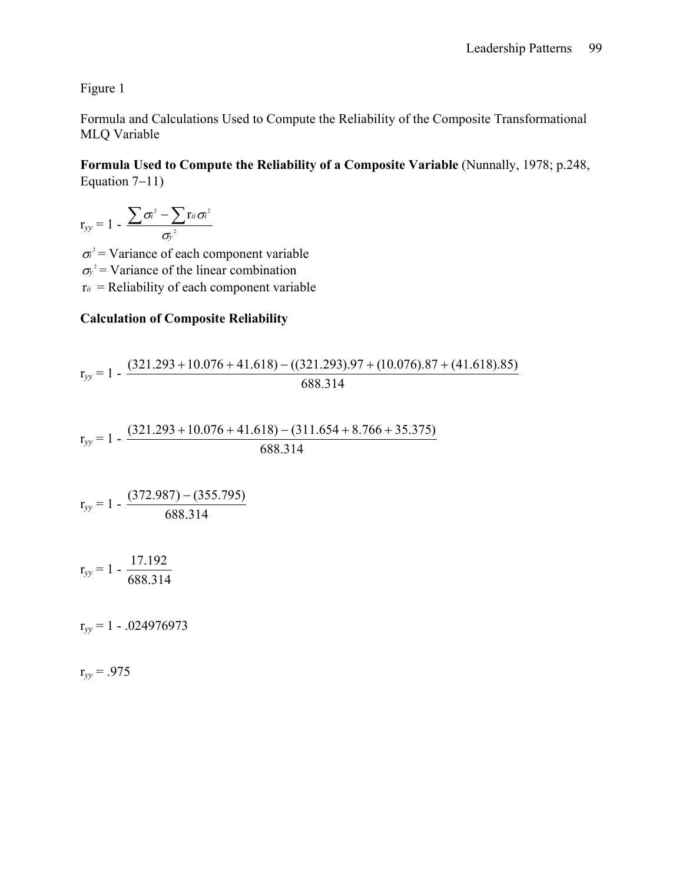Figure 1

Formula and Calculations Used to Compute the Reliability of the Composite Transformational MLQ Variable

**Formula Used to Compute the Reliability of a Composite Variable** (Nunnally, 1978; p.248, Equation 7−11)

$$
r_{yy} = 1 - \frac{\sum \sigma_i^2 - \sum r_{ii} \sigma_i^2}{\sigma_y^2}
$$

 $\sigma$ <sup>2</sup> = Variance of each component variable  $\sigma_y^2$  = Variance of the linear combination  $r_{ii}$  = Reliability of each component variable

## **Calculation of Composite Reliability**

$$
r_{yy} = 1 - \frac{(321.293 + 10.076 + 41.618) - ((321.293).97 + (10.076).87 + (41.618).85)}{688.314}
$$

$$
r_{yy} = 1 - \frac{(321.293 + 10.076 + 41.618) - (311.654 + 8.766 + 35.375)}{688.314}
$$

$$
r_{yy} = 1 - \frac{(372.987) - (355.795)}{688.314}
$$

$$
r_{yy} = 1 - \frac{17.192}{688.314}
$$

r*yy* = 1 - .024976973

 $r_{yy} = .975$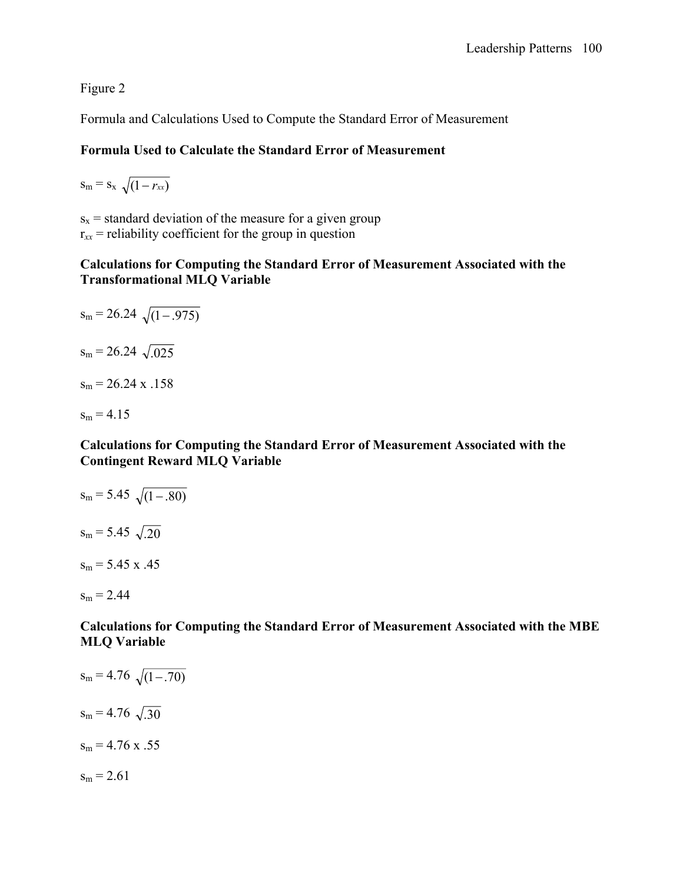Figure 2

Formula and Calculations Used to Compute the Standard Error of Measurement

## **Formula Used to Calculate the Standard Error of Measurement**

 $s_m = s_x \sqrt{(1 - r_{xx})^2}$ 

 $s_x$  = standard deviation of the measure for a given group  $r_{xx}$  = reliability coefficient for the group in question

### **Calculations for Computing the Standard Error of Measurement Associated with the Transformational MLQ Variable**

$$
s_m = 26.24 \sqrt{(1-.975)}
$$
  
\n
$$
s_m = 26.24 \sqrt{.025}
$$
  
\n
$$
s_m = 26.24 \times .158
$$
  
\n
$$
s_m = 4.15
$$

### **Calculations for Computing the Standard Error of Measurement Associated with the Contingent Reward MLQ Variable**

$$
s_m = 5.45 \sqrt{(1-.80)}
$$
  
\n
$$
s_m = 5.45 \sqrt{.20}
$$
  
\n
$$
s_m = 5.45 \times .45
$$
  
\n
$$
s_m = 2.44
$$

**Calculations for Computing the Standard Error of Measurement Associated with the MBE MLQ Variable** 

 $s_m = 4.76 \sqrt{(1-.70)}$  $s_m = 4.76 \sqrt{.30}$  $s_m = 4.76$  x .55  $s_m = 2.61$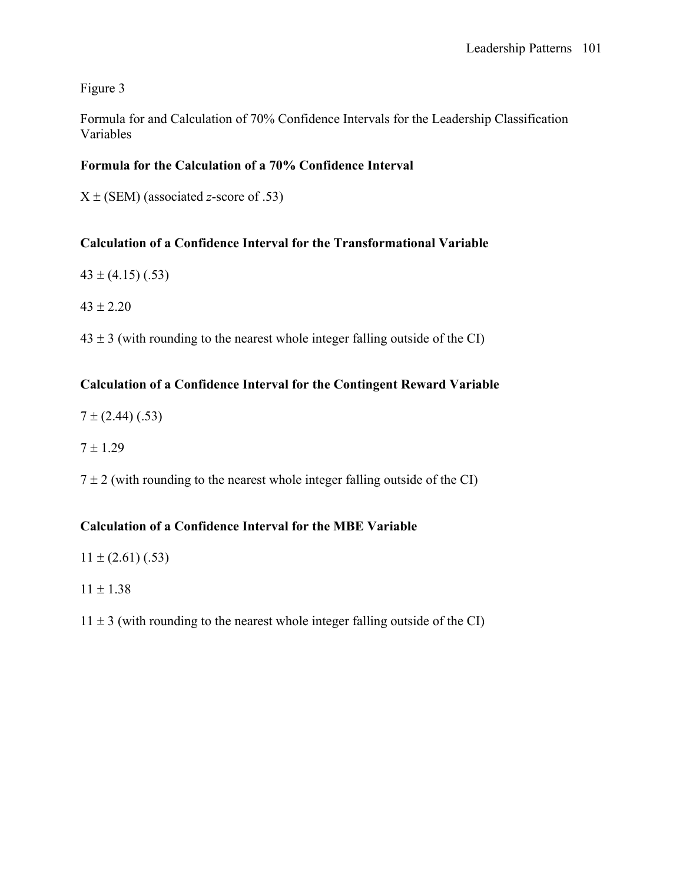# Figure 3

Formula for and Calculation of 70% Confidence Intervals for the Leadership Classification Variables

# **Formula for the Calculation of a 70% Confidence Interval**

X ± (SEM) (associated *z*-score of .53)

# **Calculation of a Confidence Interval for the Transformational Variable**

- $43 \pm (4.15)$  (.53)
- $43 \pm 2.20$
- $43 \pm 3$  (with rounding to the nearest whole integer falling outside of the CI)

# **Calculation of a Confidence Interval for the Contingent Reward Variable**

- $7 \pm (2.44)$  (.53)
- $7 \pm 1.29$

 $7 \pm 2$  (with rounding to the nearest whole integer falling outside of the CI)

### **Calculation of a Confidence Interval for the MBE Variable**

- $11 \pm (2.61)$  (.53)
- $11 \pm 1.38$
- $11 \pm 3$  (with rounding to the nearest whole integer falling outside of the CI)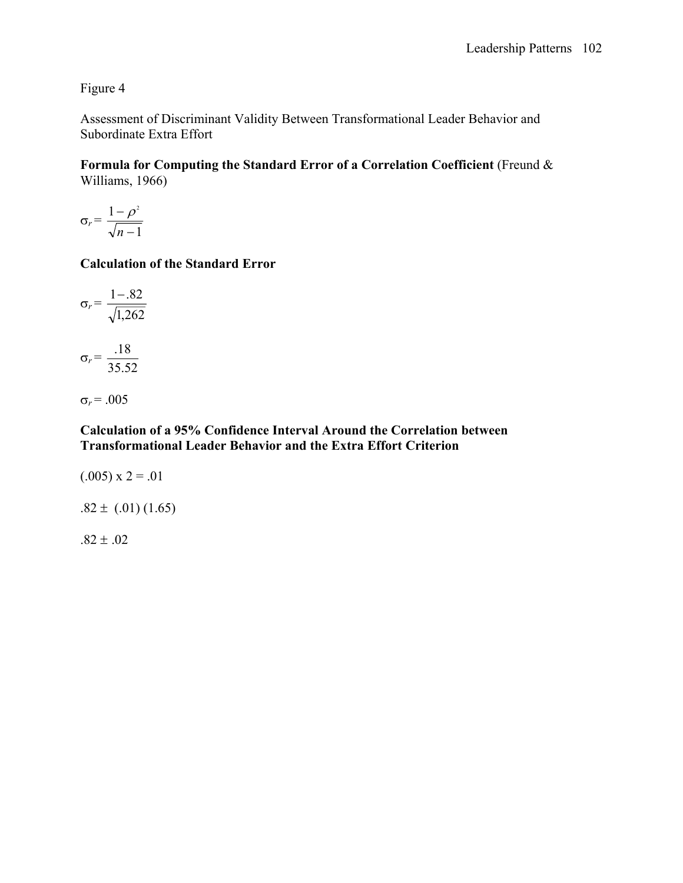# Figure 4

Assessment of Discriminant Validity Between Transformational Leader Behavior and Subordinate Extra Effort

**Formula for Computing the Standard Error of a Correlation Coefficient** (Freund & Williams, 1966)

$$
\sigma_r = \frac{1 - \rho^2}{\sqrt{n - 1}}
$$

### **Calculation of the Standard Error**

$$
\sigma_r = \frac{1 - .82}{\sqrt{1,262}}
$$

$$
\sigma_r = \frac{.18}{35.52}
$$

$$
\sigma_r = .005
$$

### **Calculation of a 95% Confidence Interval Around the Correlation between Transformational Leader Behavior and the Extra Effort Criterion**

$$
(0.005) \times 2 = 0.01
$$

$$
.82 \pm (.01) (1.65)
$$

 $.82 \pm .02$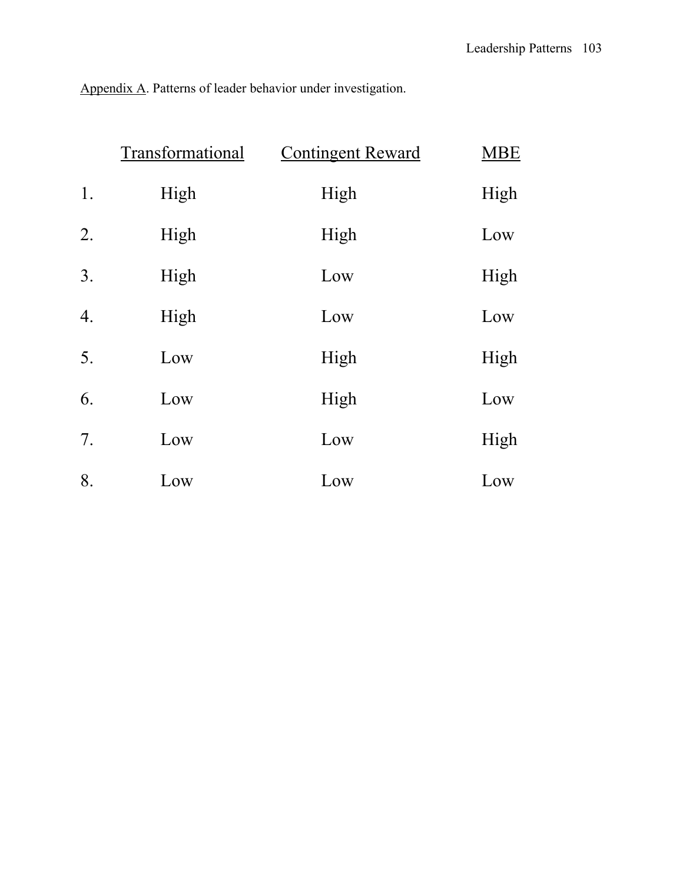Appendix A. Patterns of leader behavior under investigation.

|    | Transformational | <b>Contingent Reward</b> | <b>MBE</b> |
|----|------------------|--------------------------|------------|
| 1. | High             | High                     | High       |
| 2. | High             | High                     | Low        |
| 3. | High             | Low                      | High       |
| 4. | High             | Low                      | Low        |
| 5. | Low              | High                     | High       |
| 6. | Low              | High                     | Low        |
| 7. | Low              | Low                      | High       |
| 8. | Low              | Low                      | Low        |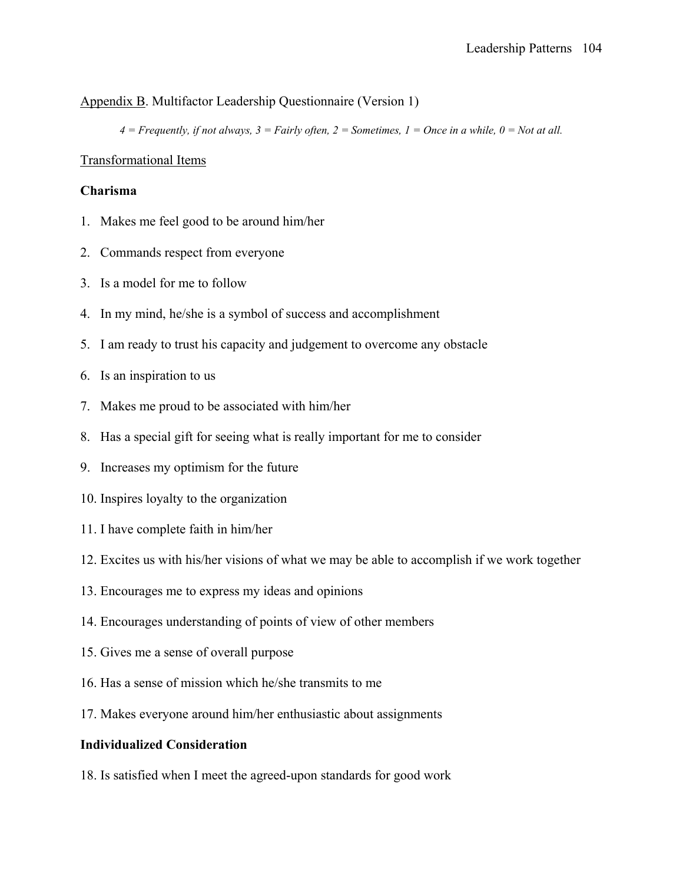### Appendix B. Multifactor Leadership Questionnaire (Version 1)

*4 = Frequently, if not always, 3 = Fairly often, 2 = Sometimes, 1 = Once in a while, 0 = Not at all.*

### Transformational Items

#### **Charisma**

- 1. Makes me feel good to be around him/her
- 2. Commands respect from everyone
- 3. Is a model for me to follow
- 4. In my mind, he/she is a symbol of success and accomplishment
- 5. I am ready to trust his capacity and judgement to overcome any obstacle
- 6. Is an inspiration to us
- 7. Makes me proud to be associated with him/her
- 8. Has a special gift for seeing what is really important for me to consider
- 9. Increases my optimism for the future
- 10. Inspires loyalty to the organization
- 11. I have complete faith in him/her
- 12. Excites us with his/her visions of what we may be able to accomplish if we work together
- 13. Encourages me to express my ideas and opinions
- 14. Encourages understanding of points of view of other members
- 15. Gives me a sense of overall purpose
- 16. Has a sense of mission which he/she transmits to me
- 17. Makes everyone around him/her enthusiastic about assignments

### **Individualized Consideration**

18. Is satisfied when I meet the agreed-upon standards for good work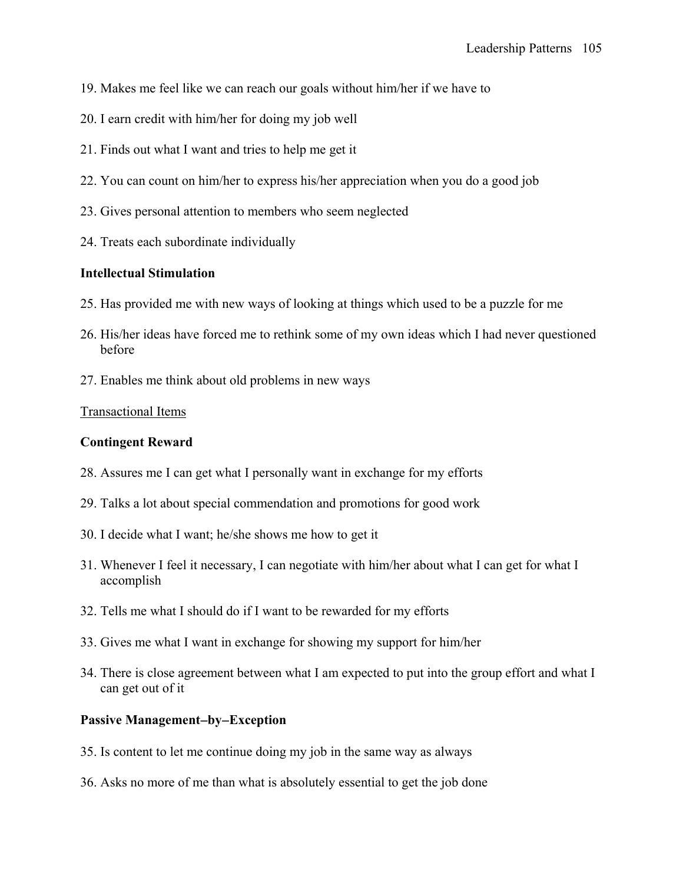- 19. Makes me feel like we can reach our goals without him/her if we have to
- 20. I earn credit with him/her for doing my job well
- 21. Finds out what I want and tries to help me get it
- 22. You can count on him/her to express his/her appreciation when you do a good job
- 23. Gives personal attention to members who seem neglected
- 24. Treats each subordinate individually

### **Intellectual Stimulation**

- 25. Has provided me with new ways of looking at things which used to be a puzzle for me
- 26. His/her ideas have forced me to rethink some of my own ideas which I had never questioned before
- 27. Enables me think about old problems in new ways

### Transactional Items

### **Contingent Reward**

- 28. Assures me I can get what I personally want in exchange for my efforts
- 29. Talks a lot about special commendation and promotions for good work
- 30. I decide what I want; he/she shows me how to get it
- 31. Whenever I feel it necessary, I can negotiate with him/her about what I can get for what I accomplish
- 32. Tells me what I should do if I want to be rewarded for my efforts
- 33. Gives me what I want in exchange for showing my support for him/her
- 34. There is close agreement between what I am expected to put into the group effort and what I can get out of it

## **Passive Management**−**by**−**Exception**

- 35. Is content to let me continue doing my job in the same way as always
- 36. Asks no more of me than what is absolutely essential to get the job done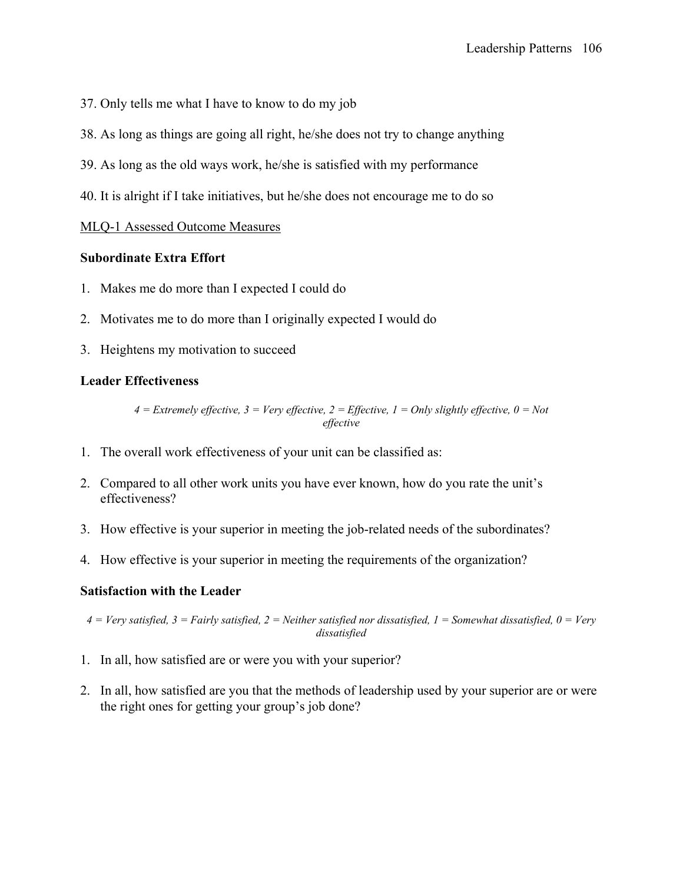- 37. Only tells me what I have to know to do my job
- 38. As long as things are going all right, he/she does not try to change anything
- 39. As long as the old ways work, he/she is satisfied with my performance
- 40. It is alright if I take initiatives, but he/she does not encourage me to do so

### MLQ-1 Assessed Outcome Measures

### **Subordinate Extra Effort**

- 1. Makes me do more than I expected I could do
- 2. Motivates me to do more than I originally expected I would do
- 3. Heightens my motivation to succeed

### **Leader Effectiveness**

*4 = Extremely effective, 3 = Very effective, 2 = Effective, 1 = Only slightly effective, 0 = Not effective* 

- 1. The overall work effectiveness of your unit can be classified as:
- 2. Compared to all other work units you have ever known, how do you rate the unit's effectiveness?
- 3. How effective is your superior in meeting the job-related needs of the subordinates?
- 4. How effective is your superior in meeting the requirements of the organization?

### **Satisfaction with the Leader**

*4 = Very satisfied, 3 = Fairly satisfied, 2 = Neither satisfied nor dissatisfied, 1 = Somewhat dissatisfied, 0 = Very dissatisfied* 

- 1. In all, how satisfied are or were you with your superior?
- 2. In all, how satisfied are you that the methods of leadership used by your superior are or were the right ones for getting your group's job done?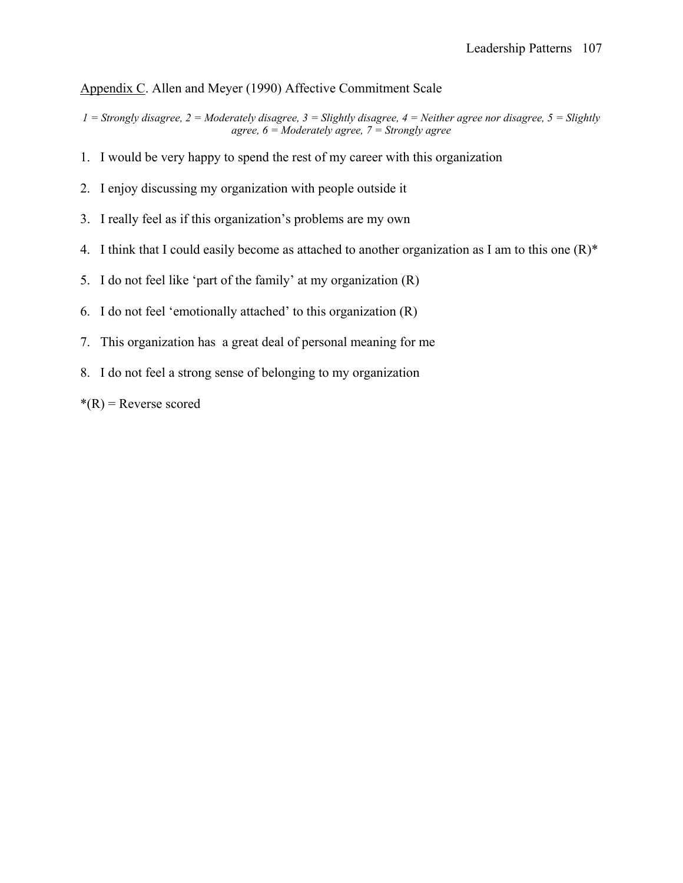### Appendix C. Allen and Meyer (1990) Affective Commitment Scale

- *1 = Strongly disagree, 2 = Moderately disagree, 3 = Slightly disagree, 4 = Neither agree nor disagree, 5 = Slightly agree, 6 = Moderately agree, 7 = Strongly agree*
- 1. I would be very happy to spend the rest of my career with this organization
- 2. I enjoy discussing my organization with people outside it
- 3. I really feel as if this organization's problems are my own
- 4. I think that I could easily become as attached to another organization as I am to this one  $(R)^*$
- 5. I do not feel like 'part of the family' at my organization (R)
- 6. I do not feel 'emotionally attached' to this organization (R)
- 7. This organization has a great deal of personal meaning for me
- 8. I do not feel a strong sense of belonging to my organization
- $*(R)$  = Reverse scored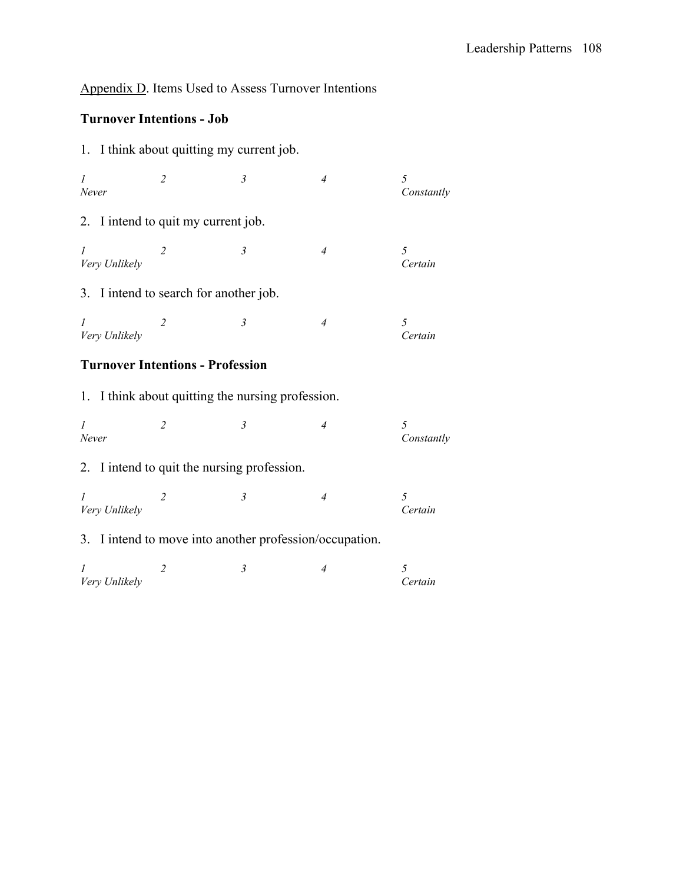# Appendix D. Items Used to Assess Turnover Intentions

# **Turnover Intentions - Job**

|                                                      |                                         | 1. I think about quitting my current job.               |                |                 |  |  |
|------------------------------------------------------|-----------------------------------------|---------------------------------------------------------|----------------|-----------------|--|--|
| $\mathcal{I}$<br>Never                               | $\overline{2}$                          | $\mathfrak{Z}$                                          | $\overline{4}$ | 5<br>Constantly |  |  |
|                                                      | 2. I intend to quit my current job.     |                                                         |                |                 |  |  |
| $\mathcal{I}$<br>Very Unlikely                       | $\overline{2}$                          | $\mathfrak{Z}$                                          | $\overline{4}$ | 5<br>Certain    |  |  |
|                                                      |                                         | 3. I intend to search for another job.                  |                |                 |  |  |
| $\mathcal{I}$<br>Very Unlikely                       | 2                                       | $\mathfrak{Z}$                                          | $\overline{4}$ | 5<br>Certain    |  |  |
|                                                      | <b>Turnover Intentions - Profession</b> |                                                         |                |                 |  |  |
| I think about quitting the nursing profession.<br>1. |                                         |                                                         |                |                 |  |  |
| $\mathcal{I}$<br>Never                               | $\overline{2}$                          | $\mathfrak{Z}$                                          | $\overline{4}$ | 5<br>Constantly |  |  |
|                                                      |                                         | 2. I intend to quit the nursing profession.             |                |                 |  |  |
| $\mathcal{I}$<br>Very Unlikely                       | $\overline{2}$                          | $\mathfrak{Z}$                                          | $\overline{4}$ | 5<br>Certain    |  |  |
|                                                      |                                         | 3. I intend to move into another profession/occupation. |                |                 |  |  |
| I<br>Very Unlikely                                   | $\overline{2}$                          | $\mathfrak{Z}$                                          | $\overline{4}$ | 5<br>Certain    |  |  |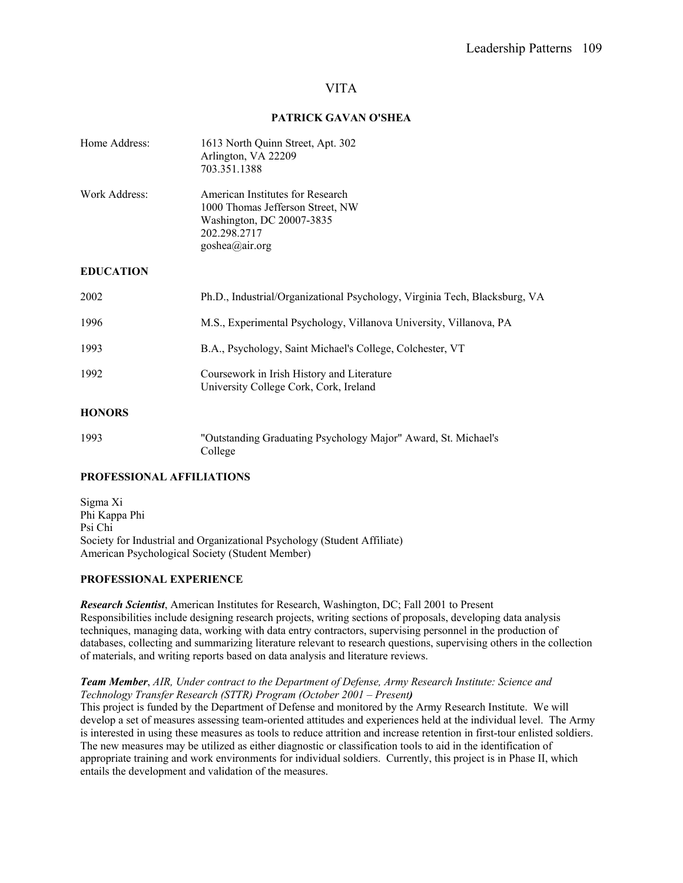### VITA

#### **PATRICK GAVAN O'SHEA**

| Home Address:    | 1613 North Quinn Street, Apt. 302<br>Arlington, VA 22209<br>703.351.1388                                                            |
|------------------|-------------------------------------------------------------------------------------------------------------------------------------|
| Work Address:    | American Institutes for Research<br>1000 Thomas Jefferson Street, NW<br>Washington, DC 20007-3835<br>202.298.2717<br>goshea@air.org |
| <b>EDUCATION</b> |                                                                                                                                     |
| 2002             | Ph.D., Industrial/Organizational Psychology, Virginia Tech, Blacksburg, VA                                                          |
| 1996             | M.S., Experimental Psychology, Villanova University, Villanova, PA                                                                  |
| 1993             | B.A., Psychology, Saint Michael's College, Colchester, VT                                                                           |
| 1992             | Coursework in Irish History and Literature<br>University College Cork, Cork, Ireland                                                |
| <b>HONORS</b>    |                                                                                                                                     |

| 1993 | "Outstanding Graduating Psychology Major" Award, St. Michael's |
|------|----------------------------------------------------------------|
|      | College                                                        |

#### **PROFESSIONAL AFFILIATIONS**

Sigma Xi Phi Kappa Phi Psi Chi Society for Industrial and Organizational Psychology (Student Affiliate) American Psychological Society (Student Member)

#### **PROFESSIONAL EXPERIENCE**

*Research Scientist*, American Institutes for Research, Washington, DC; Fall 2001 to Present Responsibilities include designing research projects, writing sections of proposals, developing data analysis techniques, managing data, working with data entry contractors, supervising personnel in the production of databases, collecting and summarizing literature relevant to research questions, supervising others in the collection of materials, and writing reports based on data analysis and literature reviews.

#### *Team Member*, *AIR, Under contract to the Department of Defense, Army Research Institute: Science and Technology Transfer Research (STTR) Program (October 2001 – Present)*

This project is funded by the Department of Defense and monitored by the Army Research Institute. We will develop a set of measures assessing team-oriented attitudes and experiences held at the individual level. The Army is interested in using these measures as tools to reduce attrition and increase retention in first-tour enlisted soldiers. The new measures may be utilized as either diagnostic or classification tools to aid in the identification of appropriate training and work environments for individual soldiers. Currently, this project is in Phase II, which entails the development and validation of the measures.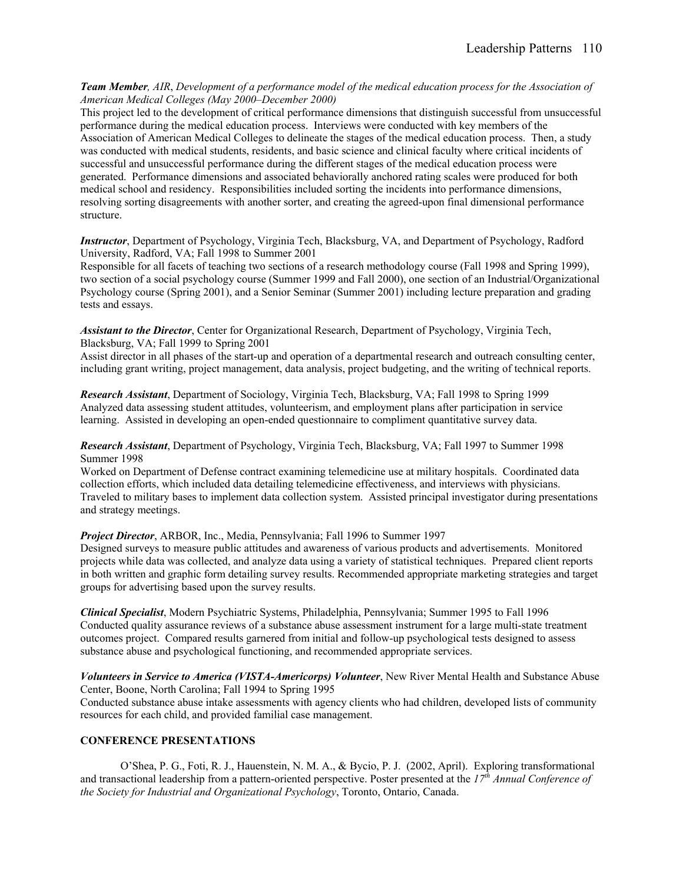*Team Member, AIR*, *Development of a performance model of the medical education process for the Association of American Medical Colleges (May 2000–December 2000)* 

This project led to the development of critical performance dimensions that distinguish successful from unsuccessful performance during the medical education process. Interviews were conducted with key members of the Association of American Medical Colleges to delineate the stages of the medical education process. Then, a study was conducted with medical students, residents, and basic science and clinical faculty where critical incidents of successful and unsuccessful performance during the different stages of the medical education process were generated. Performance dimensions and associated behaviorally anchored rating scales were produced for both medical school and residency. Responsibilities included sorting the incidents into performance dimensions, resolving sorting disagreements with another sorter, and creating the agreed-upon final dimensional performance structure.

*Instructor*, Department of Psychology, Virginia Tech, Blacksburg, VA, and Department of Psychology, Radford University, Radford, VA; Fall 1998 to Summer 2001

Responsible for all facets of teaching two sections of a research methodology course (Fall 1998 and Spring 1999), two section of a social psychology course (Summer 1999 and Fall 2000), one section of an Industrial/Organizational Psychology course (Spring 2001), and a Senior Seminar (Summer 2001) including lecture preparation and grading tests and essays.

*Assistant to the Director*, Center for Organizational Research, Department of Psychology, Virginia Tech, Blacksburg, VA; Fall 1999 to Spring 2001

Assist director in all phases of the start-up and operation of a departmental research and outreach consulting center, including grant writing, project management, data analysis, project budgeting, and the writing of technical reports.

*Research Assistant*, Department of Sociology, Virginia Tech, Blacksburg, VA; Fall 1998 to Spring 1999 Analyzed data assessing student attitudes, volunteerism, and employment plans after participation in service learning. Assisted in developing an open-ended questionnaire to compliment quantitative survey data.

*Research Assistant*, Department of Psychology, Virginia Tech, Blacksburg, VA; Fall 1997 to Summer 1998 Summer 1998

Worked on Department of Defense contract examining telemedicine use at military hospitals. Coordinated data collection efforts, which included data detailing telemedicine effectiveness, and interviews with physicians. Traveled to military bases to implement data collection system. Assisted principal investigator during presentations and strategy meetings.

*Project Director*, ARBOR, Inc., Media, Pennsylvania; Fall 1996 to Summer 1997

Designed surveys to measure public attitudes and awareness of various products and advertisements. Monitored projects while data was collected, and analyze data using a variety of statistical techniques. Prepared client reports in both written and graphic form detailing survey results. Recommended appropriate marketing strategies and target groups for advertising based upon the survey results.

*Clinical Specialist*, Modern Psychiatric Systems, Philadelphia, Pennsylvania; Summer 1995 to Fall 1996 Conducted quality assurance reviews of a substance abuse assessment instrument for a large multi-state treatment outcomes project. Compared results garnered from initial and follow-up psychological tests designed to assess substance abuse and psychological functioning, and recommended appropriate services.

*Volunteers in Service to America (VISTA-Americorps) Volunteer*, New River Mental Health and Substance Abuse Center, Boone, North Carolina; Fall 1994 to Spring 1995

Conducted substance abuse intake assessments with agency clients who had children, developed lists of community resources for each child, and provided familial case management.

#### **CONFERENCE PRESENTATIONS**

 O'Shea, P. G., Foti, R. J., Hauenstein, N. M. A., & Bycio, P. J. (2002, April). Exploring transformational and transactional leadership from a pattern-oriented perspective. Poster presented at the *17th Annual Conference of the Society for Industrial and Organizational Psychology*, Toronto, Ontario, Canada.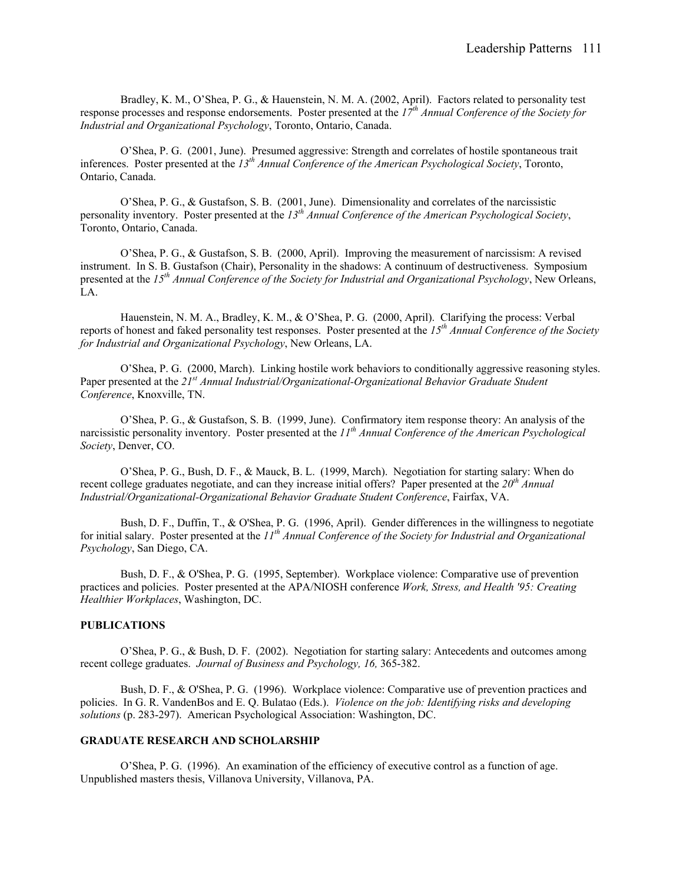Bradley, K. M., O'Shea, P. G., & Hauenstein, N. M. A. (2002, April). Factors related to personality test response processes and response endorsements. Poster presented at the *17th Annual Conference of the Society for Industrial and Organizational Psychology*, Toronto, Ontario, Canada.

 O'Shea, P. G. (2001, June). Presumed aggressive: Strength and correlates of hostile spontaneous trait inferences. Poster presented at the *13th Annual Conference of the American Psychological Society*, Toronto, Ontario, Canada.

 O'Shea, P. G., & Gustafson, S. B. (2001, June). Dimensionality and correlates of the narcissistic personality inventory. Poster presented at the *13th Annual Conference of the American Psychological Society*, Toronto, Ontario, Canada.

O'Shea, P. G., & Gustafson, S. B. (2000, April). Improving the measurement of narcissism: A revised instrument. In S. B. Gustafson (Chair), Personality in the shadows: A continuum of destructiveness. Symposium presented at the *15th Annual Conference of the Society for Industrial and Organizational Psychology*, New Orleans, LA.

Hauenstein, N. M. A., Bradley, K. M., & O'Shea, P. G. (2000, April). Clarifying the process: Verbal reports of honest and faked personality test responses. Poster presented at the *15th Annual Conference of the Society for Industrial and Organizational Psychology*, New Orleans, LA.

O'Shea, P. G. (2000, March). Linking hostile work behaviors to conditionally aggressive reasoning styles. Paper presented at the *21st Annual Industrial/Organizational-Organizational Behavior Graduate Student Conference*, Knoxville, TN.

 O'Shea, P. G., & Gustafson, S. B. (1999, June). Confirmatory item response theory: An analysis of the narcissistic personality inventory. Poster presented at the *11th Annual Conference of the American Psychological Society*, Denver, CO.

O'Shea, P. G., Bush, D. F., & Mauck, B. L. (1999, March). Negotiation for starting salary: When do recent college graduates negotiate, and can they increase initial offers? Paper presented at the *20th Annual Industrial/Organizational-Organizational Behavior Graduate Student Conference*, Fairfax, VA.

 Bush, D. F., Duffin, T., & O'Shea, P. G. (1996, April). Gender differences in the willingness to negotiate for initial salary. Poster presented at the *11th Annual Conference of the Society for Industrial and Organizational Psychology*, San Diego, CA.

 Bush, D. F., & O'Shea, P. G. (1995, September). Workplace violence: Comparative use of prevention practices and policies. Poster presented at the APA/NIOSH conference *Work, Stress, and Health '95: Creating Healthier Workplaces*, Washington, DC.

#### **PUBLICATIONS**

 O'Shea, P. G., & Bush, D. F. (2002). Negotiation for starting salary: Antecedents and outcomes among recent college graduates. *Journal of Business and Psychology, 16,* 365-382.

Bush, D. F., & O'Shea, P. G. (1996). Workplace violence: Comparative use of prevention practices and policies. In G. R. VandenBos and E. Q. Bulatao (Eds.). *Violence on the job: Identifying risks and developing solutions* (p. 283-297). American Psychological Association: Washington, DC.

#### **GRADUATE RESEARCH AND SCHOLARSHIP**

 O'Shea, P. G. (1996). An examination of the efficiency of executive control as a function of age. Unpublished masters thesis, Villanova University, Villanova, PA.